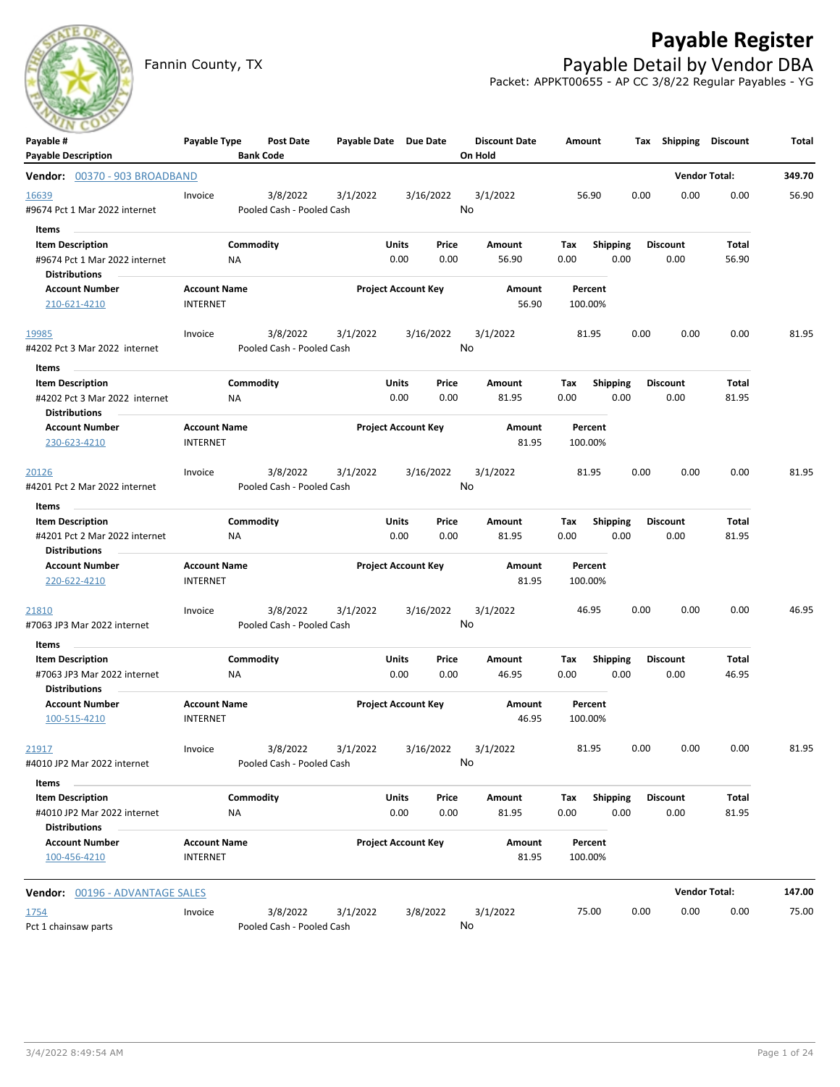

# **Payable Register**

Fannin County, TX **Payable Detail by Vendor DBA** Packet: APPKT00655 - AP CC 3/8/22 Regular Payables - YG

| Payable #                                                                        | Payable Type                           | Post Date                             | Payable Date Due Date |                            |               | <b>Discount Date</b> | Amount               |                         |      | Tax Shipping            | <b>Discount</b>      | Total  |
|----------------------------------------------------------------------------------|----------------------------------------|---------------------------------------|-----------------------|----------------------------|---------------|----------------------|----------------------|-------------------------|------|-------------------------|----------------------|--------|
| <b>Payable Description</b>                                                       |                                        | <b>Bank Code</b>                      |                       |                            |               | On Hold              |                      |                         |      |                         |                      |        |
| Vendor: 00370 - 903 BROADBAND                                                    |                                        |                                       |                       |                            |               |                      |                      |                         |      | <b>Vendor Total:</b>    |                      | 349.70 |
| 16639<br>#9674 Pct 1 Mar 2022 internet                                           | Invoice                                | 3/8/2022<br>Pooled Cash - Pooled Cash | 3/1/2022              |                            | 3/16/2022     | 3/1/2022<br>No       | 56.90                |                         | 0.00 | 0.00                    | 0.00                 | 56.90  |
| Items<br><b>Item Description</b>                                                 |                                        | Commodity                             |                       | Units                      | Price         | Amount               | Tax                  | Shipping                |      | Discount                | Total                |        |
| #9674 Pct 1 Mar 2022 internet<br><b>Distributions</b>                            | ΝA                                     |                                       |                       | 0.00                       | 0.00          | 56.90                | 0.00                 | 0.00                    |      | 0.00                    | 56.90                |        |
| <b>Account Number</b><br>210-621-4210                                            | <b>Account Name</b><br><b>INTERNET</b> |                                       |                       | <b>Project Account Key</b> |               | Amount<br>56.90      | Percent<br>100.00%   |                         |      |                         |                      |        |
| 19985                                                                            | Invoice                                | 3/8/2022                              | 3/1/2022              |                            | 3/16/2022     | 3/1/2022             | 81.95                |                         | 0.00 | 0.00                    | 0.00                 | 81.95  |
| #4202 Pct 3 Mar 2022 internet                                                    |                                        | Pooled Cash - Pooled Cash             |                       |                            |               | No                   |                      |                         |      |                         |                      |        |
| ltems                                                                            |                                        |                                       |                       |                            |               |                      |                      |                         |      |                         |                      |        |
| <b>Item Description</b><br>#4202 Pct 3 Mar 2022 internet<br><b>Distributions</b> | ΝA                                     | Commodity                             |                       | Units<br>0.00              | Price<br>0.00 | Amount<br>81.95      | Tax<br>0.00          | <b>Shipping</b><br>0.00 |      | Discount<br>0.00        | Total<br>81.95       |        |
| <b>Account Number</b><br>230-623-4210                                            | <b>Account Name</b><br><b>INTERNET</b> |                                       |                       | <b>Project Account Key</b> |               | Amount<br>81.95      | Percent<br>100.00%   |                         |      |                         |                      |        |
| 20126                                                                            | Invoice                                | 3/8/2022                              | 3/1/2022              |                            | 3/16/2022     | 3/1/2022             | 81.95                |                         | 0.00 | 0.00                    | 0.00                 | 81.95  |
| #4201 Pct 2 Mar 2022 internet                                                    |                                        | Pooled Cash - Pooled Cash             |                       |                            |               | No                   |                      |                         |      |                         |                      |        |
| Items                                                                            |                                        |                                       |                       |                            |               |                      |                      |                         |      |                         |                      |        |
| <b>Item Description</b><br>#4201 Pct 2 Mar 2022 internet<br><b>Distributions</b> | NA                                     | Commodity                             |                       | <b>Units</b><br>0.00       | Price<br>0.00 | Amount<br>81.95      | Tax<br>0.00          | <b>Shipping</b><br>0.00 |      | <b>Discount</b><br>0.00 | Total<br>81.95       |        |
| <b>Account Number</b>                                                            | <b>Account Name</b>                    |                                       |                       | <b>Project Account Key</b> |               | Amount               | Percent              |                         |      |                         |                      |        |
| 220-622-4210                                                                     | <b>INTERNET</b>                        |                                       |                       |                            |               | 81.95                | 100.00%              |                         |      |                         |                      |        |
| 21810<br>#7063 JP3 Mar 2022 internet                                             | Invoice                                | 3/8/2022<br>Pooled Cash - Pooled Cash | 3/1/2022              |                            | 3/16/2022     | 3/1/2022<br>No       | 46.95                |                         | 0.00 | 0.00                    | 0.00                 | 46.95  |
| Items<br><b>Item Description</b>                                                 |                                        | Commodity                             |                       | Units                      | Price         | Amount               | Tax                  | <b>Shipping</b>         |      | <b>Discount</b>         | Total                |        |
| #7063 JP3 Mar 2022 internet<br><b>Distributions</b>                              | ΝA                                     |                                       |                       | 0.00                       | 0.00          | 46.95                | 0.00                 | 0.00                    |      | 0.00                    | 46.95                |        |
| <b>Account Number</b><br>100-515-4210                                            | <b>Account Name</b><br><b>INTERNET</b> |                                       |                       | <b>Project Account Key</b> |               | Amount<br>46.95      | Percent<br>100.00%   |                         |      |                         |                      |        |
| 21917<br>#4010 JP2 Mar 2022 internet                                             | Invoice                                | Pooled Cash - Pooled Cash             | 3/8/2022 3/1/2022     |                            | 3/16/2022     | 3/1/2022<br>No       | 81.95                |                         | 0.00 | 0.00                    | 0.00                 | 81.95  |
| Items                                                                            |                                        |                                       |                       |                            |               |                      |                      |                         |      |                         |                      |        |
| <b>Item Description</b><br>#4010 JP2 Mar 2022 internet<br><b>Distributions</b>   | NA                                     | Commodity                             |                       | <b>Units</b><br>0.00       | Price<br>0.00 | Amount<br>81.95      | Tax Shipping<br>0.00 | 0.00                    |      | <b>Discount</b><br>0.00 | Total<br>81.95       |        |
| <b>Account Number</b><br>100-456-4210                                            | <b>Account Name</b><br><b>INTERNET</b> |                                       |                       | <b>Project Account Key</b> |               | Amount<br>81.95      | Percent<br>100.00%   |                         |      |                         |                      |        |
| Vendor: 00196 - ADVANTAGE SALES                                                  |                                        |                                       |                       |                            |               |                      |                      |                         |      |                         | <b>Vendor Total:</b> | 147.00 |
| 1754<br>Pct 1 chainsaw parts                                                     | Invoice                                | 3/8/2022<br>Pooled Cash - Pooled Cash | 3/1/2022              |                            | 3/8/2022      | 3/1/2022<br>No       | 75.00                |                         | 0.00 | 0.00                    | 0.00                 | 75.00  |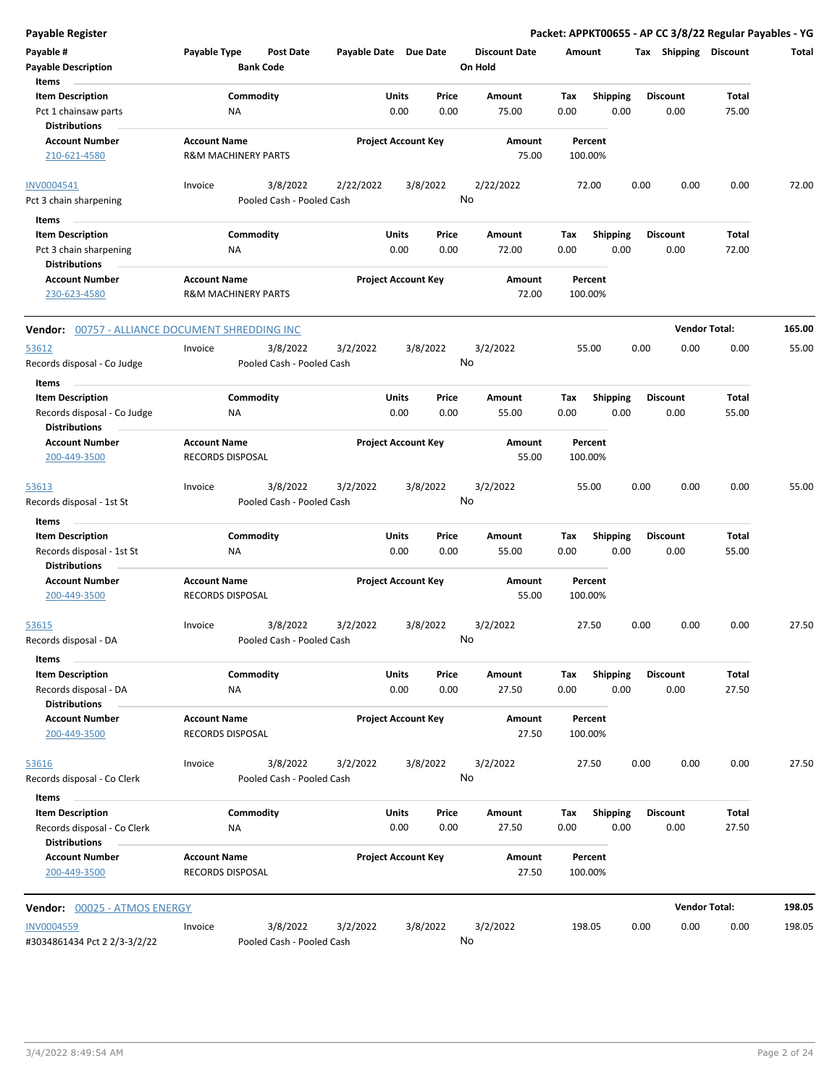| <b>Payable Register</b>                             |                                                       |                                       |                       |                            |                |                      |      |                    |      |                       | Packet: APPKT00655 - AP CC 3/8/22 Regular Payables - YG |        |
|-----------------------------------------------------|-------------------------------------------------------|---------------------------------------|-----------------------|----------------------------|----------------|----------------------|------|--------------------|------|-----------------------|---------------------------------------------------------|--------|
| Payable #                                           | Payable Type                                          | <b>Post Date</b>                      | Payable Date Due Date |                            |                | <b>Discount Date</b> |      | Amount             |      | Tax Shipping Discount |                                                         | Total  |
| <b>Payable Description</b>                          |                                                       | <b>Bank Code</b>                      |                       |                            |                | On Hold              |      |                    |      |                       |                                                         |        |
| Items                                               |                                                       |                                       |                       |                            |                |                      |      |                    |      |                       |                                                         |        |
| <b>Item Description</b>                             |                                                       | Commodity                             |                       | Units                      | Price          | Amount               | Tax  | <b>Shipping</b>    |      | <b>Discount</b>       | <b>Total</b>                                            |        |
| Pct 1 chainsaw parts<br><b>Distributions</b>        | ΝA                                                    |                                       |                       | 0.00                       | 0.00           | 75.00                | 0.00 | 0.00               |      | 0.00                  | 75.00                                                   |        |
| <b>Account Number</b>                               | <b>Account Name</b>                                   |                                       |                       | <b>Project Account Key</b> |                | Amount               |      | Percent            |      |                       |                                                         |        |
| 210-621-4580                                        | <b>R&amp;M MACHINERY PARTS</b>                        |                                       |                       |                            |                | 75.00                |      | 100.00%            |      |                       |                                                         |        |
| INV0004541                                          | Invoice                                               | 3/8/2022                              | 2/22/2022             |                            | 3/8/2022       | 2/22/2022            |      | 72.00              | 0.00 | 0.00                  | 0.00                                                    | 72.00  |
| Pct 3 chain sharpening                              |                                                       | Pooled Cash - Pooled Cash             |                       |                            | No             |                      |      |                    |      |                       |                                                         |        |
| Items                                               |                                                       |                                       |                       |                            |                |                      |      |                    |      |                       |                                                         |        |
| <b>Item Description</b>                             |                                                       | Commodity                             |                       | Units                      | Price          | Amount               | Тах  | <b>Shipping</b>    |      | <b>Discount</b>       | Total                                                   |        |
| Pct 3 chain sharpening                              | ΝA                                                    |                                       |                       | 0.00                       | 0.00           | 72.00                | 0.00 | 0.00               |      | 0.00                  | 72.00                                                   |        |
| <b>Distributions</b>                                |                                                       |                                       |                       |                            |                |                      |      |                    |      |                       |                                                         |        |
| <b>Account Number</b><br>230-623-4580               | <b>Account Name</b><br><b>R&amp;M MACHINERY PARTS</b> |                                       |                       | <b>Project Account Key</b> |                | Amount<br>72.00      |      | Percent<br>100.00% |      |                       |                                                         |        |
| Vendor: 00757 - ALLIANCE DOCUMENT SHREDDING INC     |                                                       |                                       |                       |                            |                |                      |      |                    |      |                       | <b>Vendor Total:</b>                                    | 165.00 |
|                                                     |                                                       |                                       |                       |                            |                |                      |      |                    |      |                       |                                                         |        |
| 53612<br>Records disposal - Co Judge                | Invoice                                               | 3/8/2022<br>Pooled Cash - Pooled Cash | 3/2/2022              |                            | 3/8/2022<br>No | 3/2/2022             |      | 55.00              | 0.00 | 0.00                  | 0.00                                                    | 55.00  |
| Items                                               |                                                       |                                       |                       |                            |                |                      |      |                    |      |                       |                                                         |        |
| <b>Item Description</b>                             |                                                       | Commodity                             |                       | Units                      | Price          | Amount               | Tax  | <b>Shipping</b>    |      | <b>Discount</b>       | Total                                                   |        |
| Records disposal - Co Judge<br><b>Distributions</b> | NA                                                    |                                       |                       | 0.00                       | 0.00           | 55.00                | 0.00 | 0.00               |      | 0.00                  | 55.00                                                   |        |
| <b>Account Number</b>                               | <b>Account Name</b>                                   |                                       |                       | <b>Project Account Key</b> |                | Amount               |      | Percent            |      |                       |                                                         |        |
| 200-449-3500                                        | <b>RECORDS DISPOSAL</b>                               |                                       |                       |                            |                | 55.00                |      | 100.00%            |      |                       |                                                         |        |
| 53613                                               | Invoice                                               | 3/8/2022                              | 3/2/2022              |                            | 3/8/2022       | 3/2/2022             |      | 55.00              | 0.00 | 0.00                  | 0.00                                                    | 55.00  |
| Records disposal - 1st St                           |                                                       | Pooled Cash - Pooled Cash             |                       |                            | No             |                      |      |                    |      |                       |                                                         |        |
| Items                                               |                                                       |                                       |                       |                            |                |                      |      |                    |      |                       |                                                         |        |
| <b>Item Description</b>                             |                                                       | Commodity                             |                       | Units                      | Price          | Amount               | Tax  | <b>Shipping</b>    |      | <b>Discount</b>       | Total                                                   |        |
| Records disposal - 1st St                           | <b>NA</b>                                             |                                       |                       | 0.00                       | 0.00           | 55.00                | 0.00 | 0.00               |      | 0.00                  | 55.00                                                   |        |
| <b>Distributions</b>                                |                                                       |                                       |                       |                            |                |                      |      |                    |      |                       |                                                         |        |
| <b>Account Number</b>                               | <b>Account Name</b>                                   |                                       |                       | <b>Project Account Key</b> |                | Amount               |      | Percent            |      |                       |                                                         |        |
| 200-449-3500                                        | <b>RECORDS DISPOSAL</b>                               |                                       |                       |                            |                | 55.00                |      | 100.00%            |      |                       |                                                         |        |
| 53615                                               | Invoice                                               | 3/8/2022                              | 3/2/2022              |                            | 3/8/2022       | 3/2/2022             |      | 27.50              | 0.00 | 0.00                  | 0.00                                                    | 27.50  |
| Records disposal - DA                               |                                                       | Pooled Cash - Pooled Cash             |                       |                            |                | No                   |      |                    |      |                       |                                                         |        |
| Items                                               |                                                       |                                       |                       |                            |                |                      |      |                    |      |                       |                                                         |        |
| <b>Item Description</b>                             |                                                       | Commodity                             |                       | Units                      | Price          | Amount               | Tax  | <b>Shipping</b>    |      | <b>Discount</b>       | Total                                                   |        |
| Records disposal - DA                               | ΝA                                                    |                                       |                       | 0.00                       | 0.00           | 27.50                | 0.00 | 0.00               |      | 0.00                  | 27.50                                                   |        |
| <b>Distributions</b>                                |                                                       |                                       |                       |                            |                |                      |      |                    |      |                       |                                                         |        |
| <b>Account Number</b>                               | <b>Account Name</b>                                   |                                       |                       | <b>Project Account Key</b> |                | Amount               |      | Percent            |      |                       |                                                         |        |
| 200-449-3500                                        | RECORDS DISPOSAL                                      |                                       |                       |                            |                | 27.50                |      | 100.00%            |      |                       |                                                         |        |
| 53616                                               | Invoice                                               | 3/8/2022                              | 3/2/2022              |                            | 3/8/2022       | 3/2/2022             |      | 27.50              | 0.00 | 0.00                  | 0.00                                                    | 27.50  |
| Records disposal - Co Clerk                         |                                                       | Pooled Cash - Pooled Cash             |                       |                            | No             |                      |      |                    |      |                       |                                                         |        |
| Items                                               |                                                       |                                       |                       |                            |                |                      |      |                    |      |                       |                                                         |        |
| <b>Item Description</b>                             |                                                       | Commodity                             |                       | Units                      | Price          | Amount               | Tax  | Shipping           |      | <b>Discount</b>       | Total                                                   |        |
| Records disposal - Co Clerk<br><b>Distributions</b> | NA                                                    |                                       |                       | 0.00                       | 0.00           | 27.50                | 0.00 | 0.00               |      | 0.00                  | 27.50                                                   |        |
| <b>Account Number</b>                               | <b>Account Name</b>                                   |                                       |                       | <b>Project Account Key</b> |                | Amount               |      | Percent            |      |                       |                                                         |        |
| 200-449-3500                                        | RECORDS DISPOSAL                                      |                                       |                       |                            |                | 27.50                |      | 100.00%            |      |                       |                                                         |        |
| Vendor: 00025 - ATMOS ENERGY                        |                                                       |                                       |                       |                            |                |                      |      |                    |      |                       | <b>Vendor Total:</b>                                    | 198.05 |
| <b>INV0004559</b>                                   | Invoice                                               | 3/8/2022                              | 3/2/2022              |                            | 3/8/2022       | 3/2/2022             |      | 198.05             | 0.00 | 0.00                  | 0.00                                                    | 198.05 |
| #3034861434 Pct 2 2/3-3/2/22                        |                                                       | Pooled Cash - Pooled Cash             |                       |                            | No             |                      |      |                    |      |                       |                                                         |        |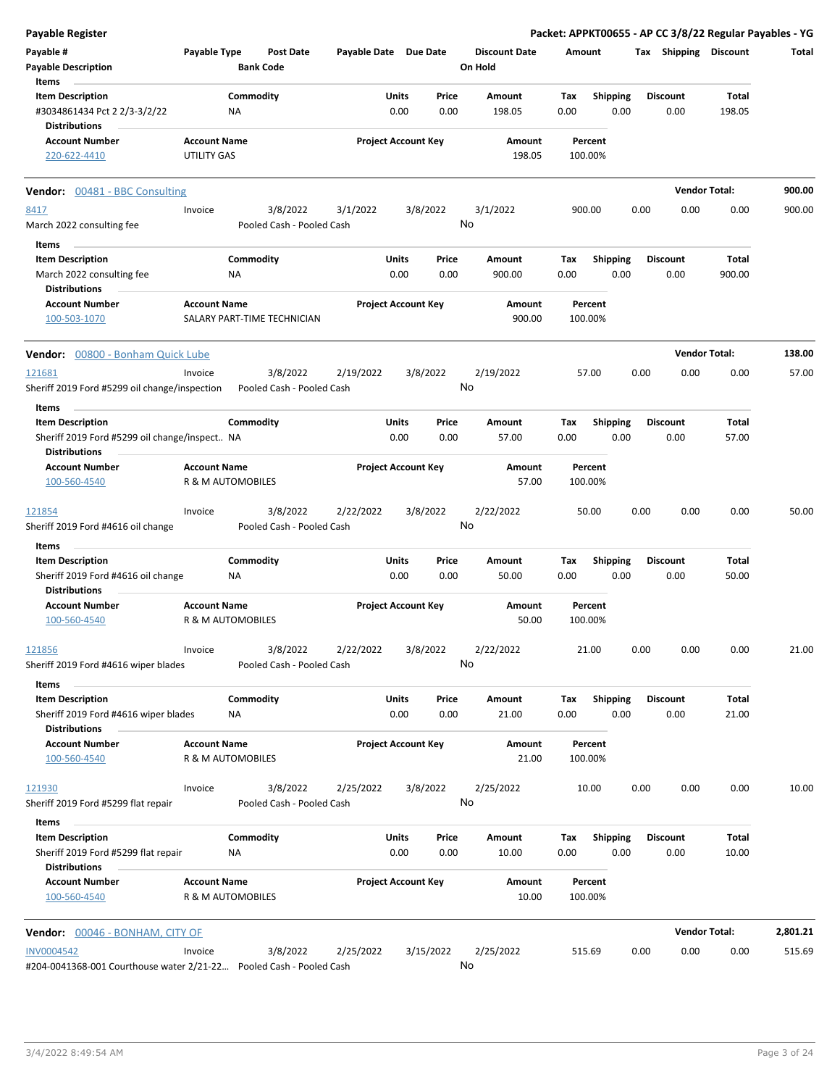| <b>Payable Register</b>                                                                 |                     |                                       |                            |                      |               |                                 |                    |                         |      |                         | Packet: APPKT00655 - AP CC 3/8/22 Regular Payables - YG |          |
|-----------------------------------------------------------------------------------------|---------------------|---------------------------------------|----------------------------|----------------------|---------------|---------------------------------|--------------------|-------------------------|------|-------------------------|---------------------------------------------------------|----------|
| Payable #<br><b>Payable Description</b>                                                 | Payable Type        | Post Date<br><b>Bank Code</b>         | Payable Date Due Date      |                      |               | <b>Discount Date</b><br>On Hold | Amount             |                         |      | Tax Shipping Discount   |                                                         | Total    |
| Items                                                                                   |                     |                                       |                            |                      |               |                                 |                    |                         |      |                         |                                                         |          |
| <b>Item Description</b><br>#3034861434 Pct 2 2/3-3/2/22<br><b>Distributions</b>         |                     | Commodity<br>ΝA                       |                            | <b>Units</b><br>0.00 | Price<br>0.00 | Amount<br>198.05                | Tax<br>0.00        | <b>Shipping</b><br>0.00 |      | <b>Discount</b><br>0.00 | Total<br>198.05                                         |          |
| <b>Account Number</b>                                                                   | <b>Account Name</b> |                                       | <b>Project Account Key</b> |                      |               | Amount                          |                    | Percent                 |      |                         |                                                         |          |
| 220-622-4410                                                                            | UTILITY GAS         |                                       |                            |                      |               | 198.05                          | 100.00%            |                         |      |                         |                                                         |          |
| <b>Vendor:</b> 00481 - BBC Consulting                                                   |                     |                                       |                            |                      |               |                                 |                    |                         |      |                         | <b>Vendor Total:</b>                                    | 900.00   |
| 8417                                                                                    | Invoice             | 3/8/2022                              | 3/1/2022                   | 3/8/2022             |               | 3/1/2022                        | 900.00             |                         | 0.00 | 0.00                    | 0.00                                                    | 900.00   |
| March 2022 consulting fee                                                               |                     | Pooled Cash - Pooled Cash             |                            |                      |               | No                              |                    |                         |      |                         |                                                         |          |
| Items                                                                                   |                     |                                       |                            |                      |               |                                 |                    |                         |      |                         |                                                         |          |
| <b>Item Description</b>                                                                 |                     | Commodity                             |                            | Units                | Price         | Amount                          | Tax                | <b>Shipping</b>         |      | <b>Discount</b>         | Total                                                   |          |
| March 2022 consulting fee<br><b>Distributions</b>                                       |                     | ΝA                                    |                            | 0.00                 | 0.00          | 900.00                          | 0.00               | 0.00                    |      | 0.00                    | 900.00                                                  |          |
| <b>Account Number</b><br>100-503-1070                                                   | <b>Account Name</b> | SALARY PART-TIME TECHNICIAN           | <b>Project Account Key</b> |                      |               | Amount<br>900.00                | 100.00%            | Percent                 |      |                         |                                                         |          |
| Vendor: 00800 - Bonham Quick Lube                                                       |                     |                                       |                            |                      |               |                                 |                    |                         |      |                         | <b>Vendor Total:</b>                                    | 138.00   |
| 121681<br>Sheriff 2019 Ford #5299 oil change/inspection                                 | Invoice             | 3/8/2022<br>Pooled Cash - Pooled Cash | 2/19/2022                  | 3/8/2022             |               | 2/19/2022<br>No                 | 57.00              |                         | 0.00 | 0.00                    | 0.00                                                    | 57.00    |
| Items                                                                                   |                     |                                       |                            |                      |               |                                 |                    |                         |      |                         |                                                         |          |
| <b>Item Description</b><br>Sheriff 2019 Ford #5299 oil change/inspect NA                |                     | Commodity                             |                            | Units<br>0.00        | Price<br>0.00 | Amount<br>57.00                 | Tax<br>0.00        | <b>Shipping</b><br>0.00 |      | <b>Discount</b><br>0.00 | Total<br>57.00                                          |          |
| <b>Distributions</b><br><b>Account Number</b>                                           | <b>Account Name</b> |                                       | <b>Project Account Key</b> |                      |               | Amount                          | Percent            |                         |      |                         |                                                         |          |
| 100-560-4540                                                                            |                     | R & M AUTOMOBILES                     |                            |                      |               | 57.00                           | 100.00%            |                         |      |                         |                                                         |          |
| 121854                                                                                  | Invoice             | 3/8/2022                              | 2/22/2022                  | 3/8/2022             |               | 2/22/2022<br>No                 | 50.00              |                         | 0.00 | 0.00                    | 0.00                                                    | 50.00    |
| Sheriff 2019 Ford #4616 oil change                                                      |                     | Pooled Cash - Pooled Cash             |                            |                      |               |                                 |                    |                         |      |                         |                                                         |          |
| Items<br><b>Item Description</b>                                                        |                     | Commodity                             |                            | Units                | Price         | Amount                          |                    |                         |      | <b>Discount</b>         | Total                                                   |          |
| Sheriff 2019 Ford #4616 oil change<br><b>Distributions</b>                              |                     | <b>NA</b>                             |                            | 0.00                 | 0.00          | 50.00                           | Tax<br>0.00        | <b>Shipping</b><br>0.00 |      | 0.00                    | 50.00                                                   |          |
| <b>Account Number</b><br>100-560-4540                                                   | <b>Account Name</b> | R & M AUTOMOBILES                     | <b>Project Account Key</b> |                      |               | Amount<br>50.00                 | Percent<br>100.00% |                         |      |                         |                                                         |          |
| 121856                                                                                  | Invoice             | 3/8/2022                              | 2/22/2022                  | 3/8/2022             |               | 2/22/2022                       | 21.00              |                         | 0.00 | 0.00                    | 0.00                                                    | 21.00    |
| Sheriff 2019 Ford #4616 wiper blades                                                    |                     | Pooled Cash - Pooled Cash             |                            |                      |               | No                              |                    |                         |      |                         |                                                         |          |
| Items                                                                                   |                     |                                       |                            |                      |               |                                 |                    |                         |      |                         |                                                         |          |
| <b>Item Description</b><br>Sheriff 2019 Ford #4616 wiper blades<br><b>Distributions</b> |                     | Commodity<br>NA                       |                            | Units<br>0.00        | Price<br>0.00 | Amount<br>21.00                 | Tax<br>0.00        | <b>Shipping</b><br>0.00 |      | <b>Discount</b><br>0.00 | Total<br>21.00                                          |          |
| <b>Account Number</b><br>100-560-4540                                                   | <b>Account Name</b> | R & M AUTOMOBILES                     | <b>Project Account Key</b> |                      |               | Amount<br>21.00                 | 100.00%            | Percent                 |      |                         |                                                         |          |
|                                                                                         |                     |                                       |                            |                      |               |                                 |                    |                         |      |                         |                                                         |          |
| 121930<br>Sheriff 2019 Ford #5299 flat repair                                           | Invoice             | 3/8/2022<br>Pooled Cash - Pooled Cash | 2/25/2022                  | 3/8/2022             |               | 2/25/2022<br>No                 |                    | 10.00                   | 0.00 | 0.00                    | 0.00                                                    | 10.00    |
| Items<br><b>Item Description</b>                                                        |                     | Commodity                             |                            | Units                | Price         | Amount                          | Тах                | <b>Shipping</b>         |      | <b>Discount</b>         | Total                                                   |          |
| Sheriff 2019 Ford #5299 flat repair<br><b>Distributions</b>                             |                     | ΝA                                    |                            | 0.00                 | 0.00          | 10.00                           | 0.00               | 0.00                    |      | 0.00                    | 10.00                                                   |          |
| <b>Account Number</b><br>100-560-4540                                                   | <b>Account Name</b> | R & M AUTOMOBILES                     | <b>Project Account Key</b> |                      |               | Amount<br>10.00                 | 100.00%            | Percent                 |      |                         |                                                         |          |
| Vendor: 00046 - BONHAM, CITY OF                                                         |                     |                                       |                            |                      |               |                                 |                    |                         |      |                         | <b>Vendor Total:</b>                                    | 2,801.21 |
| <b>INV0004542</b>                                                                       | Invoice             | 3/8/2022                              | 2/25/2022                  | 3/15/2022            |               | 2/25/2022                       | 515.69             |                         | 0.00 | 0.00                    | 0.00                                                    | 515.69   |
| #204-0041368-001 Courthouse water 2/21-22 Pooled Cash - Pooled Cash                     |                     |                                       |                            |                      |               | No                              |                    |                         |      |                         |                                                         |          |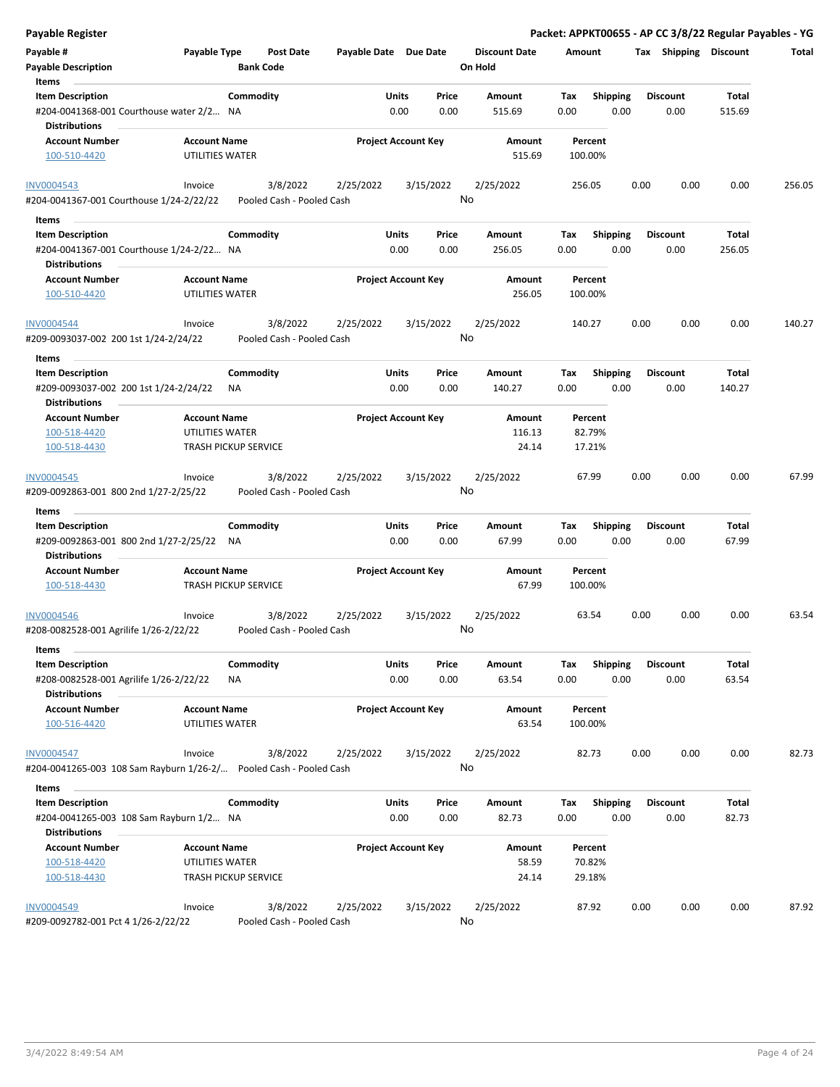| <b>Payable Register</b>                                                     |                                        |                  |                                       |                            |               |               |                                 |             |                    |      |                         |                | Packet: APPKT00655 - AP CC 3/8/22 Regular Payables - YG |
|-----------------------------------------------------------------------------|----------------------------------------|------------------|---------------------------------------|----------------------------|---------------|---------------|---------------------------------|-------------|--------------------|------|-------------------------|----------------|---------------------------------------------------------|
| Payable #<br>Payable Type<br><b>Payable Description</b>                     |                                        | <b>Bank Code</b> | <b>Post Date</b>                      | Payable Date Due Date      |               |               | <b>Discount Date</b><br>On Hold | Amount      |                    |      | Tax Shipping Discount   |                | Total                                                   |
| Items                                                                       |                                        |                  |                                       |                            |               |               |                                 |             |                    |      |                         |                |                                                         |
| <b>Item Description</b>                                                     |                                        | Commodity        |                                       |                            | Units         | Price         | Amount                          | Tax         | <b>Shipping</b>    |      | <b>Discount</b>         | Total          |                                                         |
| #204-0041368-001 Courthouse water 2/2 NA<br><b>Distributions</b>            |                                        |                  |                                       |                            | 0.00          | 0.00          | 515.69                          | 0.00        | 0.00               |      | 0.00                    | 515.69         |                                                         |
| <b>Account Number</b><br>100-510-4420                                       | <b>Account Name</b><br>UTILITIES WATER |                  |                                       | <b>Project Account Key</b> |               |               | Amount<br>515.69                |             | Percent<br>100.00% |      |                         |                |                                                         |
| <b>INV0004543</b>                                                           | Invoice                                |                  | 3/8/2022                              | 2/25/2022                  |               | 3/15/2022     | 2/25/2022                       |             | 256.05             | 0.00 | 0.00                    | 0.00           | 256.05                                                  |
| #204-0041367-001 Courthouse 1/24-2/22/22                                    |                                        |                  | Pooled Cash - Pooled Cash             |                            |               |               | No                              |             |                    |      |                         |                |                                                         |
| Items                                                                       |                                        |                  |                                       |                            |               |               |                                 |             |                    |      |                         |                |                                                         |
| <b>Item Description</b>                                                     |                                        | Commodity        |                                       |                            | Units         | Price         | Amount                          | Tax         | <b>Shipping</b>    |      | <b>Discount</b>         | Total          |                                                         |
| #204-0041367-001 Courthouse 1/24-2/22 NA                                    |                                        |                  |                                       |                            | 0.00          | 0.00          | 256.05                          | 0.00        | 0.00               |      | 0.00                    | 256.05         |                                                         |
| <b>Distributions</b>                                                        |                                        |                  |                                       |                            |               |               |                                 |             |                    |      |                         |                |                                                         |
| <b>Account Number</b><br>100-510-4420                                       | <b>Account Name</b><br>UTILITIES WATER |                  |                                       | <b>Project Account Key</b> |               |               | Amount<br>256.05                |             | Percent<br>100.00% |      |                         |                |                                                         |
| <b>INV0004544</b>                                                           | Invoice                                |                  | 3/8/2022                              | 2/25/2022                  |               | 3/15/2022     | 2/25/2022                       |             | 140.27             | 0.00 | 0.00                    | 0.00           | 140.27                                                  |
| #209-0093037-002 200 1st 1/24-2/24/22                                       |                                        |                  | Pooled Cash - Pooled Cash             |                            |               |               | No                              |             |                    |      |                         |                |                                                         |
| Items<br><b>Item Description</b>                                            |                                        | Commodity        |                                       |                            | Units         | Price         | Amount                          | Tax         | <b>Shipping</b>    |      | Discount                | Total          |                                                         |
| #209-0093037-002 200 1st 1/24-2/24/22                                       |                                        | ΝA               |                                       |                            | 0.00          | 0.00          | 140.27                          | 0.00        | 0.00               |      | 0.00                    | 140.27         |                                                         |
| <b>Distributions</b>                                                        |                                        |                  |                                       |                            |               |               |                                 |             |                    |      |                         |                |                                                         |
| <b>Account Number</b>                                                       | <b>Account Name</b><br>UTILITIES WATER |                  |                                       | <b>Project Account Key</b> |               |               | Amount<br>116.13                |             | Percent<br>82.79%  |      |                         |                |                                                         |
| 100-518-4420<br>100-518-4430                                                | <b>TRASH PICKUP SERVICE</b>            |                  |                                       |                            |               |               | 24.14                           |             | 17.21%             |      |                         |                |                                                         |
|                                                                             |                                        |                  |                                       |                            |               |               |                                 |             |                    |      |                         |                |                                                         |
| INV0004545<br>#209-0092863-001 800 2nd 1/27-2/25/22                         | Invoice                                |                  | 3/8/2022<br>Pooled Cash - Pooled Cash | 2/25/2022                  |               | 3/15/2022     | 2/25/2022<br>No                 |             | 67.99              | 0.00 | 0.00                    | 0.00           | 67.99                                                   |
| Items                                                                       |                                        |                  |                                       |                            |               |               |                                 |             |                    |      |                         |                |                                                         |
| <b>Item Description</b>                                                     |                                        | Commodity        |                                       |                            | Units         | Price         | Amount                          | Tax         | <b>Shipping</b>    |      | Discount                | Total          |                                                         |
| #209-0092863-001 800 2nd 1/27-2/25/22<br><b>Distributions</b>               |                                        | NA               |                                       |                            | 0.00          | 0.00          | 67.99                           | 0.00        | 0.00               |      | 0.00                    | 67.99          |                                                         |
| <b>Account Number</b>                                                       | <b>Account Name</b>                    |                  |                                       | <b>Project Account Key</b> |               |               | Amount                          |             | Percent            |      |                         |                |                                                         |
| 100-518-4430                                                                | <b>TRASH PICKUP SERVICE</b>            |                  |                                       |                            |               |               | 67.99                           |             | 100.00%            |      |                         |                |                                                         |
| <b>INV0004546</b><br>#208-0082528-001 Agrilife 1/26-2/22/22                 | Invoice                                |                  | 3/8/2022<br>Pooled Cash - Pooled Cash | 2/25/2022                  |               | 3/15/2022     | 2/25/2022<br>No                 |             | 63.54              | 0.00 | 0.00                    | 0.00           | 63.54                                                   |
| Items                                                                       |                                        |                  |                                       |                            |               |               |                                 |             |                    |      |                         |                |                                                         |
| <b>Item Description</b><br>#208-0082528-001 Agrilife 1/26-2/22/22           |                                        | Commodity<br>ΝA  |                                       |                            | Units<br>0.00 | Price<br>0.00 | Amount<br>63.54                 | Tax<br>0.00 | Shipping<br>0.00   |      | <b>Discount</b><br>0.00 | Total<br>63.54 |                                                         |
| <b>Distributions</b><br><b>Account Number</b>                               | <b>Account Name</b>                    |                  |                                       | <b>Project Account Key</b> |               |               | Amount                          |             | Percent            |      |                         |                |                                                         |
| 100-516-4420                                                                | UTILITIES WATER                        |                  |                                       |                            |               |               | 63.54                           |             | 100.00%            |      |                         |                |                                                         |
| <b>INV0004547</b>                                                           | Invoice                                |                  | 3/8/2022                              | 2/25/2022                  |               | 3/15/2022     | 2/25/2022                       |             | 82.73              | 0.00 | 0.00                    | 0.00           | 82.73                                                   |
| #204-0041265-003 108 Sam Rayburn 1/26-2/ Pooled Cash - Pooled Cash<br>Items |                                        |                  |                                       |                            |               |               | No                              |             |                    |      |                         |                |                                                         |
| <b>Item Description</b>                                                     |                                        | Commodity        |                                       |                            | Units         | Price         | Amount                          | Tax         | <b>Shipping</b>    |      | <b>Discount</b>         | Total          |                                                         |
| #204-0041265-003 108 Sam Rayburn 1/2 NA                                     |                                        |                  |                                       |                            | 0.00          | 0.00          | 82.73                           | 0.00        | 0.00               |      | 0.00                    | 82.73          |                                                         |
| <b>Distributions</b>                                                        |                                        |                  |                                       |                            |               |               |                                 |             |                    |      |                         |                |                                                         |
| <b>Account Number</b>                                                       | <b>Account Name</b>                    |                  |                                       | <b>Project Account Key</b> |               |               | Amount                          |             | Percent            |      |                         |                |                                                         |
| 100-518-4420                                                                | UTILITIES WATER                        |                  |                                       |                            |               |               | 58.59                           |             | 70.82%             |      |                         |                |                                                         |
| 100-518-4430                                                                | <b>TRASH PICKUP SERVICE</b>            |                  |                                       |                            |               |               | 24.14                           |             | 29.18%             |      |                         |                |                                                         |
| <b>INV0004549</b>                                                           | Invoice                                |                  | 3/8/2022                              | 2/25/2022                  |               | 3/15/2022     | 2/25/2022                       |             | 87.92              | 0.00 | 0.00                    | 0.00           | 87.92                                                   |

#209-0092782-001 Pct 4 1/26-2/22/22 Pooled Cash - Pooled Cash

No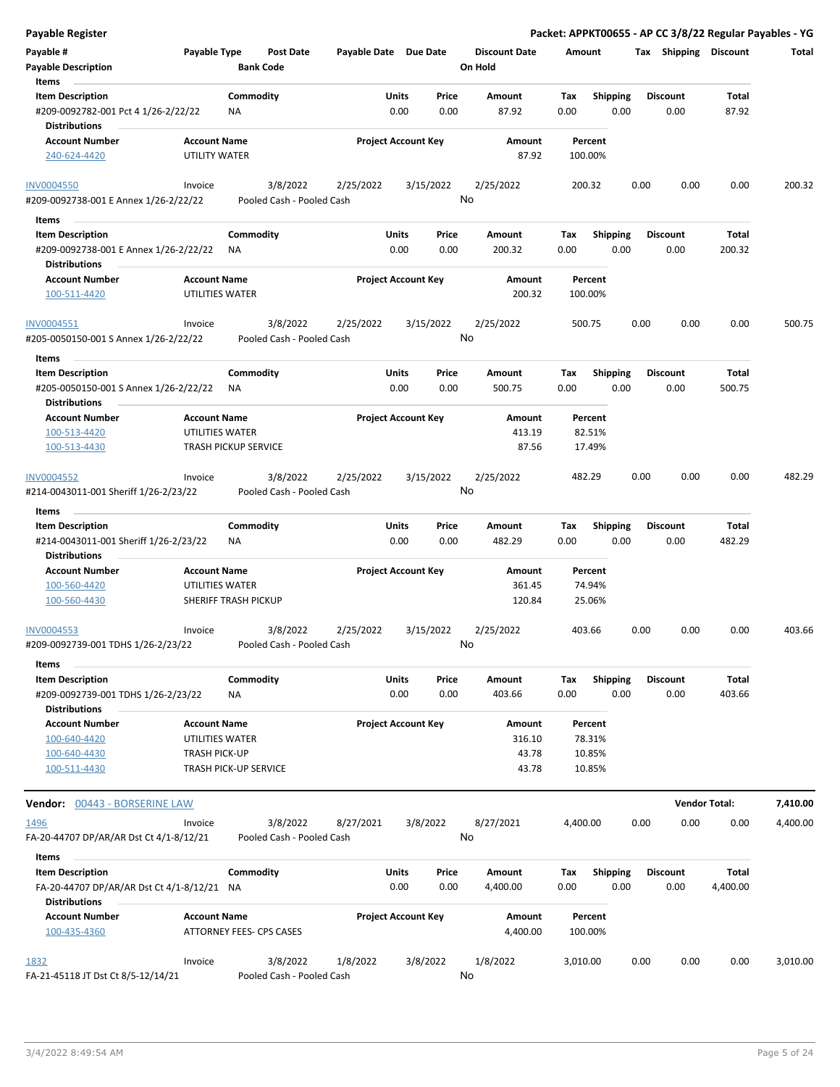| <b>Payable Register</b>                                                                           |                                                 |                  |                                       |                       |               |                            |         |                      |             |                    |      |      |                         |                 | Packet: APPKT00655 - AP CC 3/8/22 Regular Payables - YG |
|---------------------------------------------------------------------------------------------------|-------------------------------------------------|------------------|---------------------------------------|-----------------------|---------------|----------------------------|---------|----------------------|-------------|--------------------|------|------|-------------------------|-----------------|---------------------------------------------------------|
| Payable #<br>Payable Type<br><b>Payable Description</b>                                           |                                                 | <b>Bank Code</b> | <b>Post Date</b>                      | Payable Date Due Date |               |                            | On Hold | <b>Discount Date</b> | Amount      |                    |      |      | Tax Shipping Discount   |                 | Total                                                   |
| Items                                                                                             |                                                 |                  |                                       |                       |               |                            |         |                      |             |                    |      |      |                         |                 |                                                         |
| <b>Item Description</b><br>#209-0092782-001 Pct 4 1/26-2/22/22<br><b>Distributions</b>            |                                                 | Commodity<br>ΝA  |                                       |                       | Units<br>0.00 | Price<br>0.00              |         | Amount<br>87.92      | Tax<br>0.00 | <b>Shipping</b>    | 0.00 |      | <b>Discount</b><br>0.00 | Total<br>87.92  |                                                         |
| <b>Account Number</b>                                                                             | <b>Account Name</b>                             |                  |                                       |                       |               | <b>Project Account Key</b> |         | Amount               |             | Percent            |      |      |                         |                 |                                                         |
| 240-624-4420                                                                                      | UTILITY WATER                                   |                  |                                       |                       |               |                            |         | 87.92                |             | 100.00%            |      |      |                         |                 |                                                         |
| <b>INV0004550</b><br>#209-0092738-001 E Annex 1/26-2/22/22                                        | Invoice                                         |                  | 3/8/2022<br>Pooled Cash - Pooled Cash | 2/25/2022             |               | 3/15/2022                  | No      | 2/25/2022            |             | 200.32             |      | 0.00 | 0.00                    | 0.00            | 200.32                                                  |
| Items                                                                                             |                                                 |                  |                                       |                       |               |                            |         |                      |             |                    |      |      |                         |                 |                                                         |
| <b>Item Description</b>                                                                           |                                                 | Commodity        |                                       |                       | Units         | Price                      |         | Amount               | Tax         | <b>Shipping</b>    |      |      | Discount                | Total           |                                                         |
| #209-0092738-001 E Annex 1/26-2/22/22<br><b>Distributions</b>                                     |                                                 | ΝA               |                                       |                       | 0.00          | 0.00                       |         | 200.32               | 0.00        |                    | 0.00 |      | 0.00                    | 200.32          |                                                         |
| <b>Account Number</b><br>100-511-4420                                                             | <b>Account Name</b><br>UTILITIES WATER          |                  |                                       |                       |               | <b>Project Account Key</b> |         | Amount<br>200.32     |             | Percent<br>100.00% |      |      |                         |                 |                                                         |
| INV0004551<br>#205-0050150-001 S Annex 1/26-2/22/22                                               | Invoice                                         |                  | 3/8/2022<br>Pooled Cash - Pooled Cash | 2/25/2022             |               | 3/15/2022                  | No      | 2/25/2022            |             | 500.75             |      | 0.00 | 0.00                    | 0.00            | 500.75                                                  |
| Items                                                                                             |                                                 |                  |                                       |                       |               |                            |         |                      |             |                    |      |      |                         |                 |                                                         |
| <b>Item Description</b><br>#205-0050150-001 S Annex 1/26-2/22/22<br><b>Distributions</b>          |                                                 | Commodity<br>ΝA  |                                       |                       | Units<br>0.00 | Price<br>0.00              |         | Amount<br>500.75     | Tax<br>0.00 | <b>Shipping</b>    | 0.00 |      | Discount<br>0.00        | Total<br>500.75 |                                                         |
| <b>Account Number</b>                                                                             | <b>Account Name</b>                             |                  |                                       |                       |               | <b>Project Account Key</b> |         | Amount               |             | Percent            |      |      |                         |                 |                                                         |
| 100-513-4420                                                                                      | UTILITIES WATER                                 |                  |                                       |                       |               |                            |         | 413.19               |             | 82.51%             |      |      |                         |                 |                                                         |
| 100-513-4430                                                                                      | <b>TRASH PICKUP SERVICE</b>                     |                  |                                       |                       |               |                            |         | 87.56                |             | 17.49%             |      |      |                         |                 |                                                         |
| INV0004552<br>#214-0043011-001 Sheriff 1/26-2/23/22                                               | Invoice                                         |                  | 3/8/2022<br>Pooled Cash - Pooled Cash | 2/25/2022             |               | 3/15/2022                  | No      | 2/25/2022            |             | 482.29             |      | 0.00 | 0.00                    | 0.00            | 482.29                                                  |
|                                                                                                   |                                                 |                  |                                       |                       |               |                            |         |                      |             |                    |      |      |                         |                 |                                                         |
| Items<br><b>Item Description</b><br>#214-0043011-001 Sheriff 1/26-2/23/22<br><b>Distributions</b> |                                                 | Commodity<br>ΝA  |                                       |                       | Units<br>0.00 | Price<br>0.00              |         | Amount<br>482.29     | Tax<br>0.00 | <b>Shipping</b>    | 0.00 |      | Discount<br>0.00        | Total<br>482.29 |                                                         |
| <b>Account Number</b>                                                                             | <b>Account Name</b>                             |                  |                                       |                       |               | <b>Project Account Key</b> |         | Amount               |             | Percent            |      |      |                         |                 |                                                         |
| 100-560-4420                                                                                      | UTILITIES WATER                                 |                  |                                       |                       |               |                            |         | 361.45               |             | 74.94%             |      |      |                         |                 |                                                         |
| 100-560-4430                                                                                      | SHERIFF TRASH PICKUP                            |                  |                                       |                       |               |                            |         | 120.84               |             | 25.06%             |      |      |                         |                 |                                                         |
| <b>INV0004553</b><br>#209-0092739-001 TDHS 1/26-2/23/22                                           | Invoice                                         |                  | 3/8/2022<br>Pooled Cash - Pooled Cash | 2/25/2022             |               | 3/15/2022                  | No      | 2/25/2022            |             | 403.66             |      | 0.00 | 0.00                    | 0.00            | 403.66                                                  |
| Items                                                                                             |                                                 |                  |                                       |                       |               |                            |         |                      |             |                    |      |      |                         |                 |                                                         |
| <b>Item Description</b>                                                                           |                                                 | Commodity        |                                       |                       | Units         | Price                      |         | Amount               | Tax         | <b>Shipping</b>    |      |      | <b>Discount</b>         | Total           |                                                         |
| #209-0092739-001 TDHS 1/26-2/23/22<br><b>Distributions</b>                                        |                                                 | ΝA               |                                       |                       | 0.00          | 0.00                       |         | 403.66               | 0.00        |                    | 0.00 |      | 0.00                    | 403.66          |                                                         |
| <b>Account Number</b>                                                                             | <b>Account Name</b>                             |                  |                                       |                       |               | <b>Project Account Key</b> |         | Amount               |             | Percent            |      |      |                         |                 |                                                         |
| 100-640-4420                                                                                      | UTILITIES WATER<br><b>TRASH PICK-UP</b>         |                  |                                       |                       |               |                            |         | 316.10<br>43.78      |             | 78.31%<br>10.85%   |      |      |                         |                 |                                                         |
| 100-640-4430<br>100-511-4430                                                                      | TRASH PICK-UP SERVICE                           |                  |                                       |                       |               |                            |         | 43.78                |             | 10.85%             |      |      |                         |                 |                                                         |
| <b>Vendor: 00443 - BORSERINE LAW</b>                                                              |                                                 |                  |                                       |                       |               |                            |         |                      |             |                    |      |      | <b>Vendor Total:</b>    |                 | 7,410.00                                                |
| <u> 1496</u>                                                                                      | Invoice                                         |                  | 3/8/2022                              | 8/27/2021             |               | 3/8/2022                   |         | 8/27/2021            | 4,400.00    |                    |      | 0.00 | 0.00                    | 0.00            | 4,400.00                                                |
| FA-20-44707 DP/AR/AR Dst Ct 4/1-8/12/21<br>Items                                                  |                                                 |                  | Pooled Cash - Pooled Cash             |                       |               |                            | No      |                      |             |                    |      |      |                         |                 |                                                         |
| <b>Item Description</b>                                                                           |                                                 | Commodity        |                                       |                       | Units         | Price                      |         | Amount               | Tax         | <b>Shipping</b>    |      |      | Discount                | Total           |                                                         |
| FA-20-44707 DP/AR/AR Dst Ct 4/1-8/12/21 NA<br><b>Distributions</b>                                |                                                 |                  |                                       |                       | 0.00          | 0.00                       |         | 4,400.00             | 0.00        |                    | 0.00 |      | 0.00                    | 4,400.00        |                                                         |
| <b>Account Number</b><br>100-435-4360                                                             | <b>Account Name</b><br>ATTORNEY FEES- CPS CASES |                  |                                       |                       |               | <b>Project Account Key</b> |         | Amount<br>4,400.00   |             | Percent<br>100.00% |      |      |                         |                 |                                                         |
|                                                                                                   |                                                 |                  |                                       |                       |               |                            |         |                      |             |                    |      |      |                         |                 |                                                         |
| <u>1832</u><br>FA-21-45118 JT Dst Ct 8/5-12/14/21                                                 | Invoice                                         |                  | 3/8/2022<br>Pooled Cash - Pooled Cash | 1/8/2022              |               | 3/8/2022                   | No      | 1/8/2022             | 3,010.00    |                    |      | 0.00 | 0.00                    | 0.00            | 3,010.00                                                |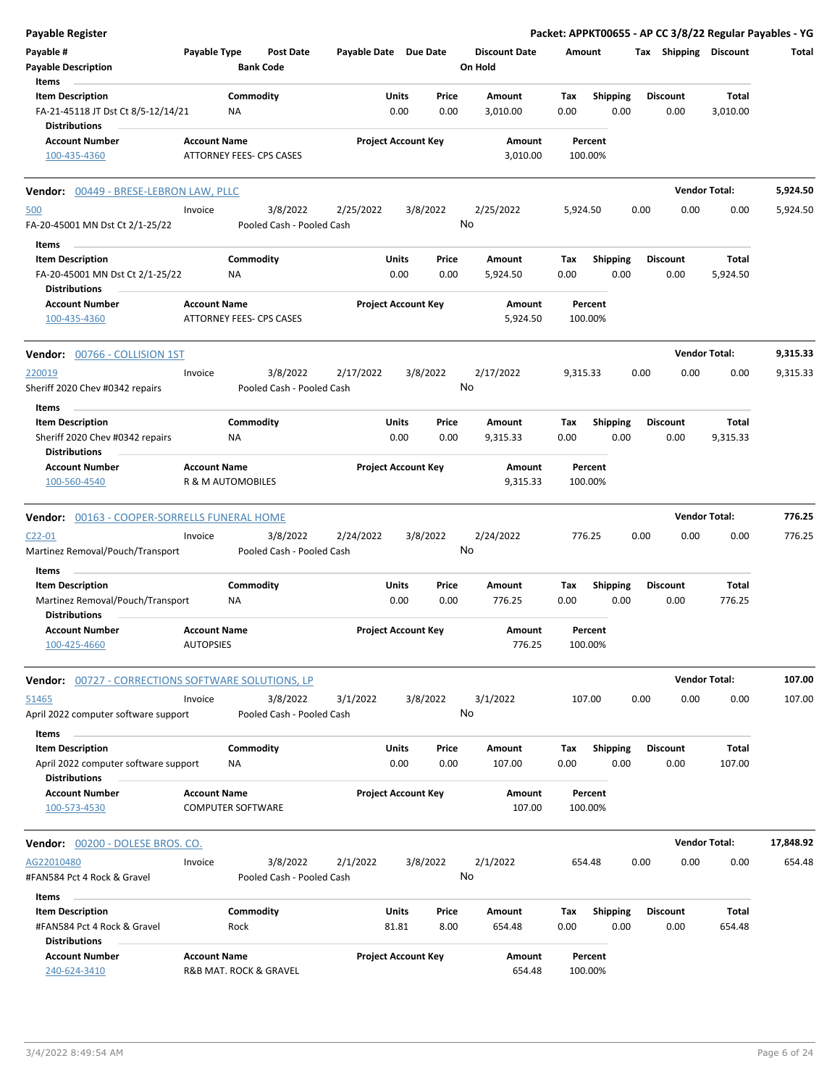| <b>Payable Register</b>                                                                          |                                               |                        |                                       |                       |                |                            |               |                                 |             |                         |      |                         |                      | Packet: APPKT00655 - AP CC 3/8/22 Regular Payables - YG |
|--------------------------------------------------------------------------------------------------|-----------------------------------------------|------------------------|---------------------------------------|-----------------------|----------------|----------------------------|---------------|---------------------------------|-------------|-------------------------|------|-------------------------|----------------------|---------------------------------------------------------|
| Payable #<br>Payable Type<br><b>Payable Description</b><br>Items                                 |                                               | <b>Bank Code</b>       | Post Date                             | Payable Date Due Date |                |                            |               | <b>Discount Date</b><br>On Hold | Amount      |                         |      | Tax Shipping Discount   |                      | Total                                                   |
| <b>Item Description</b><br>FA-21-45118 JT Dst Ct 8/5-12/14/21<br><b>Distributions</b>            |                                               | Commodity<br><b>NA</b> |                                       |                       | Units<br>0.00  |                            | Price<br>0.00 | Amount<br>3,010.00              | Tax<br>0.00 | <b>Shipping</b><br>0.00 |      | <b>Discount</b><br>0.00 | Total<br>3,010.00    |                                                         |
| <b>Account Number</b><br>100-435-4360                                                            | <b>Account Name</b>                           |                        | ATTORNEY FEES- CPS CASES              |                       |                | <b>Project Account Key</b> |               | Amount<br>3,010.00              |             | Percent<br>100.00%      |      |                         |                      |                                                         |
| Vendor: 00449 - BRESE-LEBRON LAW, PLLC                                                           |                                               |                        |                                       |                       |                |                            |               |                                 |             |                         |      |                         | <b>Vendor Total:</b> | 5,924.50                                                |
| 500<br>FA-20-45001 MN Dst Ct 2/1-25/22                                                           | Invoice                                       |                        | 3/8/2022<br>Pooled Cash - Pooled Cash | 2/25/2022             |                | 3/8/2022                   | No            | 2/25/2022                       | 5,924.50    |                         | 0.00 | 0.00                    | 0.00                 | 5,924.50                                                |
| Items<br><b>Item Description</b><br>FA-20-45001 MN Dst Ct 2/1-25/22                              |                                               | Commodity<br>NA        |                                       |                       | Units<br>0.00  |                            | Price<br>0.00 | Amount<br>5,924.50              | Тах<br>0.00 | Shipping<br>0.00        |      | <b>Discount</b><br>0.00 | Total<br>5,924.50    |                                                         |
| <b>Distributions</b><br><b>Account Number</b><br>100-435-4360                                    | <b>Account Name</b>                           |                        | ATTORNEY FEES- CPS CASES              |                       |                | <b>Project Account Key</b> |               | Amount<br>5,924.50              |             | Percent<br>100.00%      |      |                         |                      |                                                         |
| Vendor: 00766 - COLLISION 1ST                                                                    |                                               |                        |                                       |                       |                |                            |               |                                 |             |                         |      |                         | <b>Vendor Total:</b> | 9,315.33                                                |
| 220019<br>Sheriff 2020 Chev #0342 repairs                                                        | Invoice                                       |                        | 3/8/2022<br>Pooled Cash - Pooled Cash | 2/17/2022             |                | 3/8/2022                   | No            | 2/17/2022                       | 9,315.33    |                         | 0.00 | 0.00                    | 0.00                 | 9,315.33                                                |
| Items<br><b>Item Description</b>                                                                 |                                               | Commodity              |                                       |                       | Units          |                            | Price         | Amount                          | Тах         | Shipping                |      | <b>Discount</b>         | <b>Total</b>         |                                                         |
| Sheriff 2020 Chev #0342 repairs<br><b>Distributions</b>                                          |                                               | ΝA                     |                                       |                       | 0.00           |                            | 0.00          | 9,315.33                        | 0.00        | 0.00                    |      | 0.00                    | 9,315.33             |                                                         |
| <b>Account Number</b><br>100-560-4540                                                            | <b>Account Name</b><br>R & M AUTOMOBILES      |                        |                                       |                       |                | <b>Project Account Key</b> |               | Amount<br>9,315.33              |             | Percent<br>100.00%      |      |                         |                      |                                                         |
| Vendor: 00163 - COOPER-SORRELLS FUNERAL HOME                                                     |                                               |                        |                                       |                       |                |                            |               |                                 |             |                         |      |                         | <b>Vendor Total:</b> | 776.25                                                  |
| $C22 - 01$<br>Martinez Removal/Pouch/Transport                                                   | Invoice                                       |                        | 3/8/2022<br>Pooled Cash - Pooled Cash | 2/24/2022             |                | 3/8/2022                   | No            | 2/24/2022                       |             | 776.25                  | 0.00 | 0.00                    | 0.00                 | 776.25                                                  |
| Items<br><b>Item Description</b>                                                                 |                                               | Commodity              |                                       |                       | Units          |                            | Price         | Amount                          | Тах         | <b>Shipping</b>         |      | <b>Discount</b>         | Total                |                                                         |
| Martinez Removal/Pouch/Transport<br><b>Distributions</b>                                         |                                               | NA                     |                                       |                       | 0.00           |                            | 0.00          | 776.25                          | 0.00        | 0.00                    |      | 0.00                    | 776.25               |                                                         |
| <b>Account Number</b><br>100-425-4660                                                            | <b>Account Name</b><br><b>AUTOPSIES</b>       |                        |                                       |                       |                | <b>Project Account Key</b> |               | Amount<br>776.25                |             | Percent<br>100.00%      |      |                         |                      |                                                         |
| Vendor: 00727 - CORRECTIONS SOFTWARE SOLUTIONS, LP                                               |                                               |                        |                                       |                       |                |                            |               |                                 |             |                         |      |                         | <b>Vendor Total:</b> | 107.00                                                  |
| 51465<br>April 2022 computer software support                                                    | Invoice                                       |                        | 3/8/2022<br>Pooled Cash - Pooled Cash | 3/1/2022              |                | 3/8/2022                   | No            | 3/1/2022                        |             | 107.00                  | 0.00 | 0.00                    | 0.00                 | 107.00                                                  |
| Items<br><b>Item Description</b><br>April 2022 computer software support<br><b>Distributions</b> |                                               | Commodity<br>ΝA        |                                       |                       | Units<br>0.00  |                            | Price<br>0.00 | Amount<br>107.00                | Tax<br>0.00 | <b>Shipping</b><br>0.00 |      | Discount<br>0.00        | Total<br>107.00      |                                                         |
| <b>Account Number</b><br>100-573-4530                                                            | <b>Account Name</b><br>COMPUTER SOFTWARE      |                        |                                       |                       |                | <b>Project Account Key</b> |               | Amount<br>107.00                |             | Percent<br>100.00%      |      |                         |                      |                                                         |
| Vendor: 00200 - DOLESE BROS. CO.                                                                 |                                               |                        |                                       |                       |                |                            |               |                                 |             |                         |      |                         | <b>Vendor Total:</b> | 17,848.92                                               |
| AG22010480<br>#FAN584 Pct 4 Rock & Gravel                                                        | Invoice                                       |                        | 3/8/2022<br>Pooled Cash - Pooled Cash | 2/1/2022              |                | 3/8/2022                   | No            | 2/1/2022                        |             | 654.48                  | 0.00 | 0.00                    | 0.00                 | 654.48                                                  |
| Items                                                                                            |                                               |                        |                                       |                       |                |                            |               |                                 |             |                         |      |                         |                      |                                                         |
| <b>Item Description</b><br>#FAN584 Pct 4 Rock & Gravel<br><b>Distributions</b>                   |                                               | Commodity<br>Rock      |                                       |                       | Units<br>81.81 |                            | Price<br>8.00 | Amount<br>654.48                | Tax<br>0.00 | <b>Shipping</b><br>0.00 |      | <b>Discount</b><br>0.00 | Total<br>654.48      |                                                         |
| <b>Account Number</b><br>240-624-3410                                                            | <b>Account Name</b><br>R&B MAT. ROCK & GRAVEL |                        |                                       |                       |                | <b>Project Account Key</b> |               | Amount<br>654.48                |             | Percent<br>100.00%      |      |                         |                      |                                                         |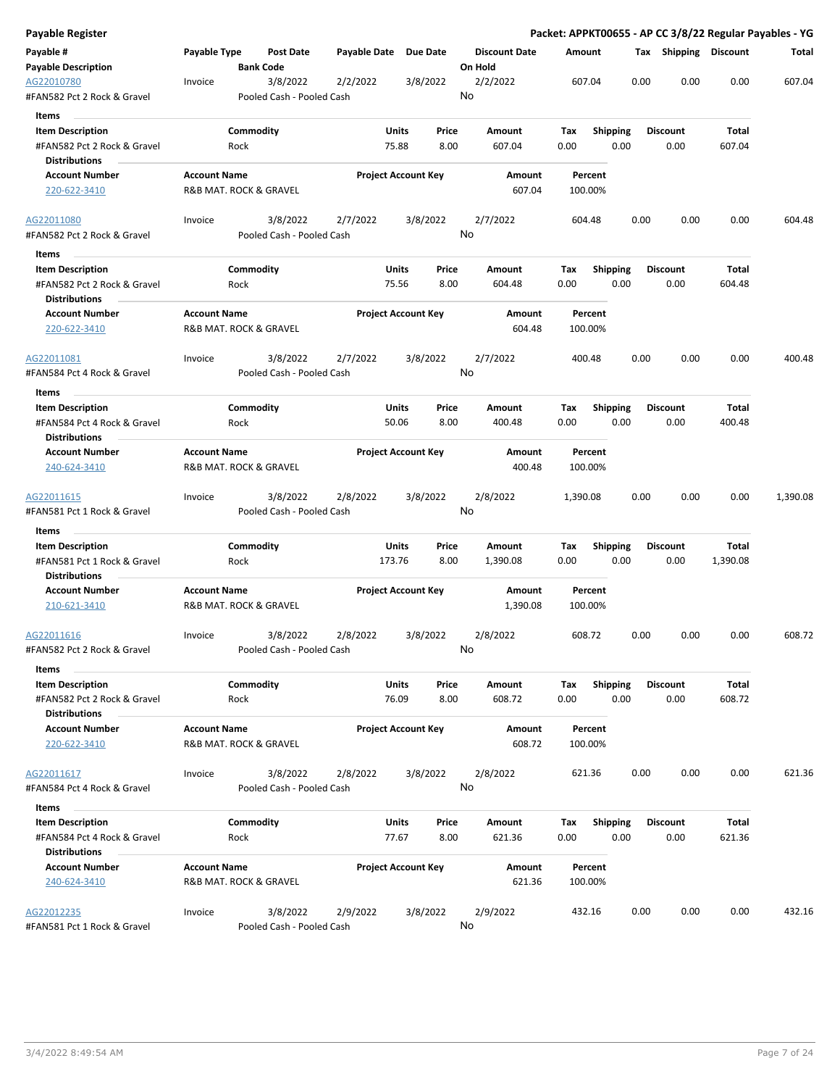| Payable Register                                    |                     |                                       |          |                            |                                 |                    |                 |      |                       |          | Packet: APPKT00655 - AP CC 3/8/22 Regular Payables - YG |
|-----------------------------------------------------|---------------------|---------------------------------------|----------|----------------------------|---------------------------------|--------------------|-----------------|------|-----------------------|----------|---------------------------------------------------------|
| Payable #<br><b>Payable Description</b>             | Payable Type        | Post Date<br><b>Bank Code</b>         |          | Payable Date Due Date      | <b>Discount Date</b><br>On Hold | Amount             |                 |      | Tax Shipping Discount |          | Total                                                   |
| AG22010780<br>#FAN582 Pct 2 Rock & Gravel           | Invoice             | 3/8/2022<br>Pooled Cash - Pooled Cash | 2/2/2022 | 3/8/2022                   | 2/2/2022<br>No                  | 607.04             |                 | 0.00 | 0.00                  | 0.00     | 607.04                                                  |
| Items                                               |                     |                                       |          |                            |                                 |                    |                 |      |                       |          |                                                         |
| <b>Item Description</b>                             |                     | Commodity                             |          | Price<br>Units             | Amount                          | Tax                | <b>Shipping</b> |      | <b>Discount</b>       | Total    |                                                         |
| #FAN582 Pct 2 Rock & Gravel                         |                     | Rock                                  |          | 75.88<br>8.00              | 607.04                          | 0.00               | 0.00            |      | 0.00                  | 607.04   |                                                         |
| <b>Distributions</b>                                |                     |                                       |          |                            |                                 |                    |                 |      |                       |          |                                                         |
| <b>Account Number</b>                               | <b>Account Name</b> |                                       |          | <b>Project Account Key</b> | Amount                          | Percent            |                 |      |                       |          |                                                         |
| 220-622-3410                                        |                     | R&B MAT. ROCK & GRAVEL                |          |                            | 607.04                          | 100.00%            |                 |      |                       |          |                                                         |
| AG22011080                                          | Invoice             | 3/8/2022                              | 2/7/2022 | 3/8/2022                   | 2/7/2022                        | 604.48             |                 | 0.00 | 0.00                  | 0.00     | 604.48                                                  |
| #FAN582 Pct 2 Rock & Gravel<br>Items                |                     | Pooled Cash - Pooled Cash             |          |                            | No                              |                    |                 |      |                       |          |                                                         |
| <b>Item Description</b>                             |                     | Commodity                             |          | Units<br>Price             | Amount                          | Tax                | <b>Shipping</b> |      | <b>Discount</b>       | Total    |                                                         |
| #FAN582 Pct 2 Rock & Gravel<br><b>Distributions</b> |                     | Rock                                  |          | 75.56<br>8.00              | 604.48                          | 0.00               | 0.00            |      | 0.00                  | 604.48   |                                                         |
| <b>Account Number</b><br>220-622-3410               | <b>Account Name</b> | R&B MAT. ROCK & GRAVEL                |          | <b>Project Account Key</b> | Amount<br>604.48                | Percent<br>100.00% |                 |      |                       |          |                                                         |
| AG22011081                                          | Invoice             | 3/8/2022                              | 2/7/2022 | 3/8/2022                   | 2/7/2022                        | 400.48             |                 | 0.00 | 0.00                  | 0.00     | 400.48                                                  |
| #FAN584 Pct 4 Rock & Gravel                         |                     | Pooled Cash - Pooled Cash             |          |                            | No                              |                    |                 |      |                       |          |                                                         |
| Items                                               |                     |                                       |          |                            |                                 |                    |                 |      |                       |          |                                                         |
| <b>Item Description</b>                             |                     | Commodity                             |          | Units<br>Price             | Amount                          | Tax                | <b>Shipping</b> |      | <b>Discount</b>       | Total    |                                                         |
| #FAN584 Pct 4 Rock & Gravel<br><b>Distributions</b> |                     | Rock                                  |          | 50.06<br>8.00              | 400.48                          | 0.00               | 0.00            |      | 0.00                  | 400.48   |                                                         |
| <b>Account Number</b>                               | <b>Account Name</b> |                                       |          | <b>Project Account Key</b> | Amount                          | Percent            |                 |      |                       |          |                                                         |
| 240-624-3410                                        |                     | R&B MAT. ROCK & GRAVEL                |          |                            | 400.48                          | 100.00%            |                 |      |                       |          |                                                         |
| AG22011615<br>#FAN581 Pct 1 Rock & Gravel           | Invoice             | 3/8/2022<br>Pooled Cash - Pooled Cash | 2/8/2022 | 3/8/2022                   | 2/8/2022<br>No                  | 1,390.08           |                 | 0.00 | 0.00                  | 0.00     | 1,390.08                                                |
| Items                                               |                     |                                       |          |                            |                                 |                    |                 |      |                       |          |                                                         |
| <b>Item Description</b>                             |                     | Commodity                             |          | Units<br>Price             | Amount                          | Tax                | Shipping        |      | <b>Discount</b>       | Total    |                                                         |
| #FAN581 Pct 1 Rock & Gravel<br><b>Distributions</b> |                     | Rock                                  |          | 8.00<br>173.76             | 1,390.08                        | 0.00               | 0.00            |      | 0.00                  | 1,390.08 |                                                         |
| <b>Account Number</b>                               | <b>Account Name</b> |                                       |          | <b>Project Account Key</b> | Amount                          | Percent            |                 |      |                       |          |                                                         |
| 210-621-3410                                        |                     | R&B MAT. ROCK & GRAVEL                |          |                            | 1,390.08                        | 100.00%            |                 |      |                       |          |                                                         |
| AG22011616                                          | Invoice             | 3/8/2022                              | 2/8/2022 | 3/8/2022                   | 2/8/2022                        | 608.72             |                 | 0.00 | 0.00                  | 0.00     | 608.72                                                  |
| #FAN582 Pct 2 Rock & Gravel                         |                     | Pooled Cash - Pooled Cash             |          |                            | No                              |                    |                 |      |                       |          |                                                         |
| Items<br><b>Item Description</b>                    |                     | Commodity                             |          | Units<br>Price             | Amount                          | Tax                | Shipping        |      | <b>Discount</b>       | Total    |                                                         |
| #FAN582 Pct 2 Rock & Gravel<br><b>Distributions</b> |                     | Rock                                  |          | 76.09<br>8.00              | 608.72                          | 0.00               | 0.00            |      | 0.00                  | 608.72   |                                                         |
| <b>Account Number</b>                               | <b>Account Name</b> |                                       |          | <b>Project Account Key</b> | Amount                          | Percent            |                 |      |                       |          |                                                         |
| 220-622-3410                                        |                     | R&B MAT. ROCK & GRAVEL                |          |                            | 608.72                          | 100.00%            |                 |      |                       |          |                                                         |
| AG22011617                                          | Invoice             | 3/8/2022                              | 2/8/2022 | 3/8/2022                   | 2/8/2022                        | 621.36             |                 | 0.00 | 0.00                  | 0.00     | 621.36                                                  |
| #FAN584 Pct 4 Rock & Gravel                         |                     | Pooled Cash - Pooled Cash             |          |                            | No                              |                    |                 |      |                       |          |                                                         |
| Items                                               |                     |                                       |          |                            |                                 |                    |                 |      |                       |          |                                                         |
| <b>Item Description</b>                             |                     | Commodity                             |          | <b>Units</b><br>Price      | Amount                          | Tax                | <b>Shipping</b> |      | <b>Discount</b>       | Total    |                                                         |
| #FAN584 Pct 4 Rock & Gravel                         |                     | Rock                                  |          | 77.67<br>8.00              | 621.36                          | 0.00               | 0.00            |      | 0.00                  | 621.36   |                                                         |
| <b>Distributions</b><br><b>Account Number</b>       | <b>Account Name</b> |                                       |          | <b>Project Account Key</b> | Amount                          | Percent            |                 |      |                       |          |                                                         |
| 240-624-3410                                        |                     | R&B MAT. ROCK & GRAVEL                |          |                            | 621.36                          | 100.00%            |                 |      |                       |          |                                                         |
| AG22012235<br>#FAN581 Pct 1 Rock & Gravel           | Invoice             | 3/8/2022<br>Pooled Cash - Pooled Cash | 2/9/2022 | 3/8/2022                   | 2/9/2022<br>No                  | 432.16             |                 | 0.00 | 0.00                  | 0.00     | 432.16                                                  |
|                                                     |                     |                                       |          |                            |                                 |                    |                 |      |                       |          |                                                         |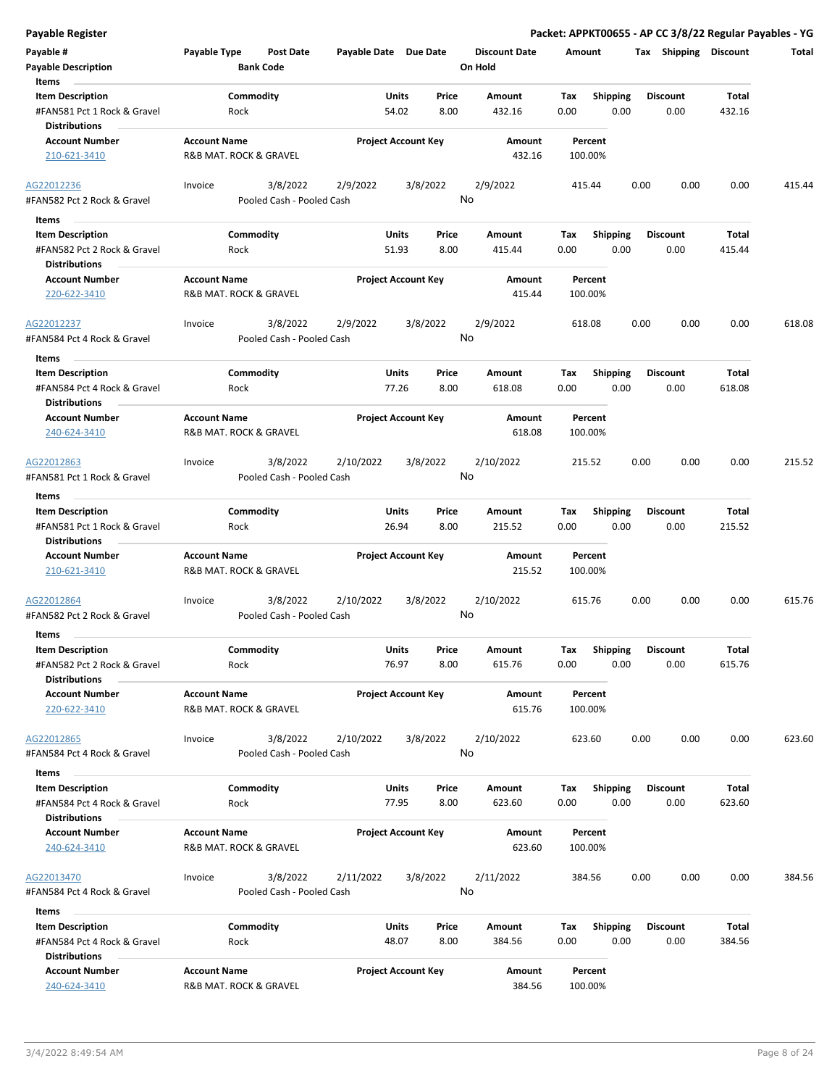|  | Payable Register |
|--|------------------|

**Payable Register Packet: APPKT00655 - AP CC 3/8/22 Regular Payables - YG**

| Payable #                                              | Payable Type           | <b>Post Date</b>          | Payable Date Due Date |                            | <b>Discount Date</b> | Amount      |                         | Tax  | Shipping        | <b>Discount</b> | Total  |
|--------------------------------------------------------|------------------------|---------------------------|-----------------------|----------------------------|----------------------|-------------|-------------------------|------|-----------------|-----------------|--------|
| <b>Payable Description</b>                             |                        | <b>Bank Code</b>          |                       |                            | On Hold              |             |                         |      |                 |                 |        |
| Items                                                  |                        |                           |                       |                            |                      |             |                         |      |                 |                 |        |
| <b>Item Description</b>                                |                        | Commodity                 |                       | Price<br>Units             | Amount               | Tax         | <b>Shipping</b>         |      | <b>Discount</b> | Total           |        |
| #FAN581 Pct 1 Rock & Gravel                            | Rock                   |                           |                       | 54.02<br>8.00              | 432.16               | 0.00        | 0.00                    |      | 0.00            | 432.16          |        |
| <b>Distributions</b>                                   |                        |                           |                       |                            |                      |             |                         |      |                 |                 |        |
| <b>Account Number</b>                                  | <b>Account Name</b>    |                           |                       | <b>Project Account Key</b> | Amount               | Percent     |                         |      |                 |                 |        |
| 210-621-3410                                           | R&B MAT. ROCK & GRAVEL |                           |                       |                            | 432.16               | 100.00%     |                         |      |                 |                 |        |
|                                                        |                        |                           |                       |                            |                      |             |                         |      |                 |                 |        |
| AG22012236                                             | Invoice                | 3/8/2022                  | 2/9/2022              | 3/8/2022                   | 2/9/2022             | 415.44      |                         | 0.00 | 0.00            | 0.00            | 415.44 |
| #FAN582 Pct 2 Rock & Gravel                            |                        | Pooled Cash - Pooled Cash |                       |                            | No                   |             |                         |      |                 |                 |        |
| Items                                                  |                        |                           |                       |                            |                      |             |                         |      |                 |                 |        |
| <b>Item Description</b>                                |                        | Commodity                 |                       | <b>Units</b><br>Price      | Amount               | Tax         | <b>Shipping</b>         |      | <b>Discount</b> | Total           |        |
| #FAN582 Pct 2 Rock & Gravel                            | Rock                   |                           |                       | 51.93<br>8.00              | 415.44               | 0.00        | 0.00                    |      | 0.00            | 415.44          |        |
| <b>Distributions</b>                                   |                        |                           |                       |                            |                      |             |                         |      |                 |                 |        |
| <b>Account Number</b>                                  | <b>Account Name</b>    |                           |                       | <b>Project Account Key</b> | Amount               | Percent     |                         |      |                 |                 |        |
| 220-622-3410                                           | R&B MAT. ROCK & GRAVEL |                           |                       |                            | 415.44               | 100.00%     |                         |      |                 |                 |        |
|                                                        |                        |                           |                       |                            |                      |             |                         |      |                 |                 |        |
| AG22012237                                             | Invoice                | 3/8/2022                  | 2/9/2022              | 3/8/2022                   | 2/9/2022<br>No       | 618.08      |                         | 0.00 | 0.00            | 0.00            | 618.08 |
| #FAN584 Pct 4 Rock & Gravel                            |                        | Pooled Cash - Pooled Cash |                       |                            |                      |             |                         |      |                 |                 |        |
| Items                                                  |                        |                           |                       |                            |                      |             |                         |      |                 |                 |        |
| <b>Item Description</b>                                |                        | Commodity                 |                       | Units<br>Price             | Amount               | Tax         | <b>Shipping</b>         |      | <b>Discount</b> | Total           |        |
| #FAN584 Pct 4 Rock & Gravel                            | Rock                   |                           |                       | 77.26<br>8.00              | 618.08               | 0.00        | 0.00                    |      | 0.00            | 618.08          |        |
| <b>Distributions</b>                                   |                        |                           |                       |                            |                      |             |                         |      |                 |                 |        |
| <b>Account Number</b>                                  | <b>Account Name</b>    |                           |                       | <b>Project Account Key</b> | Amount               | Percent     |                         |      |                 |                 |        |
| 240-624-3410                                           | R&B MAT. ROCK & GRAVEL |                           |                       |                            | 618.08               | 100.00%     |                         |      |                 |                 |        |
| AG22012863                                             | Invoice                | 3/8/2022                  | 2/10/2022             | 3/8/2022                   | 2/10/2022            | 215.52      |                         | 0.00 | 0.00            | 0.00            | 215.52 |
| #FAN581 Pct 1 Rock & Gravel                            |                        | Pooled Cash - Pooled Cash |                       |                            | No                   |             |                         |      |                 |                 |        |
|                                                        |                        |                           |                       |                            |                      |             |                         |      |                 |                 |        |
| Items                                                  |                        |                           |                       | <b>Units</b><br>Price      |                      |             |                         |      | <b>Discount</b> | <b>Total</b>    |        |
| <b>Item Description</b><br>#FAN581 Pct 1 Rock & Gravel |                        | Commodity                 |                       | 26.94<br>8.00              | Amount<br>215.52     | Tax<br>0.00 | <b>Shipping</b><br>0.00 |      | 0.00            | 215.52          |        |
| <b>Distributions</b>                                   | Rock                   |                           |                       |                            |                      |             |                         |      |                 |                 |        |
| <b>Account Number</b>                                  | <b>Account Name</b>    |                           |                       | <b>Project Account Key</b> | Amount               | Percent     |                         |      |                 |                 |        |
| 210-621-3410                                           | R&B MAT. ROCK & GRAVEL |                           |                       |                            | 215.52               | 100.00%     |                         |      |                 |                 |        |
|                                                        |                        |                           |                       |                            |                      |             |                         |      |                 |                 |        |
| AG22012864                                             | Invoice                | 3/8/2022                  | 2/10/2022             | 3/8/2022                   | 2/10/2022            | 615.76      |                         | 0.00 | 0.00            | 0.00            | 615.76 |
| #FAN582 Pct 2 Rock & Gravel                            |                        | Pooled Cash - Pooled Cash |                       |                            | No                   |             |                         |      |                 |                 |        |
| Items                                                  |                        |                           |                       |                            |                      |             |                         |      |                 |                 |        |
| <b>Item Description</b>                                |                        | Commodity                 |                       | Units<br>Price             | Amount               | Tax         | <b>Shipping</b>         |      | <b>Discount</b> | <b>Total</b>    |        |
| #FAN582 Pct 2 Rock & Gravel                            | Rock                   |                           |                       | 76.97<br>8.00              | 615.76               | 0.00        | 0.00                    |      | 0.00            | 615.76          |        |
| <b>Distributions</b>                                   |                        |                           |                       |                            |                      |             |                         |      |                 |                 |        |
| <b>Account Number</b>                                  | <b>Account Name</b>    |                           |                       | <b>Project Account Key</b> | Amount               | Percent     |                         |      |                 |                 |        |
| 220-622-3410                                           | R&B MAT. ROCK & GRAVEL |                           |                       |                            | 615.76               | 100.00%     |                         |      |                 |                 |        |
|                                                        |                        |                           |                       |                            |                      |             |                         |      |                 |                 |        |
| AG22012865                                             | Invoice                | 3/8/2022                  | 2/10/2022             | 3/8/2022                   | 2/10/2022            | 623.60      |                         | 0.00 | 0.00            | 0.00            | 623.60 |
| #FAN584 Pct 4 Rock & Gravel                            |                        | Pooled Cash - Pooled Cash |                       |                            | No                   |             |                         |      |                 |                 |        |
| Items                                                  |                        |                           |                       |                            |                      |             |                         |      |                 |                 |        |
| <b>Item Description</b>                                |                        | Commodity                 |                       | Units<br>Price             | Amount               | Tax         | <b>Shipping</b>         |      | <b>Discount</b> | Total           |        |
| #FAN584 Pct 4 Rock & Gravel                            | Rock                   |                           |                       | 77.95<br>8.00              | 623.60               | 0.00        | 0.00                    |      | 0.00            | 623.60          |        |
| <b>Distributions</b>                                   |                        |                           |                       |                            |                      |             |                         |      |                 |                 |        |
| <b>Account Number</b>                                  | <b>Account Name</b>    |                           |                       | <b>Project Account Key</b> | Amount               | Percent     |                         |      |                 |                 |        |
| 240-624-3410                                           | R&B MAT. ROCK & GRAVEL |                           |                       |                            | 623.60               | 100.00%     |                         |      |                 |                 |        |
|                                                        |                        |                           |                       |                            |                      |             |                         |      |                 |                 |        |
| AG22013470                                             | Invoice                | 3/8/2022                  | 2/11/2022             | 3/8/2022                   | 2/11/2022            | 384.56      |                         | 0.00 | 0.00            | 0.00            | 384.56 |
| #FAN584 Pct 4 Rock & Gravel                            |                        | Pooled Cash - Pooled Cash |                       |                            | No                   |             |                         |      |                 |                 |        |
| Items                                                  |                        |                           |                       |                            |                      |             |                         |      |                 |                 |        |
| <b>Item Description</b>                                |                        | Commodity                 |                       | Units<br>Price             | Amount               | Tax         | <b>Shipping</b>         |      | <b>Discount</b> | Total           |        |
| #FAN584 Pct 4 Rock & Gravel                            | Rock                   |                           |                       | 48.07<br>8.00              | 384.56               | 0.00        | 0.00                    |      | 0.00            | 384.56          |        |
| <b>Distributions</b>                                   |                        |                           |                       |                            |                      |             |                         |      |                 |                 |        |
| <b>Account Number</b>                                  | <b>Account Name</b>    |                           |                       | <b>Project Account Key</b> | Amount               | Percent     |                         |      |                 |                 |        |
| 240-624-3410                                           | R&B MAT. ROCK & GRAVEL |                           |                       |                            | 384.56               | 100.00%     |                         |      |                 |                 |        |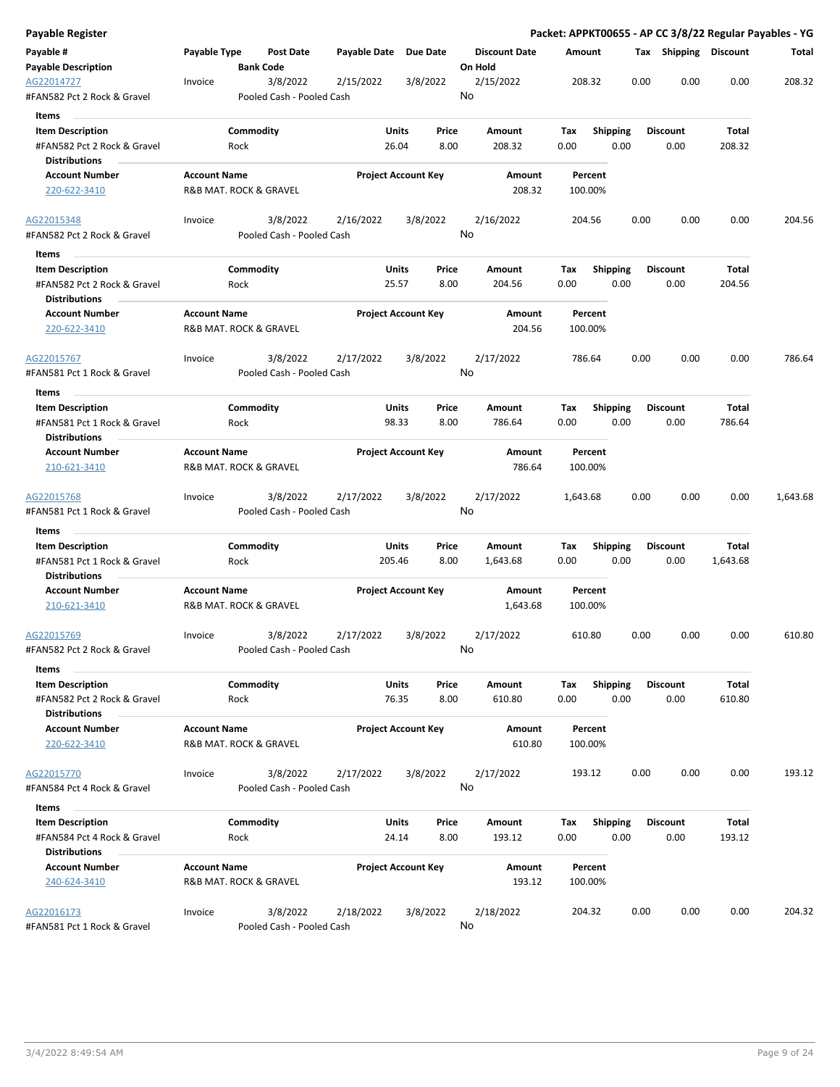| Payable Type<br>Payable Date Due Date<br><b>Discount Date</b><br>Tax Shipping Discount<br>Post Date<br>Amount<br>Total<br><b>Payable Description</b><br><b>Bank Code</b><br>On Hold<br>2/15/2022<br>208.32<br>0.00<br>0.00<br>0.00<br>208.32<br>3/8/2022<br>2/15/2022<br>3/8/2022<br>Invoice<br>No<br>#FAN582 Pct 2 Rock & Gravel<br>Pooled Cash - Pooled Cash<br>Items<br>Commodity<br><b>Item Description</b><br>Units<br>Price<br>Amount<br>Tax<br><b>Shipping</b><br><b>Discount</b><br>Total<br>#FAN582 Pct 2 Rock & Gravel<br>26.04<br>8.00<br>208.32<br>0.00<br>0.00<br>0.00<br>208.32<br>Rock<br><b>Distributions</b><br><b>Account Name</b><br><b>Project Account Key</b><br><b>Account Number</b><br>Amount<br>Percent<br>208.32<br>220-622-3410<br>R&B MAT. ROCK & GRAVEL<br>100.00%<br>3/8/2022<br>2/16/2022<br>3/8/2022<br>2/16/2022<br>0.00<br>0.00<br>0.00<br>204.56<br>Invoice<br>204.56<br>No<br>#FAN582 Pct 2 Rock & Gravel<br>Pooled Cash - Pooled Cash<br>Items<br>Commodity<br>Units<br>Tax<br><b>Shipping</b><br><b>Discount</b><br>Total<br><b>Item Description</b><br>Price<br>Amount<br>0.00<br>#FAN582 Pct 2 Rock & Gravel<br>Rock<br>25.57<br>8.00<br>204.56<br>0.00<br>0.00<br>204.56<br><b>Distributions</b><br><b>Project Account Key</b><br><b>Account Number</b><br><b>Account Name</b><br>Amount<br>Percent<br>R&B MAT. ROCK & GRAVEL<br>204.56<br>220-622-3410<br>100.00%<br>3/8/2022<br>2/17/2022<br>3/8/2022<br>2/17/2022<br>0.00<br>0.00<br>0.00<br>786.64<br>Invoice<br>786.64<br>No<br>Pooled Cash - Pooled Cash<br>Items<br>Commodity<br>Units<br><b>Shipping</b><br><b>Discount</b><br><b>Item Description</b><br>Price<br>Amount<br>Tax<br>Total<br>98.33<br>8.00<br>786.64<br>0.00<br>0.00<br>0.00<br>786.64<br>#FAN581 Pct 1 Rock & Gravel<br>Rock<br><b>Distributions</b><br><b>Project Account Key</b><br><b>Account Number</b><br><b>Account Name</b><br>Amount<br>Percent<br>R&B MAT. ROCK & GRAVEL<br>786.64<br>100.00%<br>210-621-3410<br>3/8/2022<br>2/17/2022<br>3/8/2022<br>2/17/2022<br>0.00<br>0.00<br>0.00<br>Invoice<br>1,643.68<br>1,643.68<br>No<br>Pooled Cash - Pooled Cash<br>Items<br>Commodity<br>Units<br>Shipping<br>Total<br><b>Item Description</b><br>Price<br>Amount<br>Tax<br><b>Discount</b><br>#FAN581 Pct 1 Rock & Gravel<br>8.00<br>0.00<br>0.00<br>0.00<br>Rock<br>205.46<br>1,643.68<br>1,643.68<br>Distributions<br><b>Account Name</b><br><b>Account Number</b><br><b>Project Account Key</b><br>Amount<br>Percent<br>1,643.68<br>210-621-3410<br>R&B MAT. ROCK & GRAVEL<br>100.00%<br>3/8/2022<br>2/17/2022<br>3/8/2022<br>2/17/2022<br>0.00<br>610.80<br>Invoice<br>610.80<br>0.00<br>0.00<br>No<br>#FAN582 Pct 2 Rock & Gravel<br>Pooled Cash - Pooled Cash<br>Items<br><b>Item Description</b><br>Commodity<br><b>Units</b><br>Price<br>Shipping<br>Total<br>Amount<br>Tax<br><b>Discount</b><br>610.80<br>76.35<br>8.00<br>610.80<br>0.00<br>0.00<br>0.00<br>#FAN582 Pct 2 Rock & Gravel<br>Rock<br><b>Distributions</b><br><b>Account Name</b><br><b>Project Account Key</b><br><b>Account Number</b><br>Amount<br>Percent<br>220-622-3410<br>R&B MAT. ROCK & GRAVEL<br>610.80<br>100.00%<br>0.00<br>193.12<br>3/8/2022<br>2/17/2022<br>3/8/2022<br>2/17/2022<br>193.12<br>0.00<br>0.00<br>Invoice<br>No<br>Pooled Cash - Pooled Cash<br>#FAN584 Pct 4 Rock & Gravel<br>Items<br>Commodity<br>Units<br><b>Shipping</b><br><b>Discount</b><br>Total<br><b>Item Description</b><br>Price<br>Amount<br>Tax<br>#FAN584 Pct 4 Rock & Gravel<br>Rock<br>24.14<br>8.00<br>193.12<br>0.00<br>0.00<br>0.00<br>193.12<br><b>Distributions</b><br><b>Account Name</b><br><b>Project Account Key</b><br><b>Account Number</b><br>Amount<br>Percent<br>193.12<br>240-624-3410<br>R&B MAT. ROCK & GRAVEL<br>100.00%<br>3/8/2022<br>2/18/2022<br>3/8/2022<br>2/18/2022<br>204.32<br>0.00<br>0.00<br>0.00<br>204.32<br>Invoice<br>Pooled Cash - Pooled Cash | Payable Register                          |  |  |    |  |  | Packet: APPKT00655 - AP CC 3/8/22 Regular Payables - YG |
|----------------------------------------------------------------------------------------------------------------------------------------------------------------------------------------------------------------------------------------------------------------------------------------------------------------------------------------------------------------------------------------------------------------------------------------------------------------------------------------------------------------------------------------------------------------------------------------------------------------------------------------------------------------------------------------------------------------------------------------------------------------------------------------------------------------------------------------------------------------------------------------------------------------------------------------------------------------------------------------------------------------------------------------------------------------------------------------------------------------------------------------------------------------------------------------------------------------------------------------------------------------------------------------------------------------------------------------------------------------------------------------------------------------------------------------------------------------------------------------------------------------------------------------------------------------------------------------------------------------------------------------------------------------------------------------------------------------------------------------------------------------------------------------------------------------------------------------------------------------------------------------------------------------------------------------------------------------------------------------------------------------------------------------------------------------------------------------------------------------------------------------------------------------------------------------------------------------------------------------------------------------------------------------------------------------------------------------------------------------------------------------------------------------------------------------------------------------------------------------------------------------------------------------------------------------------------------------------------------------------------------------------------------------------------------------------------------------------------------------------------------------------------------------------------------------------------------------------------------------------------------------------------------------------------------------------------------------------------------------------------------------------------------------------------------------------------------------------------------------------------------------------------------------------------------------------------------------------------------------------------------------------------------------------------------------------------------------------------------------------------------------------------------------------------------------------------------------------------------------------------------------------------------------------------------------------------------------------------------------------------------------------------------------------------------------------------------------------------------------------------------------------------------------------------------------------------------------------------------------------------------------------------------------------------------|-------------------------------------------|--|--|----|--|--|---------------------------------------------------------|
|                                                                                                                                                                                                                                                                                                                                                                                                                                                                                                                                                                                                                                                                                                                                                                                                                                                                                                                                                                                                                                                                                                                                                                                                                                                                                                                                                                                                                                                                                                                                                                                                                                                                                                                                                                                                                                                                                                                                                                                                                                                                                                                                                                                                                                                                                                                                                                                                                                                                                                                                                                                                                                                                                                                                                                                                                                                                                                                                                                                                                                                                                                                                                                                                                                                                                                                                                                                                                                                                                                                                                                                                                                                                                                                                                                                                                                                                                                                                  | Payable #                                 |  |  |    |  |  |                                                         |
|                                                                                                                                                                                                                                                                                                                                                                                                                                                                                                                                                                                                                                                                                                                                                                                                                                                                                                                                                                                                                                                                                                                                                                                                                                                                                                                                                                                                                                                                                                                                                                                                                                                                                                                                                                                                                                                                                                                                                                                                                                                                                                                                                                                                                                                                                                                                                                                                                                                                                                                                                                                                                                                                                                                                                                                                                                                                                                                                                                                                                                                                                                                                                                                                                                                                                                                                                                                                                                                                                                                                                                                                                                                                                                                                                                                                                                                                                                                                  |                                           |  |  |    |  |  |                                                         |
|                                                                                                                                                                                                                                                                                                                                                                                                                                                                                                                                                                                                                                                                                                                                                                                                                                                                                                                                                                                                                                                                                                                                                                                                                                                                                                                                                                                                                                                                                                                                                                                                                                                                                                                                                                                                                                                                                                                                                                                                                                                                                                                                                                                                                                                                                                                                                                                                                                                                                                                                                                                                                                                                                                                                                                                                                                                                                                                                                                                                                                                                                                                                                                                                                                                                                                                                                                                                                                                                                                                                                                                                                                                                                                                                                                                                                                                                                                                                  | AG22014727                                |  |  |    |  |  |                                                         |
|                                                                                                                                                                                                                                                                                                                                                                                                                                                                                                                                                                                                                                                                                                                                                                                                                                                                                                                                                                                                                                                                                                                                                                                                                                                                                                                                                                                                                                                                                                                                                                                                                                                                                                                                                                                                                                                                                                                                                                                                                                                                                                                                                                                                                                                                                                                                                                                                                                                                                                                                                                                                                                                                                                                                                                                                                                                                                                                                                                                                                                                                                                                                                                                                                                                                                                                                                                                                                                                                                                                                                                                                                                                                                                                                                                                                                                                                                                                                  |                                           |  |  |    |  |  |                                                         |
|                                                                                                                                                                                                                                                                                                                                                                                                                                                                                                                                                                                                                                                                                                                                                                                                                                                                                                                                                                                                                                                                                                                                                                                                                                                                                                                                                                                                                                                                                                                                                                                                                                                                                                                                                                                                                                                                                                                                                                                                                                                                                                                                                                                                                                                                                                                                                                                                                                                                                                                                                                                                                                                                                                                                                                                                                                                                                                                                                                                                                                                                                                                                                                                                                                                                                                                                                                                                                                                                                                                                                                                                                                                                                                                                                                                                                                                                                                                                  |                                           |  |  |    |  |  |                                                         |
|                                                                                                                                                                                                                                                                                                                                                                                                                                                                                                                                                                                                                                                                                                                                                                                                                                                                                                                                                                                                                                                                                                                                                                                                                                                                                                                                                                                                                                                                                                                                                                                                                                                                                                                                                                                                                                                                                                                                                                                                                                                                                                                                                                                                                                                                                                                                                                                                                                                                                                                                                                                                                                                                                                                                                                                                                                                                                                                                                                                                                                                                                                                                                                                                                                                                                                                                                                                                                                                                                                                                                                                                                                                                                                                                                                                                                                                                                                                                  |                                           |  |  |    |  |  |                                                         |
|                                                                                                                                                                                                                                                                                                                                                                                                                                                                                                                                                                                                                                                                                                                                                                                                                                                                                                                                                                                                                                                                                                                                                                                                                                                                                                                                                                                                                                                                                                                                                                                                                                                                                                                                                                                                                                                                                                                                                                                                                                                                                                                                                                                                                                                                                                                                                                                                                                                                                                                                                                                                                                                                                                                                                                                                                                                                                                                                                                                                                                                                                                                                                                                                                                                                                                                                                                                                                                                                                                                                                                                                                                                                                                                                                                                                                                                                                                                                  |                                           |  |  |    |  |  |                                                         |
|                                                                                                                                                                                                                                                                                                                                                                                                                                                                                                                                                                                                                                                                                                                                                                                                                                                                                                                                                                                                                                                                                                                                                                                                                                                                                                                                                                                                                                                                                                                                                                                                                                                                                                                                                                                                                                                                                                                                                                                                                                                                                                                                                                                                                                                                                                                                                                                                                                                                                                                                                                                                                                                                                                                                                                                                                                                                                                                                                                                                                                                                                                                                                                                                                                                                                                                                                                                                                                                                                                                                                                                                                                                                                                                                                                                                                                                                                                                                  |                                           |  |  |    |  |  |                                                         |
|                                                                                                                                                                                                                                                                                                                                                                                                                                                                                                                                                                                                                                                                                                                                                                                                                                                                                                                                                                                                                                                                                                                                                                                                                                                                                                                                                                                                                                                                                                                                                                                                                                                                                                                                                                                                                                                                                                                                                                                                                                                                                                                                                                                                                                                                                                                                                                                                                                                                                                                                                                                                                                                                                                                                                                                                                                                                                                                                                                                                                                                                                                                                                                                                                                                                                                                                                                                                                                                                                                                                                                                                                                                                                                                                                                                                                                                                                                                                  |                                           |  |  |    |  |  |                                                         |
|                                                                                                                                                                                                                                                                                                                                                                                                                                                                                                                                                                                                                                                                                                                                                                                                                                                                                                                                                                                                                                                                                                                                                                                                                                                                                                                                                                                                                                                                                                                                                                                                                                                                                                                                                                                                                                                                                                                                                                                                                                                                                                                                                                                                                                                                                                                                                                                                                                                                                                                                                                                                                                                                                                                                                                                                                                                                                                                                                                                                                                                                                                                                                                                                                                                                                                                                                                                                                                                                                                                                                                                                                                                                                                                                                                                                                                                                                                                                  | AG22015348                                |  |  |    |  |  |                                                         |
|                                                                                                                                                                                                                                                                                                                                                                                                                                                                                                                                                                                                                                                                                                                                                                                                                                                                                                                                                                                                                                                                                                                                                                                                                                                                                                                                                                                                                                                                                                                                                                                                                                                                                                                                                                                                                                                                                                                                                                                                                                                                                                                                                                                                                                                                                                                                                                                                                                                                                                                                                                                                                                                                                                                                                                                                                                                                                                                                                                                                                                                                                                                                                                                                                                                                                                                                                                                                                                                                                                                                                                                                                                                                                                                                                                                                                                                                                                                                  |                                           |  |  |    |  |  |                                                         |
|                                                                                                                                                                                                                                                                                                                                                                                                                                                                                                                                                                                                                                                                                                                                                                                                                                                                                                                                                                                                                                                                                                                                                                                                                                                                                                                                                                                                                                                                                                                                                                                                                                                                                                                                                                                                                                                                                                                                                                                                                                                                                                                                                                                                                                                                                                                                                                                                                                                                                                                                                                                                                                                                                                                                                                                                                                                                                                                                                                                                                                                                                                                                                                                                                                                                                                                                                                                                                                                                                                                                                                                                                                                                                                                                                                                                                                                                                                                                  |                                           |  |  |    |  |  |                                                         |
|                                                                                                                                                                                                                                                                                                                                                                                                                                                                                                                                                                                                                                                                                                                                                                                                                                                                                                                                                                                                                                                                                                                                                                                                                                                                                                                                                                                                                                                                                                                                                                                                                                                                                                                                                                                                                                                                                                                                                                                                                                                                                                                                                                                                                                                                                                                                                                                                                                                                                                                                                                                                                                                                                                                                                                                                                                                                                                                                                                                                                                                                                                                                                                                                                                                                                                                                                                                                                                                                                                                                                                                                                                                                                                                                                                                                                                                                                                                                  |                                           |  |  |    |  |  |                                                         |
|                                                                                                                                                                                                                                                                                                                                                                                                                                                                                                                                                                                                                                                                                                                                                                                                                                                                                                                                                                                                                                                                                                                                                                                                                                                                                                                                                                                                                                                                                                                                                                                                                                                                                                                                                                                                                                                                                                                                                                                                                                                                                                                                                                                                                                                                                                                                                                                                                                                                                                                                                                                                                                                                                                                                                                                                                                                                                                                                                                                                                                                                                                                                                                                                                                                                                                                                                                                                                                                                                                                                                                                                                                                                                                                                                                                                                                                                                                                                  |                                           |  |  |    |  |  |                                                         |
|                                                                                                                                                                                                                                                                                                                                                                                                                                                                                                                                                                                                                                                                                                                                                                                                                                                                                                                                                                                                                                                                                                                                                                                                                                                                                                                                                                                                                                                                                                                                                                                                                                                                                                                                                                                                                                                                                                                                                                                                                                                                                                                                                                                                                                                                                                                                                                                                                                                                                                                                                                                                                                                                                                                                                                                                                                                                                                                                                                                                                                                                                                                                                                                                                                                                                                                                                                                                                                                                                                                                                                                                                                                                                                                                                                                                                                                                                                                                  | AG22015767                                |  |  |    |  |  |                                                         |
|                                                                                                                                                                                                                                                                                                                                                                                                                                                                                                                                                                                                                                                                                                                                                                                                                                                                                                                                                                                                                                                                                                                                                                                                                                                                                                                                                                                                                                                                                                                                                                                                                                                                                                                                                                                                                                                                                                                                                                                                                                                                                                                                                                                                                                                                                                                                                                                                                                                                                                                                                                                                                                                                                                                                                                                                                                                                                                                                                                                                                                                                                                                                                                                                                                                                                                                                                                                                                                                                                                                                                                                                                                                                                                                                                                                                                                                                                                                                  | #FAN581 Pct 1 Rock & Gravel               |  |  |    |  |  |                                                         |
|                                                                                                                                                                                                                                                                                                                                                                                                                                                                                                                                                                                                                                                                                                                                                                                                                                                                                                                                                                                                                                                                                                                                                                                                                                                                                                                                                                                                                                                                                                                                                                                                                                                                                                                                                                                                                                                                                                                                                                                                                                                                                                                                                                                                                                                                                                                                                                                                                                                                                                                                                                                                                                                                                                                                                                                                                                                                                                                                                                                                                                                                                                                                                                                                                                                                                                                                                                                                                                                                                                                                                                                                                                                                                                                                                                                                                                                                                                                                  |                                           |  |  |    |  |  |                                                         |
|                                                                                                                                                                                                                                                                                                                                                                                                                                                                                                                                                                                                                                                                                                                                                                                                                                                                                                                                                                                                                                                                                                                                                                                                                                                                                                                                                                                                                                                                                                                                                                                                                                                                                                                                                                                                                                                                                                                                                                                                                                                                                                                                                                                                                                                                                                                                                                                                                                                                                                                                                                                                                                                                                                                                                                                                                                                                                                                                                                                                                                                                                                                                                                                                                                                                                                                                                                                                                                                                                                                                                                                                                                                                                                                                                                                                                                                                                                                                  |                                           |  |  |    |  |  |                                                         |
|                                                                                                                                                                                                                                                                                                                                                                                                                                                                                                                                                                                                                                                                                                                                                                                                                                                                                                                                                                                                                                                                                                                                                                                                                                                                                                                                                                                                                                                                                                                                                                                                                                                                                                                                                                                                                                                                                                                                                                                                                                                                                                                                                                                                                                                                                                                                                                                                                                                                                                                                                                                                                                                                                                                                                                                                                                                                                                                                                                                                                                                                                                                                                                                                                                                                                                                                                                                                                                                                                                                                                                                                                                                                                                                                                                                                                                                                                                                                  |                                           |  |  |    |  |  |                                                         |
|                                                                                                                                                                                                                                                                                                                                                                                                                                                                                                                                                                                                                                                                                                                                                                                                                                                                                                                                                                                                                                                                                                                                                                                                                                                                                                                                                                                                                                                                                                                                                                                                                                                                                                                                                                                                                                                                                                                                                                                                                                                                                                                                                                                                                                                                                                                                                                                                                                                                                                                                                                                                                                                                                                                                                                                                                                                                                                                                                                                                                                                                                                                                                                                                                                                                                                                                                                                                                                                                                                                                                                                                                                                                                                                                                                                                                                                                                                                                  |                                           |  |  |    |  |  |                                                         |
|                                                                                                                                                                                                                                                                                                                                                                                                                                                                                                                                                                                                                                                                                                                                                                                                                                                                                                                                                                                                                                                                                                                                                                                                                                                                                                                                                                                                                                                                                                                                                                                                                                                                                                                                                                                                                                                                                                                                                                                                                                                                                                                                                                                                                                                                                                                                                                                                                                                                                                                                                                                                                                                                                                                                                                                                                                                                                                                                                                                                                                                                                                                                                                                                                                                                                                                                                                                                                                                                                                                                                                                                                                                                                                                                                                                                                                                                                                                                  |                                           |  |  |    |  |  |                                                         |
|                                                                                                                                                                                                                                                                                                                                                                                                                                                                                                                                                                                                                                                                                                                                                                                                                                                                                                                                                                                                                                                                                                                                                                                                                                                                                                                                                                                                                                                                                                                                                                                                                                                                                                                                                                                                                                                                                                                                                                                                                                                                                                                                                                                                                                                                                                                                                                                                                                                                                                                                                                                                                                                                                                                                                                                                                                                                                                                                                                                                                                                                                                                                                                                                                                                                                                                                                                                                                                                                                                                                                                                                                                                                                                                                                                                                                                                                                                                                  | AG22015768<br>#FAN581 Pct 1 Rock & Gravel |  |  |    |  |  |                                                         |
|                                                                                                                                                                                                                                                                                                                                                                                                                                                                                                                                                                                                                                                                                                                                                                                                                                                                                                                                                                                                                                                                                                                                                                                                                                                                                                                                                                                                                                                                                                                                                                                                                                                                                                                                                                                                                                                                                                                                                                                                                                                                                                                                                                                                                                                                                                                                                                                                                                                                                                                                                                                                                                                                                                                                                                                                                                                                                                                                                                                                                                                                                                                                                                                                                                                                                                                                                                                                                                                                                                                                                                                                                                                                                                                                                                                                                                                                                                                                  |                                           |  |  |    |  |  |                                                         |
|                                                                                                                                                                                                                                                                                                                                                                                                                                                                                                                                                                                                                                                                                                                                                                                                                                                                                                                                                                                                                                                                                                                                                                                                                                                                                                                                                                                                                                                                                                                                                                                                                                                                                                                                                                                                                                                                                                                                                                                                                                                                                                                                                                                                                                                                                                                                                                                                                                                                                                                                                                                                                                                                                                                                                                                                                                                                                                                                                                                                                                                                                                                                                                                                                                                                                                                                                                                                                                                                                                                                                                                                                                                                                                                                                                                                                                                                                                                                  |                                           |  |  |    |  |  |                                                         |
|                                                                                                                                                                                                                                                                                                                                                                                                                                                                                                                                                                                                                                                                                                                                                                                                                                                                                                                                                                                                                                                                                                                                                                                                                                                                                                                                                                                                                                                                                                                                                                                                                                                                                                                                                                                                                                                                                                                                                                                                                                                                                                                                                                                                                                                                                                                                                                                                                                                                                                                                                                                                                                                                                                                                                                                                                                                                                                                                                                                                                                                                                                                                                                                                                                                                                                                                                                                                                                                                                                                                                                                                                                                                                                                                                                                                                                                                                                                                  |                                           |  |  |    |  |  |                                                         |
|                                                                                                                                                                                                                                                                                                                                                                                                                                                                                                                                                                                                                                                                                                                                                                                                                                                                                                                                                                                                                                                                                                                                                                                                                                                                                                                                                                                                                                                                                                                                                                                                                                                                                                                                                                                                                                                                                                                                                                                                                                                                                                                                                                                                                                                                                                                                                                                                                                                                                                                                                                                                                                                                                                                                                                                                                                                                                                                                                                                                                                                                                                                                                                                                                                                                                                                                                                                                                                                                                                                                                                                                                                                                                                                                                                                                                                                                                                                                  |                                           |  |  |    |  |  |                                                         |
|                                                                                                                                                                                                                                                                                                                                                                                                                                                                                                                                                                                                                                                                                                                                                                                                                                                                                                                                                                                                                                                                                                                                                                                                                                                                                                                                                                                                                                                                                                                                                                                                                                                                                                                                                                                                                                                                                                                                                                                                                                                                                                                                                                                                                                                                                                                                                                                                                                                                                                                                                                                                                                                                                                                                                                                                                                                                                                                                                                                                                                                                                                                                                                                                                                                                                                                                                                                                                                                                                                                                                                                                                                                                                                                                                                                                                                                                                                                                  |                                           |  |  |    |  |  |                                                         |
|                                                                                                                                                                                                                                                                                                                                                                                                                                                                                                                                                                                                                                                                                                                                                                                                                                                                                                                                                                                                                                                                                                                                                                                                                                                                                                                                                                                                                                                                                                                                                                                                                                                                                                                                                                                                                                                                                                                                                                                                                                                                                                                                                                                                                                                                                                                                                                                                                                                                                                                                                                                                                                                                                                                                                                                                                                                                                                                                                                                                                                                                                                                                                                                                                                                                                                                                                                                                                                                                                                                                                                                                                                                                                                                                                                                                                                                                                                                                  | AG22015769                                |  |  |    |  |  |                                                         |
|                                                                                                                                                                                                                                                                                                                                                                                                                                                                                                                                                                                                                                                                                                                                                                                                                                                                                                                                                                                                                                                                                                                                                                                                                                                                                                                                                                                                                                                                                                                                                                                                                                                                                                                                                                                                                                                                                                                                                                                                                                                                                                                                                                                                                                                                                                                                                                                                                                                                                                                                                                                                                                                                                                                                                                                                                                                                                                                                                                                                                                                                                                                                                                                                                                                                                                                                                                                                                                                                                                                                                                                                                                                                                                                                                                                                                                                                                                                                  |                                           |  |  |    |  |  |                                                         |
|                                                                                                                                                                                                                                                                                                                                                                                                                                                                                                                                                                                                                                                                                                                                                                                                                                                                                                                                                                                                                                                                                                                                                                                                                                                                                                                                                                                                                                                                                                                                                                                                                                                                                                                                                                                                                                                                                                                                                                                                                                                                                                                                                                                                                                                                                                                                                                                                                                                                                                                                                                                                                                                                                                                                                                                                                                                                                                                                                                                                                                                                                                                                                                                                                                                                                                                                                                                                                                                                                                                                                                                                                                                                                                                                                                                                                                                                                                                                  |                                           |  |  |    |  |  |                                                         |
|                                                                                                                                                                                                                                                                                                                                                                                                                                                                                                                                                                                                                                                                                                                                                                                                                                                                                                                                                                                                                                                                                                                                                                                                                                                                                                                                                                                                                                                                                                                                                                                                                                                                                                                                                                                                                                                                                                                                                                                                                                                                                                                                                                                                                                                                                                                                                                                                                                                                                                                                                                                                                                                                                                                                                                                                                                                                                                                                                                                                                                                                                                                                                                                                                                                                                                                                                                                                                                                                                                                                                                                                                                                                                                                                                                                                                                                                                                                                  |                                           |  |  |    |  |  |                                                         |
|                                                                                                                                                                                                                                                                                                                                                                                                                                                                                                                                                                                                                                                                                                                                                                                                                                                                                                                                                                                                                                                                                                                                                                                                                                                                                                                                                                                                                                                                                                                                                                                                                                                                                                                                                                                                                                                                                                                                                                                                                                                                                                                                                                                                                                                                                                                                                                                                                                                                                                                                                                                                                                                                                                                                                                                                                                                                                                                                                                                                                                                                                                                                                                                                                                                                                                                                                                                                                                                                                                                                                                                                                                                                                                                                                                                                                                                                                                                                  |                                           |  |  |    |  |  |                                                         |
|                                                                                                                                                                                                                                                                                                                                                                                                                                                                                                                                                                                                                                                                                                                                                                                                                                                                                                                                                                                                                                                                                                                                                                                                                                                                                                                                                                                                                                                                                                                                                                                                                                                                                                                                                                                                                                                                                                                                                                                                                                                                                                                                                                                                                                                                                                                                                                                                                                                                                                                                                                                                                                                                                                                                                                                                                                                                                                                                                                                                                                                                                                                                                                                                                                                                                                                                                                                                                                                                                                                                                                                                                                                                                                                                                                                                                                                                                                                                  |                                           |  |  |    |  |  |                                                         |
|                                                                                                                                                                                                                                                                                                                                                                                                                                                                                                                                                                                                                                                                                                                                                                                                                                                                                                                                                                                                                                                                                                                                                                                                                                                                                                                                                                                                                                                                                                                                                                                                                                                                                                                                                                                                                                                                                                                                                                                                                                                                                                                                                                                                                                                                                                                                                                                                                                                                                                                                                                                                                                                                                                                                                                                                                                                                                                                                                                                                                                                                                                                                                                                                                                                                                                                                                                                                                                                                                                                                                                                                                                                                                                                                                                                                                                                                                                                                  | AG22015770                                |  |  |    |  |  |                                                         |
|                                                                                                                                                                                                                                                                                                                                                                                                                                                                                                                                                                                                                                                                                                                                                                                                                                                                                                                                                                                                                                                                                                                                                                                                                                                                                                                                                                                                                                                                                                                                                                                                                                                                                                                                                                                                                                                                                                                                                                                                                                                                                                                                                                                                                                                                                                                                                                                                                                                                                                                                                                                                                                                                                                                                                                                                                                                                                                                                                                                                                                                                                                                                                                                                                                                                                                                                                                                                                                                                                                                                                                                                                                                                                                                                                                                                                                                                                                                                  |                                           |  |  |    |  |  |                                                         |
|                                                                                                                                                                                                                                                                                                                                                                                                                                                                                                                                                                                                                                                                                                                                                                                                                                                                                                                                                                                                                                                                                                                                                                                                                                                                                                                                                                                                                                                                                                                                                                                                                                                                                                                                                                                                                                                                                                                                                                                                                                                                                                                                                                                                                                                                                                                                                                                                                                                                                                                                                                                                                                                                                                                                                                                                                                                                                                                                                                                                                                                                                                                                                                                                                                                                                                                                                                                                                                                                                                                                                                                                                                                                                                                                                                                                                                                                                                                                  |                                           |  |  |    |  |  |                                                         |
|                                                                                                                                                                                                                                                                                                                                                                                                                                                                                                                                                                                                                                                                                                                                                                                                                                                                                                                                                                                                                                                                                                                                                                                                                                                                                                                                                                                                                                                                                                                                                                                                                                                                                                                                                                                                                                                                                                                                                                                                                                                                                                                                                                                                                                                                                                                                                                                                                                                                                                                                                                                                                                                                                                                                                                                                                                                                                                                                                                                                                                                                                                                                                                                                                                                                                                                                                                                                                                                                                                                                                                                                                                                                                                                                                                                                                                                                                                                                  |                                           |  |  |    |  |  |                                                         |
|                                                                                                                                                                                                                                                                                                                                                                                                                                                                                                                                                                                                                                                                                                                                                                                                                                                                                                                                                                                                                                                                                                                                                                                                                                                                                                                                                                                                                                                                                                                                                                                                                                                                                                                                                                                                                                                                                                                                                                                                                                                                                                                                                                                                                                                                                                                                                                                                                                                                                                                                                                                                                                                                                                                                                                                                                                                                                                                                                                                                                                                                                                                                                                                                                                                                                                                                                                                                                                                                                                                                                                                                                                                                                                                                                                                                                                                                                                                                  |                                           |  |  |    |  |  |                                                         |
|                                                                                                                                                                                                                                                                                                                                                                                                                                                                                                                                                                                                                                                                                                                                                                                                                                                                                                                                                                                                                                                                                                                                                                                                                                                                                                                                                                                                                                                                                                                                                                                                                                                                                                                                                                                                                                                                                                                                                                                                                                                                                                                                                                                                                                                                                                                                                                                                                                                                                                                                                                                                                                                                                                                                                                                                                                                                                                                                                                                                                                                                                                                                                                                                                                                                                                                                                                                                                                                                                                                                                                                                                                                                                                                                                                                                                                                                                                                                  |                                           |  |  |    |  |  |                                                         |
|                                                                                                                                                                                                                                                                                                                                                                                                                                                                                                                                                                                                                                                                                                                                                                                                                                                                                                                                                                                                                                                                                                                                                                                                                                                                                                                                                                                                                                                                                                                                                                                                                                                                                                                                                                                                                                                                                                                                                                                                                                                                                                                                                                                                                                                                                                                                                                                                                                                                                                                                                                                                                                                                                                                                                                                                                                                                                                                                                                                                                                                                                                                                                                                                                                                                                                                                                                                                                                                                                                                                                                                                                                                                                                                                                                                                                                                                                                                                  |                                           |  |  |    |  |  |                                                         |
|                                                                                                                                                                                                                                                                                                                                                                                                                                                                                                                                                                                                                                                                                                                                                                                                                                                                                                                                                                                                                                                                                                                                                                                                                                                                                                                                                                                                                                                                                                                                                                                                                                                                                                                                                                                                                                                                                                                                                                                                                                                                                                                                                                                                                                                                                                                                                                                                                                                                                                                                                                                                                                                                                                                                                                                                                                                                                                                                                                                                                                                                                                                                                                                                                                                                                                                                                                                                                                                                                                                                                                                                                                                                                                                                                                                                                                                                                                                                  | AG22016173<br>#FAN581 Pct 1 Rock & Gravel |  |  | No |  |  |                                                         |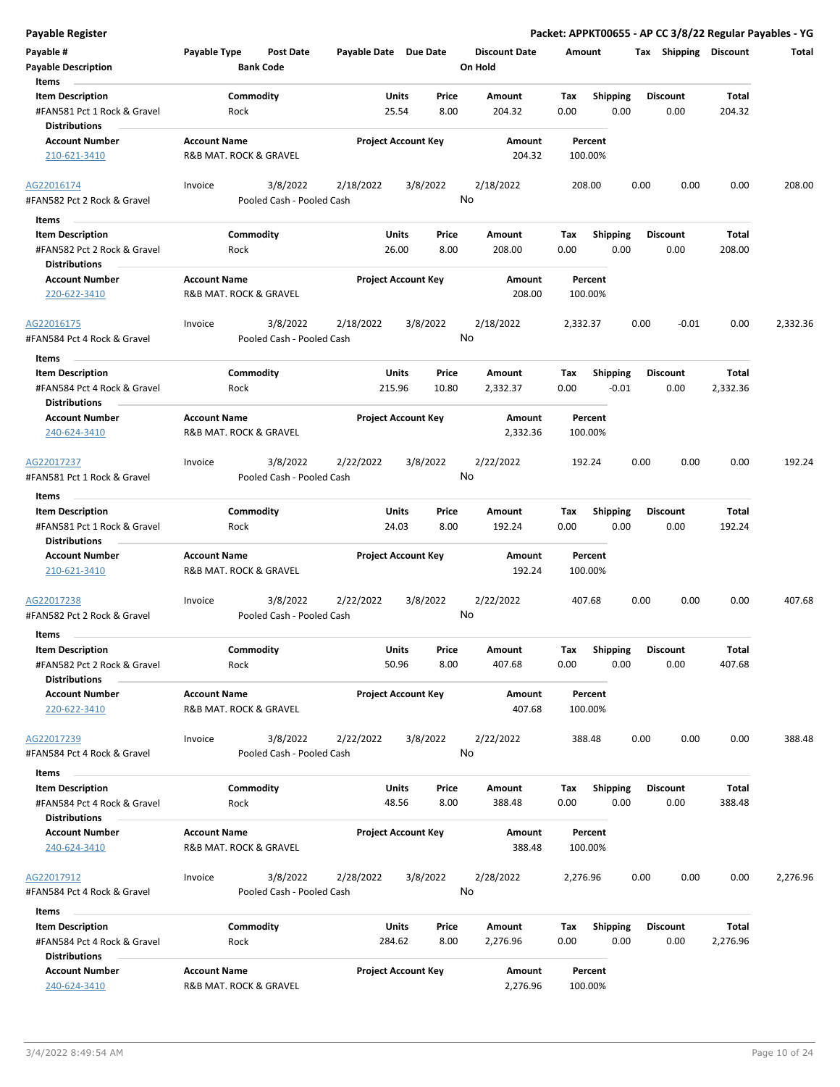| Payable #                                           | Payable Type           | <b>Post Date</b>          | Payable Date Due Date |                            | <b>Discount Date</b> | Amount   |                 | Tax             | <b>Shipping Discount</b> | Total    |
|-----------------------------------------------------|------------------------|---------------------------|-----------------------|----------------------------|----------------------|----------|-----------------|-----------------|--------------------------|----------|
| <b>Payable Description</b>                          |                        | <b>Bank Code</b>          |                       |                            | On Hold              |          |                 |                 |                          |          |
| Items                                               |                        |                           |                       |                            |                      |          |                 |                 |                          |          |
| <b>Item Description</b>                             |                        | Commodity                 |                       | Units<br>Price             | Amount               | Tax      | Shipping        | <b>Discount</b> | Total                    |          |
| #FAN581 Pct 1 Rock & Gravel<br><b>Distributions</b> | Rock                   |                           |                       | 8.00<br>25.54              | 204.32               | 0.00     | 0.00            | 0.00            | 204.32                   |          |
| <b>Account Number</b>                               | <b>Account Name</b>    |                           |                       | <b>Project Account Key</b> | Amount               |          | Percent         |                 |                          |          |
| 210-621-3410                                        | R&B MAT. ROCK & GRAVEL |                           |                       |                            | 204.32               |          | 100.00%         |                 |                          |          |
| AG22016174                                          | Invoice                | 3/8/2022                  | 2/18/2022             | 3/8/2022                   | 2/18/2022            | 208.00   |                 | 0.00            | 0.00<br>0.00             | 208.00   |
| #FAN582 Pct 2 Rock & Gravel                         |                        | Pooled Cash - Pooled Cash |                       |                            | No                   |          |                 |                 |                          |          |
| Items                                               |                        |                           |                       |                            |                      |          |                 |                 |                          |          |
| <b>Item Description</b>                             |                        | Commodity                 |                       | Units<br>Price             | Amount               | Tax      | <b>Shipping</b> | <b>Discount</b> | Total                    |          |
| #FAN582 Pct 2 Rock & Gravel                         | Rock                   |                           |                       | 8.00<br>26.00              | 208.00               | 0.00     | 0.00            | 0.00            | 208.00                   |          |
| <b>Distributions</b>                                |                        |                           |                       |                            |                      |          |                 |                 |                          |          |
| <b>Account Number</b>                               | <b>Account Name</b>    |                           |                       | <b>Project Account Key</b> | Amount               |          | Percent         |                 |                          |          |
| 220-622-3410                                        | R&B MAT. ROCK & GRAVEL |                           |                       |                            | 208.00               |          | 100.00%         |                 |                          |          |
| AG22016175                                          | Invoice                | 3/8/2022                  | 2/18/2022             | 3/8/2022                   | 2/18/2022            | 2,332.37 |                 | 0.00            | 0.00<br>$-0.01$          | 2,332.36 |
| #FAN584 Pct 4 Rock & Gravel                         |                        | Pooled Cash - Pooled Cash |                       |                            | No                   |          |                 |                 |                          |          |
| Items                                               |                        |                           |                       |                            |                      |          |                 |                 |                          |          |
| <b>Item Description</b>                             |                        | Commodity                 |                       | Units<br>Price             | Amount               | Tax      | <b>Shipping</b> | <b>Discount</b> | Total                    |          |
| #FAN584 Pct 4 Rock & Gravel<br>Distributions        | Rock                   |                           | 215.96                | 10.80                      | 2,332.37             | 0.00     | $-0.01$         | 0.00            | 2,332.36                 |          |
| <b>Account Number</b>                               | <b>Account Name</b>    |                           |                       | <b>Project Account Key</b> | Amount               |          | Percent         |                 |                          |          |
| 240-624-3410                                        | R&B MAT. ROCK & GRAVEL |                           |                       |                            | 2,332.36             |          | 100.00%         |                 |                          |          |
| AG22017237                                          | Invoice                | 3/8/2022                  | 2/22/2022             | 3/8/2022                   | 2/22/2022            | 192.24   |                 | 0.00            | 0.00<br>0.00             | 192.24   |
| #FAN581 Pct 1 Rock & Gravel                         |                        | Pooled Cash - Pooled Cash |                       |                            | No                   |          |                 |                 |                          |          |
| Items                                               |                        |                           |                       |                            |                      |          |                 |                 |                          |          |
| <b>Item Description</b>                             |                        | Commodity                 |                       | Units<br>Price             | Amount               | Tax      | <b>Shipping</b> | Discount        | Total                    |          |
| #FAN581 Pct 1 Rock & Gravel                         | Rock                   |                           |                       | 24.03<br>8.00              | 192.24               | 0.00     | 0.00            | 0.00            | 192.24                   |          |
| Distributions                                       |                        |                           |                       |                            |                      |          |                 |                 |                          |          |
| <b>Account Number</b>                               | <b>Account Name</b>    |                           |                       | <b>Project Account Key</b> | Amount               |          | Percent         |                 |                          |          |
| 210-621-3410                                        | R&B MAT. ROCK & GRAVEL |                           |                       |                            | 192.24               |          | 100.00%         |                 |                          |          |
| AG22017238                                          | Invoice                | 3/8/2022                  | 2/22/2022             | 3/8/2022                   | 2/22/2022            | 407.68   |                 | 0.00            | 0.00<br>0.00             | 407.68   |
| #FAN582 Pct 2 Rock & Gravel                         |                        | Pooled Cash - Pooled Cash |                       |                            | No                   |          |                 |                 |                          |          |
| <b>Items</b>                                        |                        |                           |                       |                            |                      |          |                 |                 |                          |          |
| <b>Item Description</b>                             |                        | Commodity                 |                       | Units<br>Price             | Amount               | Tax      | <b>Shipping</b> | <b>Discount</b> | Total                    |          |
| #FAN582 Pct 2 Rock & Gravel<br><b>Distributions</b> | Rock                   |                           |                       | 50.96<br>8.00              | 407.68               | 0.00     | 0.00            | 0.00            | 407.68                   |          |
| <b>Account Number</b>                               | <b>Account Name</b>    |                           |                       | <b>Project Account Key</b> | Amount               |          | Percent         |                 |                          |          |
| 220-622-3410                                        | R&B MAT. ROCK & GRAVEL |                           |                       |                            | 407.68               |          | 100.00%         |                 |                          |          |
| AG22017239                                          | Invoice                | 3/8/2022                  | 2/22/2022             | 3/8/2022                   | 2/22/2022            | 388.48   |                 | 0.00            | 0.00<br>0.00             | 388.48   |
| #FAN584 Pct 4 Rock & Gravel                         |                        | Pooled Cash - Pooled Cash |                       |                            | No                   |          |                 |                 |                          |          |
|                                                     |                        |                           |                       |                            |                      |          |                 |                 |                          |          |
| Items                                               |                        |                           |                       |                            |                      |          |                 |                 |                          |          |
| <b>Item Description</b>                             |                        | Commodity                 |                       | Units<br>Price             | Amount               | Tax      | <b>Shipping</b> | <b>Discount</b> | Total                    |          |
| #FAN584 Pct 4 Rock & Gravel<br><b>Distributions</b> | Rock                   |                           |                       | 48.56<br>8.00              | 388.48               | 0.00     | 0.00            | 0.00            | 388.48                   |          |
| <b>Account Number</b>                               | <b>Account Name</b>    |                           |                       | <b>Project Account Key</b> | Amount               |          | Percent         |                 |                          |          |
| 240-624-3410                                        | R&B MAT. ROCK & GRAVEL |                           |                       |                            | 388.48               |          | 100.00%         |                 |                          |          |
| AG22017912                                          | Invoice                | 3/8/2022                  | 2/28/2022             | 3/8/2022                   | 2/28/2022            | 2,276.96 |                 | 0.00            | 0.00<br>0.00             | 2,276.96 |
| #FAN584 Pct 4 Rock & Gravel                         |                        | Pooled Cash - Pooled Cash |                       |                            | No                   |          |                 |                 |                          |          |
| Items                                               |                        |                           |                       |                            |                      |          |                 |                 |                          |          |
| <b>Item Description</b>                             |                        | Commodity                 |                       | Units<br>Price             | Amount               | Тах      | <b>Shipping</b> | <b>Discount</b> | Total                    |          |
| #FAN584 Pct 4 Rock & Gravel                         | Rock                   |                           |                       | 284.62<br>8.00             | 2,276.96             | 0.00     | 0.00            | 0.00            | 2,276.96                 |          |
| Distributions                                       |                        |                           |                       |                            |                      |          |                 |                 |                          |          |
| <b>Account Number</b>                               | <b>Account Name</b>    |                           |                       | <b>Project Account Key</b> | Amount               |          | Percent         |                 |                          |          |

240-624-3410 R&B MAT. ROCK & GRAVEL 2,276.96 100.00%

**Payable Register Packet: APPKT00655 - AP CC 3/8/22 Regular Payables - YG**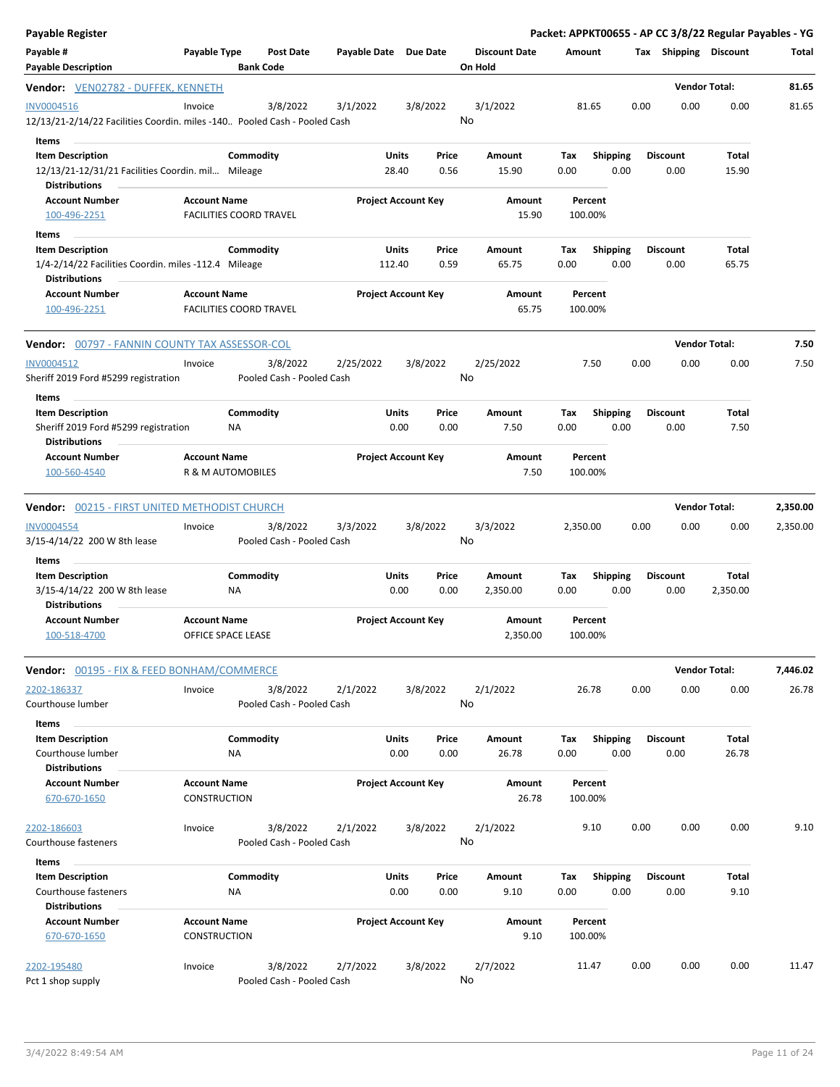| <b>Payable Register</b>                                                                                       |                                                       |                                       |                            |                                      |                                 |                    |                    |                         |                       |                         | Packet: APPKT00655 - AP CC 3/8/22 Regular Payables - YG |          |
|---------------------------------------------------------------------------------------------------------------|-------------------------------------------------------|---------------------------------------|----------------------------|--------------------------------------|---------------------------------|--------------------|--------------------|-------------------------|-----------------------|-------------------------|---------------------------------------------------------|----------|
| Payable #<br>Payable Type<br><b>Post Date</b><br><b>Payable Description</b><br><b>Bank Code</b>               |                                                       | Payable Date Due Date                 |                            |                                      | <b>Discount Date</b><br>On Hold | Amount             |                    |                         | Tax Shipping Discount |                         | Total                                                   |          |
| Vendor: VEN02782 - DUFFEK, KENNETH                                                                            |                                                       |                                       |                            |                                      |                                 |                    |                    |                         |                       |                         | <b>Vendor Total:</b>                                    | 81.65    |
| <b>INV0004516</b><br>12/13/21-2/14/22 Facilities Coordin. miles -140 Pooled Cash - Pooled Cash                | Invoice                                               | 3/8/2022                              | 3/1/2022                   | 3/8/2022                             |                                 | 3/1/2022<br>No     |                    | 81.65                   | 0.00                  | 0.00                    | 0.00                                                    | 81.65    |
| Items<br><b>Item Description</b><br>12/13/21-12/31/21 Facilities Coordin. mil Mileage<br><b>Distributions</b> |                                                       | Commodity                             |                            | Units<br>28.40                       | Price<br>0.56                   | Amount<br>15.90    | Tax<br>0.00        | <b>Shipping</b><br>0.00 |                       | <b>Discount</b><br>0.00 | Total<br>15.90                                          |          |
| <b>Account Number</b><br>100-496-2251                                                                         | <b>Account Name</b><br><b>FACILITIES COORD TRAVEL</b> |                                       |                            | <b>Project Account Key</b>           |                                 | Amount<br>15.90    |                    | Percent<br>100.00%      |                       |                         |                                                         |          |
| Items<br><b>Item Description</b>                                                                              |                                                       | Commodity                             |                            | Units                                | Price                           | Amount             | Tax                | Shipping                |                       | <b>Discount</b>         | Total                                                   |          |
| 1/4-2/14/22 Facilities Coordin. miles -112.4 Mileage<br><b>Distributions</b><br><b>Account Number</b>         | <b>Account Name</b>                                   |                                       |                            | 112.40<br><b>Project Account Key</b> | 0.59                            | 65.75<br>Amount    | 0.00               | 0.00<br>Percent         |                       | 0.00                    | 65.75                                                   |          |
| 100-496-2251                                                                                                  | <b>FACILITIES COORD TRAVEL</b>                        |                                       |                            |                                      |                                 | 65.75              |                    | 100.00%                 |                       |                         |                                                         |          |
| <b>Vendor:</b> 00797 - FANNIN COUNTY TAX ASSESSOR-COL                                                         |                                                       |                                       |                            |                                      |                                 |                    |                    |                         |                       |                         | <b>Vendor Total:</b>                                    | 7.50     |
| INV0004512<br>Sheriff 2019 Ford #5299 registration                                                            | Invoice                                               | 3/8/2022<br>Pooled Cash - Pooled Cash | 2/25/2022                  | 3/8/2022                             |                                 | 2/25/2022<br>No    |                    | 7.50                    | 0.00                  | 0.00                    | 0.00                                                    | 7.50     |
| Items<br><b>Item Description</b><br>Sheriff 2019 Ford #5299 registration<br><b>Distributions</b>              | ΝA                                                    | Commodity                             |                            | Units<br>0.00                        | Price<br>0.00                   | Amount<br>7.50     | Tax<br>0.00        | <b>Shipping</b><br>0.00 |                       | <b>Discount</b><br>0.00 | Total<br>7.50                                           |          |
| <b>Account Number</b><br>100-560-4540                                                                         | <b>Account Name</b><br>R & M AUTOMOBILES              |                                       |                            | <b>Project Account Key</b>           |                                 | Amount<br>7.50     |                    | Percent<br>100.00%      |                       |                         |                                                         |          |
| <b>Vendor:</b> 00215 - FIRST UNITED METHODIST CHURCH                                                          |                                                       |                                       |                            |                                      |                                 |                    |                    |                         |                       |                         | <b>Vendor Total:</b>                                    | 2,350.00 |
| <b>INV0004554</b><br>3/15-4/14/22 200 W 8th lease                                                             | Invoice                                               | 3/8/2022<br>Pooled Cash - Pooled Cash | 3/3/2022                   | 3/8/2022                             |                                 | 3/3/2022<br>No     | 2,350.00           |                         | 0.00                  | 0.00                    | 0.00                                                    | 2,350.00 |
| Items<br><b>Item Description</b><br>3/15-4/14/22 200 W 8th lease                                              | ΝA                                                    | Commodity                             |                            | Units<br>0.00                        | Price<br>0.00                   | Amount<br>2,350.00 | Tax<br>0.00        | <b>Shipping</b><br>0.00 |                       | <b>Discount</b><br>0.00 | Total<br>2,350.00                                       |          |
| <b>Distributions</b><br><b>Account Number</b><br>100-518-4700                                                 | <b>Account Name</b><br>OFFICE SPACE LEASE             |                                       |                            | <b>Project Account Key</b>           |                                 | Amount<br>2,350.00 |                    | Percent<br>100.00%      |                       |                         |                                                         |          |
| Vendor: 00195 - FIX & FEED BONHAM/COMMERCE                                                                    |                                                       |                                       |                            |                                      |                                 |                    |                    |                         |                       |                         | <b>Vendor Total:</b>                                    | 7,446.02 |
| 2202-186337<br>Courthouse lumber                                                                              | Invoice                                               | 3/8/2022<br>Pooled Cash - Pooled Cash | 2/1/2022                   | 3/8/2022                             |                                 | 2/1/2022<br>No     |                    | 26.78                   | 0.00                  | 0.00                    | 0.00                                                    | 26.78    |
| Items<br><b>Item Description</b><br>Courthouse lumber<br><b>Distributions</b>                                 | ΝA                                                    | Commodity                             |                            | <b>Units</b><br>0.00                 | Price<br>0.00                   | Amount<br>26.78    | Tax<br>0.00        | <b>Shipping</b><br>0.00 |                       | <b>Discount</b><br>0.00 | Total<br>26.78                                          |          |
| <b>Account Number</b><br>670-670-1650                                                                         | <b>Account Name</b><br><b>CONSTRUCTION</b>            |                                       | <b>Project Account Key</b> |                                      | Amount<br>26.78                 |                    | Percent<br>100.00% |                         |                       |                         |                                                         |          |
| 2202-186603<br>Courthouse fasteners<br><b>Items</b>                                                           | Invoice                                               | 3/8/2022<br>Pooled Cash - Pooled Cash | 2/1/2022                   | 3/8/2022                             |                                 | 2/1/2022<br>No     |                    | 9.10                    | 0.00                  | 0.00                    | 0.00                                                    | 9.10     |
| <b>Item Description</b><br>Courthouse fasteners<br><b>Distributions</b>                                       | <b>NA</b>                                             | Commodity                             |                            | Units<br>0.00                        | Price<br>0.00                   | Amount<br>9.10     | Tax<br>0.00        | <b>Shipping</b><br>0.00 |                       | <b>Discount</b><br>0.00 | Total<br>9.10                                           |          |
| <b>Account Number</b><br>670-670-1650                                                                         | <b>Account Name</b><br><b>CONSTRUCTION</b>            |                                       |                            | <b>Project Account Key</b>           |                                 | Amount<br>9.10     |                    | Percent<br>100.00%      |                       |                         |                                                         |          |
| 2202-195480<br>Pct 1 shop supply                                                                              | Invoice                                               | 3/8/2022<br>Pooled Cash - Pooled Cash | 2/7/2022                   | 3/8/2022                             |                                 | 2/7/2022<br>No     |                    | 11.47                   | 0.00                  | 0.00                    | 0.00                                                    | 11.47    |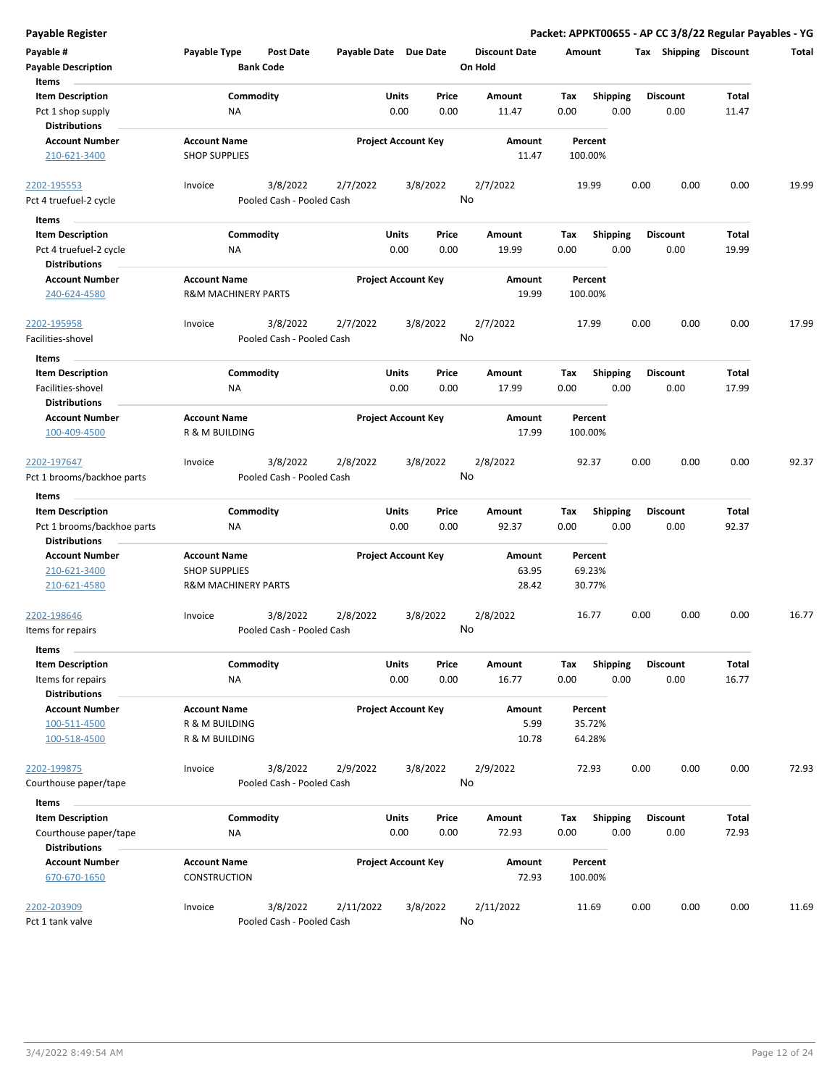| <b>Payable Register</b>                        |                                             |                           |                            |       |          |                      |      |                    |      |                       |              | Packet: APPKT00655 - AP CC 3/8/22 Regular Payables - YG |
|------------------------------------------------|---------------------------------------------|---------------------------|----------------------------|-------|----------|----------------------|------|--------------------|------|-----------------------|--------------|---------------------------------------------------------|
| Payable #                                      | Payable Type                                | <b>Post Date</b>          | Payable Date Due Date      |       |          | <b>Discount Date</b> |      | Amount             |      | Tax Shipping Discount |              | Total                                                   |
| <b>Payable Description</b>                     |                                             | <b>Bank Code</b>          |                            |       |          | On Hold              |      |                    |      |                       |              |                                                         |
| Items                                          |                                             |                           |                            |       |          |                      |      |                    |      |                       |              |                                                         |
| <b>Item Description</b>                        | Commodity                                   |                           |                            | Units | Price    | Amount               | Tax  | <b>Shipping</b>    |      | <b>Discount</b>       | Total        |                                                         |
| Pct 1 shop supply                              | ΝA                                          |                           |                            | 0.00  | 0.00     | 11.47                | 0.00 | 0.00               |      | 0.00                  | 11.47        |                                                         |
| <b>Distributions</b>                           |                                             |                           |                            |       |          |                      |      |                    |      |                       |              |                                                         |
| <b>Account Number</b><br>210-621-3400          | <b>Account Name</b><br><b>SHOP SUPPLIES</b> |                           | <b>Project Account Key</b> |       |          | Amount<br>11.47      |      | Percent<br>100.00% |      |                       |              |                                                         |
| 2202-195553                                    | Invoice                                     | 3/8/2022                  | 2/7/2022                   |       | 3/8/2022 | 2/7/2022             |      | 19.99              | 0.00 | 0.00                  | 0.00         | 19.99                                                   |
| Pct 4 truefuel-2 cycle                         |                                             | Pooled Cash - Pooled Cash |                            |       |          | No                   |      |                    |      |                       |              |                                                         |
| Items                                          |                                             |                           |                            |       |          |                      |      |                    |      |                       |              |                                                         |
| <b>Item Description</b>                        | Commodity                                   |                           |                            | Units | Price    | Amount               | Tax  | <b>Shipping</b>    |      | <b>Discount</b>       | Total        |                                                         |
| Pct 4 truefuel-2 cycle<br><b>Distributions</b> | ΝA                                          |                           |                            | 0.00  | 0.00     | 19.99                | 0.00 | 0.00               |      | 0.00                  | 19.99        |                                                         |
| <b>Account Number</b>                          | <b>Account Name</b>                         |                           | <b>Project Account Key</b> |       |          | Amount               |      | Percent            |      |                       |              |                                                         |
| 240-624-4580                                   | <b>R&amp;M MACHINERY PARTS</b>              |                           |                            |       |          | 19.99                |      | 100.00%            |      |                       |              |                                                         |
| 2202-195958                                    | Invoice                                     | 3/8/2022                  | 2/7/2022                   |       | 3/8/2022 | 2/7/2022             |      | 17.99              | 0.00 | 0.00                  | 0.00         | 17.99                                                   |
| Facilities-shovel                              |                                             | Pooled Cash - Pooled Cash |                            |       |          | No                   |      |                    |      |                       |              |                                                         |
| Items                                          |                                             |                           |                            |       |          |                      |      |                    |      |                       |              |                                                         |
| <b>Item Description</b>                        | Commodity                                   |                           |                            | Units | Price    | Amount               | Tax  | <b>Shipping</b>    |      | <b>Discount</b>       | Total        |                                                         |
| Facilities-shovel                              | NA                                          |                           |                            | 0.00  | 0.00     | 17.99                | 0.00 | 0.00               |      | 0.00                  | 17.99        |                                                         |
| <b>Distributions</b>                           |                                             |                           |                            |       |          |                      |      |                    |      |                       |              |                                                         |
| <b>Account Number</b>                          | <b>Account Name</b>                         |                           | <b>Project Account Key</b> |       |          | Amount               |      | Percent            |      |                       |              |                                                         |
| 100-409-4500                                   | R & M BUILDING                              |                           |                            |       |          | 17.99                |      | 100.00%            |      |                       |              |                                                         |
| 2202-197647                                    | Invoice                                     | 3/8/2022                  | 2/8/2022                   |       | 3/8/2022 | 2/8/2022             |      | 92.37              | 0.00 | 0.00                  | 0.00         | 92.37                                                   |
| Pct 1 brooms/backhoe parts                     |                                             | Pooled Cash - Pooled Cash |                            |       |          | No                   |      |                    |      |                       |              |                                                         |
| Items                                          |                                             |                           |                            |       |          |                      |      |                    |      |                       |              |                                                         |
| <b>Item Description</b>                        | Commodity                                   |                           |                            | Units | Price    | Amount               | Tax  | <b>Shipping</b>    |      | <b>Discount</b>       | Total        |                                                         |
| Pct 1 brooms/backhoe parts                     | ΝA                                          |                           |                            | 0.00  | 0.00     | 92.37                | 0.00 | 0.00               |      | 0.00                  | 92.37        |                                                         |
| <b>Distributions</b>                           |                                             |                           |                            |       |          |                      |      |                    |      |                       |              |                                                         |
| <b>Account Number</b>                          | <b>Account Name</b>                         |                           | <b>Project Account Key</b> |       |          | Amount               |      | Percent            |      |                       |              |                                                         |
| 210-621-3400                                   | <b>SHOP SUPPLIES</b>                        |                           |                            |       |          | 63.95                |      | 69.23%             |      |                       |              |                                                         |
| 210-621-4580                                   | <b>R&amp;M MACHINERY PARTS</b>              |                           |                            |       |          | 28.42                |      | 30.77%             |      |                       |              |                                                         |
| 2202-198646                                    | Invoice                                     | 3/8/2022                  | 2/8/2022                   |       | 3/8/2022 | 2/8/2022             |      | 16.77              | 0.00 | 0.00                  | 0.00         | 16.77                                                   |
| Items for repairs                              |                                             | Pooled Cash - Pooled Cash |                            |       |          | No                   |      |                    |      |                       |              |                                                         |
| Items                                          |                                             |                           |                            |       |          |                      |      |                    |      |                       |              |                                                         |
| <b>Item Description</b>                        | Commodity                                   |                           |                            | Units | Price    | Amount               | Tax  | <b>Shipping</b>    |      | <b>Discount</b>       | <b>Total</b> |                                                         |
| Items for repairs                              | <b>NA</b>                                   |                           |                            | 0.00  | 0.00     | 16.77                | 0.00 | 0.00               |      | 0.00                  | 16.77        |                                                         |
| <b>Distributions</b>                           |                                             |                           |                            |       |          |                      |      |                    |      |                       |              |                                                         |
| <b>Account Number</b>                          | <b>Account Name</b>                         |                           | <b>Project Account Key</b> |       |          | Amount               |      | Percent            |      |                       |              |                                                         |
| 100-511-4500                                   | R & M BUILDING                              |                           |                            |       |          | 5.99                 |      | 35.72%             |      |                       |              |                                                         |
| 100-518-4500                                   | R & M BUILDING                              |                           |                            |       |          | 10.78                |      | 64.28%             |      |                       |              |                                                         |
| 2202-199875                                    | Invoice                                     | 3/8/2022                  | 2/9/2022                   |       | 3/8/2022 | 2/9/2022             |      | 72.93              | 0.00 | 0.00                  | 0.00         | 72.93                                                   |
| Courthouse paper/tape                          |                                             | Pooled Cash - Pooled Cash |                            |       |          | No                   |      |                    |      |                       |              |                                                         |
| Items                                          |                                             |                           |                            |       |          |                      |      |                    |      |                       |              |                                                         |
| <b>Item Description</b>                        | Commodity                                   |                           |                            | Units | Price    | Amount               | Tax  | <b>Shipping</b>    |      | <b>Discount</b>       | <b>Total</b> |                                                         |
| Courthouse paper/tape                          | NA                                          |                           |                            | 0.00  | 0.00     | 72.93                | 0.00 | 0.00               |      | 0.00                  | 72.93        |                                                         |
| <b>Distributions</b>                           |                                             |                           |                            |       |          |                      |      |                    |      |                       |              |                                                         |
| <b>Account Number</b>                          | <b>Account Name</b>                         |                           | <b>Project Account Key</b> |       |          | Amount               |      | Percent            |      |                       |              |                                                         |
| 670-670-1650                                   | CONSTRUCTION                                |                           |                            |       |          | 72.93                |      | 100.00%            |      |                       |              |                                                         |
| 2202-203909                                    | Invoice                                     | 3/8/2022                  | 2/11/2022                  |       | 3/8/2022 | 2/11/2022            |      | 11.69              | 0.00 | 0.00                  | 0.00         | 11.69                                                   |
| Pct 1 tank valve                               |                                             | Pooled Cash - Pooled Cash |                            |       |          | No                   |      |                    |      |                       |              |                                                         |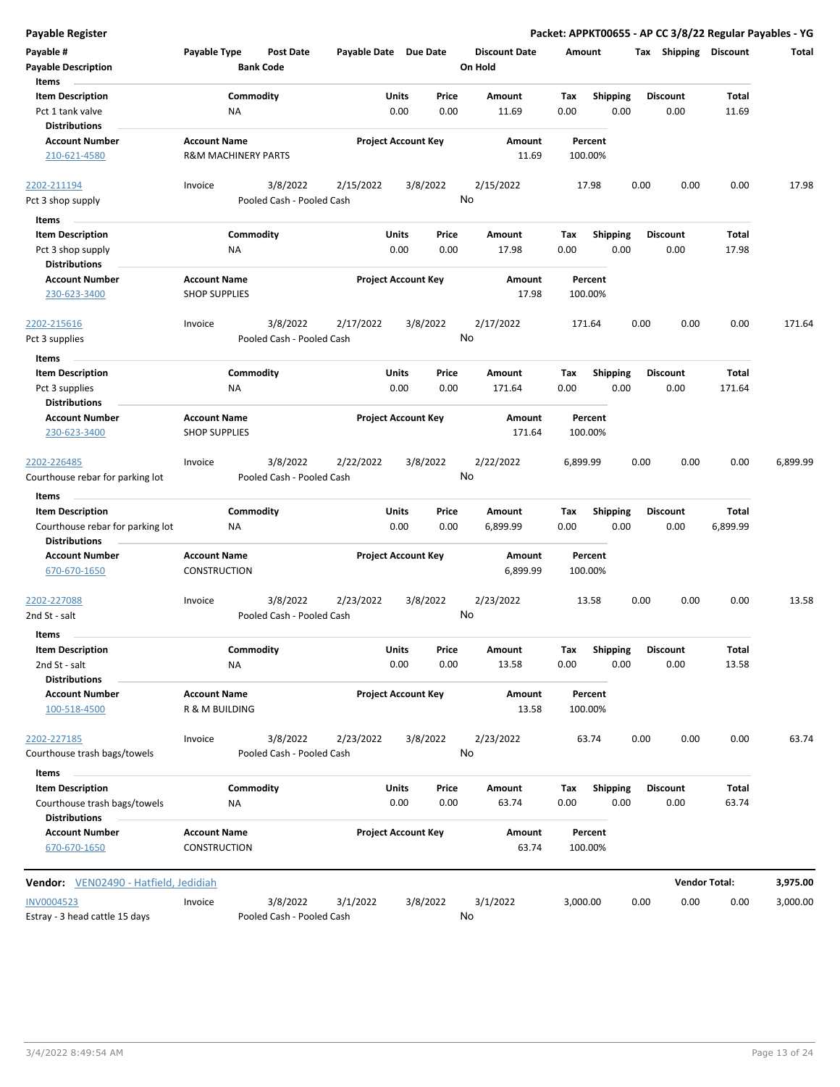| <b>Payable Register</b>                                              |                                             |                  |                           |                       |               |                            |                      |             |                         |      |                         |                      | Packet: APPKT00655 - AP CC 3/8/22 Regular Payables - YG |
|----------------------------------------------------------------------|---------------------------------------------|------------------|---------------------------|-----------------------|---------------|----------------------------|----------------------|-------------|-------------------------|------|-------------------------|----------------------|---------------------------------------------------------|
| Payable #                                                            | Payable Type                                |                  | <b>Post Date</b>          | Payable Date Due Date |               |                            | <b>Discount Date</b> |             | Amount                  |      | Tax Shipping Discount   |                      | Total                                                   |
| <b>Payable Description</b>                                           |                                             | <b>Bank Code</b> |                           |                       |               |                            | On Hold              |             |                         |      |                         |                      |                                                         |
| Items                                                                |                                             |                  |                           |                       |               |                            |                      |             |                         |      |                         |                      |                                                         |
| <b>Item Description</b>                                              |                                             | Commodity        |                           |                       | Units         | Price                      | <b>Amount</b>        | Tax         | <b>Shipping</b>         |      | <b>Discount</b>         | Total                |                                                         |
| Pct 1 tank valve<br><b>Distributions</b>                             |                                             | ΝA               |                           |                       | 0.00          | 0.00                       | 11.69                | 0.00        | 0.00                    |      | 0.00                    | 11.69                |                                                         |
| <b>Account Number</b>                                                | <b>Account Name</b>                         |                  |                           |                       |               | <b>Project Account Key</b> | Amount               |             | Percent                 |      |                         |                      |                                                         |
| 210-621-4580                                                         | <b>R&amp;M MACHINERY PARTS</b>              |                  |                           |                       |               |                            | 11.69                |             | 100.00%                 |      |                         |                      |                                                         |
| 2202-211194                                                          | Invoice                                     |                  | 3/8/2022                  | 2/15/2022             |               | 3/8/2022                   | 2/15/2022            |             | 17.98                   | 0.00 | 0.00                    | 0.00                 | 17.98                                                   |
| Pct 3 shop supply                                                    |                                             |                  | Pooled Cash - Pooled Cash |                       |               |                            | No                   |             |                         |      |                         |                      |                                                         |
| Items                                                                |                                             |                  |                           |                       |               |                            |                      |             |                         |      |                         |                      |                                                         |
| <b>Item Description</b><br>Pct 3 shop supply<br><b>Distributions</b> |                                             | Commodity<br>ΝA  |                           |                       | Units<br>0.00 | Price<br>0.00              | Amount<br>17.98      | Tax<br>0.00 | <b>Shipping</b><br>0.00 |      | <b>Discount</b><br>0.00 | Total<br>17.98       |                                                         |
| <b>Account Number</b><br>230-623-3400                                | <b>Account Name</b><br><b>SHOP SUPPLIES</b> |                  |                           |                       |               | <b>Project Account Key</b> | Amount<br>17.98      |             | Percent<br>100.00%      |      |                         |                      |                                                         |
| 2202-215616                                                          | Invoice                                     |                  | 3/8/2022                  | 2/17/2022             |               | 3/8/2022                   | 2/17/2022            |             | 171.64                  | 0.00 | 0.00                    | 0.00                 | 171.64                                                  |
| Pct 3 supplies                                                       |                                             |                  | Pooled Cash - Pooled Cash |                       |               |                            | No                   |             |                         |      |                         |                      |                                                         |
|                                                                      |                                             |                  |                           |                       |               |                            |                      |             |                         |      |                         |                      |                                                         |
| Items<br><b>Item Description</b>                                     |                                             | Commodity        |                           |                       | Units         | Price                      | Amount               | Tax         | <b>Shipping</b>         |      | <b>Discount</b>         | Total                |                                                         |
| Pct 3 supplies                                                       |                                             | NA               |                           |                       | 0.00          | 0.00                       | 171.64               | 0.00        | 0.00                    |      | 0.00                    | 171.64               |                                                         |
| <b>Distributions</b>                                                 |                                             |                  |                           |                       |               |                            |                      |             |                         |      |                         |                      |                                                         |
| <b>Account Number</b>                                                | <b>Account Name</b>                         |                  |                           |                       |               | <b>Project Account Key</b> | Amount               |             | Percent                 |      |                         |                      |                                                         |
| 230-623-3400                                                         | <b>SHOP SUPPLIES</b>                        |                  |                           |                       |               |                            | 171.64               |             | 100.00%                 |      |                         |                      |                                                         |
| 2202-226485                                                          | Invoice                                     |                  | 3/8/2022                  | 2/22/2022             |               | 3/8/2022                   | 2/22/2022            | 6,899.99    |                         | 0.00 | 0.00                    | 0.00                 | 6,899.99                                                |
| Courthouse rebar for parking lot                                     |                                             |                  | Pooled Cash - Pooled Cash |                       |               |                            | No                   |             |                         |      |                         |                      |                                                         |
| Items                                                                |                                             |                  |                           |                       |               |                            |                      |             |                         |      |                         |                      |                                                         |
| <b>Item Description</b>                                              |                                             | Commodity        |                           |                       | Units         | Price                      | Amount               | Tax         | <b>Shipping</b>         |      | <b>Discount</b>         | Total                |                                                         |
| Courthouse rebar for parking lot                                     |                                             | NA               |                           |                       | 0.00          | 0.00                       | 6,899.99             | 0.00        | 0.00                    |      | 0.00                    | 6,899.99             |                                                         |
| <b>Distributions</b>                                                 |                                             |                  |                           |                       |               |                            |                      |             |                         |      |                         |                      |                                                         |
| <b>Account Number</b><br>670-670-1650                                | <b>Account Name</b><br><b>CONSTRUCTION</b>  |                  |                           |                       |               | <b>Project Account Key</b> | Amount<br>6,899.99   |             | Percent<br>100.00%      |      |                         |                      |                                                         |
| 2202-227088                                                          | Invoice                                     |                  | 3/8/2022                  | 2/23/2022             |               | 3/8/2022                   | 2/23/2022            |             | 13.58                   | 0.00 | 0.00                    | 0.00                 | 13.58                                                   |
| 2nd St - salt                                                        |                                             |                  | Pooled Cash - Pooled Cash |                       |               |                            | No                   |             |                         |      |                         |                      |                                                         |
| Items                                                                |                                             |                  |                           |                       |               |                            |                      |             |                         |      |                         |                      |                                                         |
| <b>Item Description</b>                                              |                                             | Commodity        |                           |                       | Units         | Price                      | Amount               | Tax         | <b>Shipping</b>         |      | Discount                | Total                |                                                         |
| 2nd St - salt                                                        |                                             | NA               |                           |                       | 0.00          | 0.00                       | 13.58                | 0.00        | 0.00                    |      | 0.00                    | 13.58                |                                                         |
| <b>Distributions</b>                                                 |                                             |                  |                           |                       |               |                            |                      |             |                         |      |                         |                      |                                                         |
| <b>Account Number</b>                                                | <b>Account Name</b>                         |                  |                           |                       |               | <b>Project Account Key</b> | Amount               |             | Percent                 |      |                         |                      |                                                         |
| 100-518-4500                                                         | R & M BUILDING                              |                  |                           |                       |               |                            | 13.58                |             | 100.00%                 |      |                         |                      |                                                         |
| 2202-227185                                                          | Invoice                                     |                  | 3/8/2022                  | 2/23/2022             |               | 3/8/2022                   | 2/23/2022            |             | 63.74                   | 0.00 | 0.00                    | 0.00                 | 63.74                                                   |
| Courthouse trash bags/towels                                         |                                             |                  | Pooled Cash - Pooled Cash |                       |               |                            | No                   |             |                         |      |                         |                      |                                                         |
| Items<br><b>Item Description</b>                                     |                                             | Commodity        |                           |                       | Units         | Price                      | Amount               | Tax         | <b>Shipping</b>         |      | <b>Discount</b>         | Total                |                                                         |
| Courthouse trash bags/towels                                         |                                             | ΝA               |                           |                       | 0.00          | 0.00                       | 63.74                | 0.00        | 0.00                    |      | 0.00                    | 63.74                |                                                         |
| <b>Distributions</b>                                                 |                                             |                  |                           |                       |               |                            |                      |             |                         |      |                         |                      |                                                         |
| <b>Account Number</b><br>670-670-1650                                | <b>Account Name</b><br>CONSTRUCTION         |                  |                           |                       |               | <b>Project Account Key</b> | Amount<br>63.74      |             | Percent<br>100.00%      |      |                         |                      |                                                         |
| Vendor: VEN02490 - Hatfield, Jedidiah                                |                                             |                  |                           |                       |               |                            |                      |             |                         |      |                         | <b>Vendor Total:</b> | 3,975.00                                                |
| <b>INV0004523</b>                                                    | Invoice                                     |                  | 3/8/2022                  | 3/1/2022              |               | 3/8/2022                   | 3/1/2022             | 3,000.00    |                         | 0.00 | 0.00                    | 0.00                 | 3,000.00                                                |
| Estray - 3 head cattle 15 days                                       |                                             |                  | Pooled Cash - Pooled Cash |                       |               |                            | No                   |             |                         |      |                         |                      |                                                         |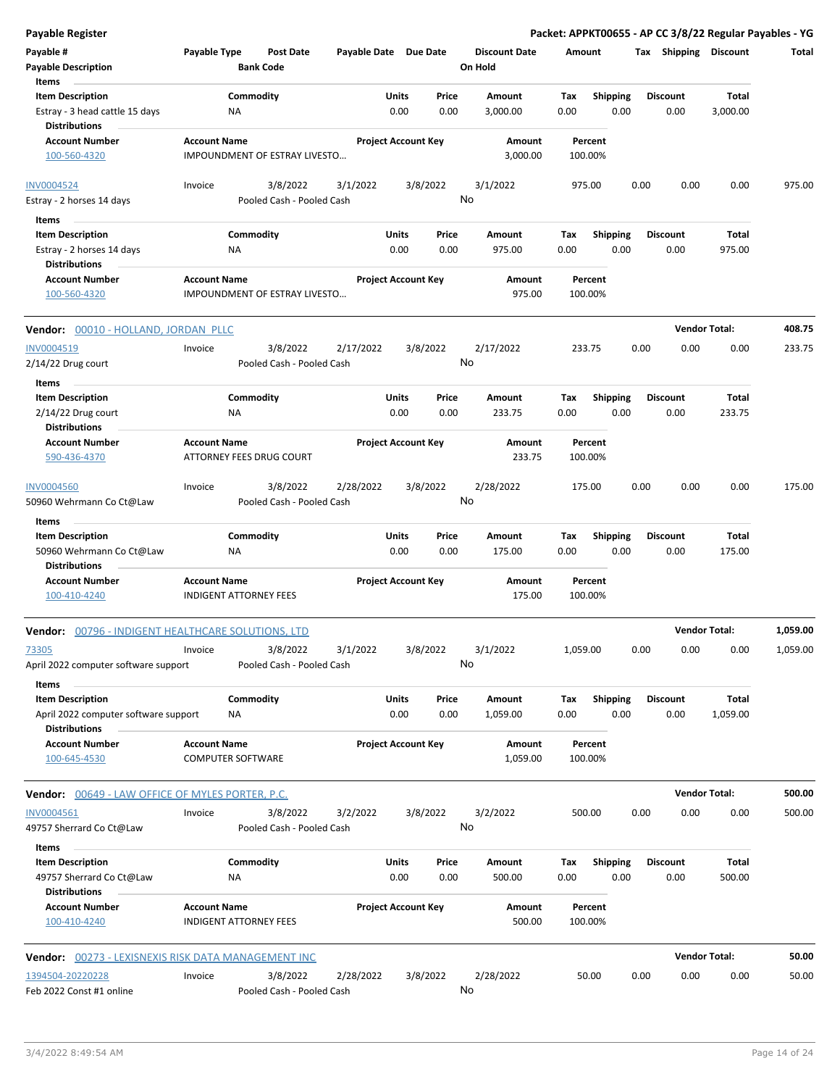| <b>Payable Register</b> |  |
|-------------------------|--|
|-------------------------|--|

| Payable #<br><b>Payable Description</b><br>Items                                  | Payable Type                                    | <b>Post Date</b><br><b>Bank Code</b>  | Payable Date Due Date |                            |               | <b>Discount Date</b><br>On Hold | Amount             |                         | Тах  | Shipping                | <b>Discount</b>      | Total    |
|-----------------------------------------------------------------------------------|-------------------------------------------------|---------------------------------------|-----------------------|----------------------------|---------------|---------------------------------|--------------------|-------------------------|------|-------------------------|----------------------|----------|
| <b>Item Description</b><br>Estray - 3 head cattle 15 days<br><b>Distributions</b> | ΝA                                              | Commodity                             |                       | Units<br>0.00              | Price<br>0.00 | Amount<br>3,000.00              | Tax<br>0.00        | <b>Shipping</b><br>0.00 |      | <b>Discount</b><br>0.00 | Total<br>3,000.00    |          |
| <b>Account Number</b><br>100-560-4320                                             | <b>Account Name</b>                             | IMPOUNDMENT OF ESTRAY LIVESTO         |                       | <b>Project Account Key</b> |               | Amount<br>3,000.00              | Percent<br>100.00% |                         |      |                         |                      |          |
| <b>INV0004524</b><br>Estray - 2 horses 14 days                                    | Invoice                                         | 3/8/2022<br>Pooled Cash - Pooled Cash | 3/1/2022              |                            | 3/8/2022      | 3/1/2022<br>No                  | 975.00             |                         | 0.00 | 0.00                    | 0.00                 | 975.00   |
| Items                                                                             |                                                 |                                       |                       |                            |               |                                 |                    |                         |      |                         |                      |          |
| <b>Item Description</b><br>Estray - 2 horses 14 days<br><b>Distributions</b>      | ΝA                                              | Commodity                             |                       | Units<br>0.00              | Price<br>0.00 | Amount<br>975.00                | Tax<br>0.00        | <b>Shipping</b><br>0.00 |      | <b>Discount</b><br>0.00 | Total<br>975.00      |          |
| <b>Account Number</b><br>100-560-4320                                             | <b>Account Name</b>                             | IMPOUNDMENT OF ESTRAY LIVESTO         |                       | <b>Project Account Key</b> |               | Amount<br>975.00                | Percent<br>100.00% |                         |      |                         |                      |          |
| <b>Vendor:</b> 00010 - HOLLAND, JORDAN PLLC                                       |                                                 |                                       |                       |                            |               |                                 |                    |                         |      |                         | <b>Vendor Total:</b> | 408.75   |
| INV0004519<br>2/14/22 Drug court                                                  | Invoice                                         | 3/8/2022<br>Pooled Cash - Pooled Cash | 2/17/2022             |                            | 3/8/2022      | 2/17/2022<br>No                 | 233.75             |                         | 0.00 | 0.00                    | 0.00                 | 233.75   |
| Items<br><b>Item Description</b>                                                  |                                                 | Commodity                             |                       | Units                      | Price         | Amount                          | Tax                | <b>Shipping</b>         |      | <b>Discount</b>         | Total                |          |
| $2/14/22$ Drug court                                                              | ΝA                                              |                                       |                       | 0.00                       | 0.00          | 233.75                          | 0.00               | 0.00                    |      | 0.00                    | 233.75               |          |
| <b>Distributions</b><br><b>Account Number</b><br>590-436-4370                     | <b>Account Name</b>                             | ATTORNEY FEES DRUG COURT              |                       | <b>Project Account Key</b> |               | Amount<br>233.75                | Percent<br>100.00% |                         |      |                         |                      |          |
| <b>INV0004560</b><br>50960 Wehrmann Co Ct@Law                                     | Invoice                                         | 3/8/2022<br>Pooled Cash - Pooled Cash | 2/28/2022             |                            | 3/8/2022      | 2/28/2022<br>No                 | 175.00             |                         | 0.00 | 0.00                    | 0.00                 | 175.00   |
| Items                                                                             |                                                 |                                       |                       |                            |               |                                 |                    |                         |      |                         |                      |          |
| <b>Item Description</b><br>50960 Wehrmann Co Ct@Law<br><b>Distributions</b>       | ΝA                                              | Commodity                             |                       | Units<br>0.00              | Price<br>0.00 | Amount<br>175.00                | Tax<br>0.00        | <b>Shipping</b><br>0.00 |      | <b>Discount</b><br>0.00 | Total<br>175.00      |          |
| <b>Account Number</b><br>100-410-4240                                             | <b>Account Name</b>                             | <b>INDIGENT ATTORNEY FEES</b>         |                       | <b>Project Account Key</b> |               | Amount<br>175.00                | Percent<br>100.00% |                         |      |                         |                      |          |
| Vendor: 00796 - INDIGENT HEALTHCARE SOLUTIONS, LTD                                |                                                 |                                       |                       |                            |               |                                 |                    |                         |      | <b>Vendor Total:</b>    |                      | 1,059.00 |
| 73305<br>April 2022 computer software support                                     | Invoice                                         | 3/8/2022<br>Pooled Cash - Pooled Cash | 3/1/2022              |                            | 3/8/2022      | 3/1/2022<br>No                  | 1,059.00           |                         | 0.00 | 0.00                    | 0.00                 | 1,059.00 |
| Items<br><b>Item Description</b><br>April 2022 computer software support          | ΝA                                              | Commodity                             |                       | Units<br>0.00              | Price<br>0.00 | Amount<br>1,059.00              | Tax<br>0.00        | Shipping<br>0.00        |      | <b>Discount</b><br>0.00 | Total<br>1,059.00    |          |
| <b>Distributions</b><br><b>Account Number</b><br>100-645-4530                     | <b>Account Name</b><br><b>COMPUTER SOFTWARE</b> |                                       |                       | <b>Project Account Key</b> |               | Amount<br>1,059.00              | Percent<br>100.00% |                         |      |                         |                      |          |
| <b>Vendor:</b> 00649 - LAW OFFICE OF MYLES PORTER, P.C.                           |                                                 |                                       |                       |                            |               |                                 |                    |                         |      | <b>Vendor Total:</b>    |                      | 500.00   |
| INV0004561<br>49757 Sherrard Co Ct@Law                                            | Invoice                                         | 3/8/2022<br>Pooled Cash - Pooled Cash | 3/2/2022              |                            | 3/8/2022      | 3/2/2022<br>No                  | 500.00             |                         | 0.00 | 0.00                    | 0.00                 | 500.00   |
| Items                                                                             |                                                 |                                       |                       |                            |               |                                 |                    |                         |      |                         |                      |          |
| <b>Item Description</b><br>49757 Sherrard Co Ct@Law<br><b>Distributions</b>       | ΝA                                              | Commodity                             |                       | Units<br>0.00              | Price<br>0.00 | Amount<br>500.00                | Tax<br>0.00        | <b>Shipping</b><br>0.00 |      | <b>Discount</b><br>0.00 | Total<br>500.00      |          |
| <b>Account Number</b><br>100-410-4240                                             | <b>Account Name</b>                             | <b>INDIGENT ATTORNEY FEES</b>         |                       | <b>Project Account Key</b> |               | Amount<br>500.00                | Percent<br>100.00% |                         |      |                         |                      |          |
| <b>Vendor:</b> 00273 - LEXISNEXIS RISK DATA MANAGEMENT INC                        |                                                 |                                       |                       |                            |               |                                 |                    |                         |      | <b>Vendor Total:</b>    |                      | 50.00    |
| 1394504-20220228<br>Feb 2022 Const #1 online                                      | Invoice                                         | 3/8/2022<br>Pooled Cash - Pooled Cash | 2/28/2022             |                            | 3/8/2022      | 2/28/2022<br>No                 | 50.00              |                         | 0.00 | 0.00                    | 0.00                 | 50.00    |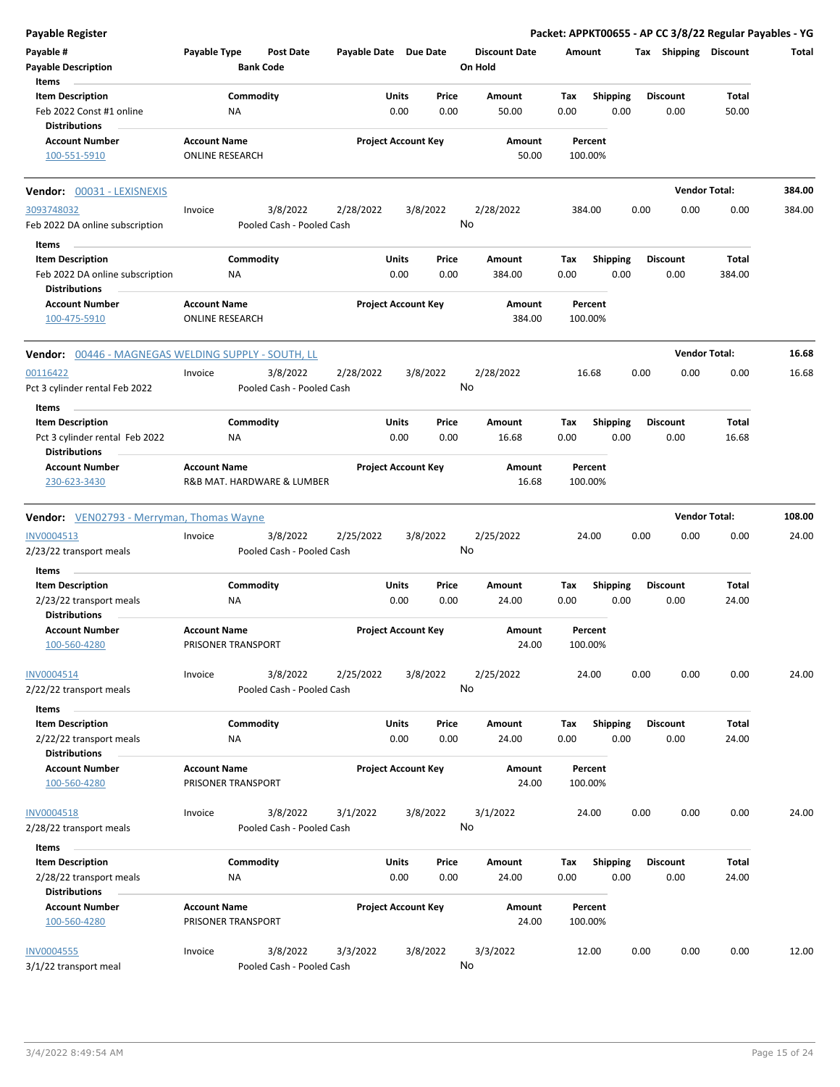| <b>Payable Register</b>                             |                     |                            |                       |                            |          |                      |             |                         |      |                       | Packet: APPKT00655 - AP CC 3/8/22 Regular Payables - YG |        |
|-----------------------------------------------------|---------------------|----------------------------|-----------------------|----------------------------|----------|----------------------|-------------|-------------------------|------|-----------------------|---------------------------------------------------------|--------|
| Payable #                                           | Payable Type        | <b>Post Date</b>           | Payable Date Due Date |                            |          | <b>Discount Date</b> | Amount      |                         |      | Tax Shipping Discount |                                                         | Total  |
| <b>Payable Description</b>                          |                     | <b>Bank Code</b>           |                       |                            |          | On Hold              |             |                         |      |                       |                                                         |        |
| Items                                               |                     |                            |                       |                            |          |                      |             |                         |      |                       |                                                         |        |
| <b>Item Description</b>                             |                     | Commodity                  |                       | Units                      | Price    | Amount               | Tax         | <b>Shipping</b>         |      | <b>Discount</b>       | Total                                                   |        |
| Feb 2022 Const #1 online                            |                     | ΝA                         |                       | 0.00                       | 0.00     | 50.00                | 0.00        | 0.00                    |      | 0.00                  | 50.00                                                   |        |
| <b>Distributions</b>                                |                     |                            |                       |                            |          |                      |             |                         |      |                       |                                                         |        |
| <b>Account Number</b>                               | <b>Account Name</b> |                            |                       | <b>Project Account Key</b> |          | Amount               |             | Percent                 |      |                       |                                                         |        |
| 100-551-5910                                        |                     | <b>ONLINE RESEARCH</b>     |                       |                            |          | 50.00                |             | 100.00%                 |      |                       |                                                         |        |
| Vendor: 00031 - LEXISNEXIS                          |                     |                            |                       |                            |          |                      |             |                         |      |                       | <b>Vendor Total:</b>                                    | 384.00 |
| 3093748032                                          | Invoice             | 3/8/2022                   | 2/28/2022             |                            | 3/8/2022 | 2/28/2022            |             | 384.00                  | 0.00 | 0.00                  | 0.00                                                    | 384.00 |
| Feb 2022 DA online subscription                     |                     | Pooled Cash - Pooled Cash  |                       |                            |          | No                   |             |                         |      |                       |                                                         |        |
| Items                                               |                     |                            |                       |                            |          |                      |             |                         |      |                       |                                                         |        |
| <b>Item Description</b>                             |                     | Commodity                  |                       | Units                      | Price    | Amount               | Tax         | <b>Shipping</b>         |      | <b>Discount</b>       | Total                                                   |        |
| Feb 2022 DA online subscription                     |                     | ΝA                         |                       | 0.00                       | 0.00     | 384.00               | 0.00        | 0.00                    |      | 0.00                  | 384.00                                                  |        |
| <b>Distributions</b>                                |                     |                            |                       |                            |          |                      |             |                         |      |                       |                                                         |        |
| <b>Account Number</b>                               | <b>Account Name</b> |                            |                       | <b>Project Account Key</b> |          | Amount               |             | Percent                 |      |                       |                                                         |        |
| 100-475-5910                                        |                     | <b>ONLINE RESEARCH</b>     |                       |                            |          | 384.00               |             | 100.00%                 |      |                       |                                                         |        |
|                                                     |                     |                            |                       |                            |          |                      |             |                         |      |                       |                                                         |        |
| Vendor: 00446 - MAGNEGAS WELDING SUPPLY - SOUTH, LL |                     |                            |                       |                            |          |                      |             |                         |      |                       | <b>Vendor Total:</b>                                    | 16.68  |
| 00116422                                            | Invoice             | 3/8/2022                   | 2/28/2022             |                            | 3/8/2022 | 2/28/2022            |             | 16.68                   | 0.00 | 0.00                  | 0.00                                                    | 16.68  |
| Pct 3 cylinder rental Feb 2022                      |                     | Pooled Cash - Pooled Cash  |                       |                            |          | No                   |             |                         |      |                       |                                                         |        |
| Items                                               |                     |                            |                       |                            |          |                      |             |                         |      |                       |                                                         |        |
| <b>Item Description</b>                             |                     | Commodity                  |                       | Units                      | Price    | Amount               | Tax         | <b>Shipping</b>         |      | <b>Discount</b>       | Total                                                   |        |
| Pct 3 cylinder rental Feb 2022                      |                     | NA                         |                       | 0.00                       | 0.00     | 16.68                | 0.00        | 0.00                    |      | 0.00                  | 16.68                                                   |        |
| Distributions                                       |                     |                            |                       |                            |          |                      |             |                         |      |                       |                                                         |        |
| <b>Account Number</b>                               | <b>Account Name</b> |                            |                       | <b>Project Account Key</b> |          | Amount               |             | Percent                 |      |                       |                                                         |        |
| 230-623-3430                                        |                     | R&B MAT. HARDWARE & LUMBER |                       |                            |          | 16.68                |             | 100.00%                 |      |                       |                                                         |        |
| <b>Vendor:</b> VEN02793 - Merryman, Thomas Wayne    |                     |                            |                       |                            |          |                      |             |                         |      |                       | <b>Vendor Total:</b>                                    | 108.00 |
| INV0004513                                          | Invoice             | 3/8/2022                   | 2/25/2022             |                            | 3/8/2022 | 2/25/2022            |             | 24.00                   | 0.00 | 0.00                  | 0.00                                                    | 24.00  |
| 2/23/22 transport meals                             |                     | Pooled Cash - Pooled Cash  |                       |                            |          | No                   |             |                         |      |                       |                                                         |        |
|                                                     |                     |                            |                       |                            |          |                      |             |                         |      |                       |                                                         |        |
| Items                                               |                     |                            |                       |                            |          |                      |             |                         |      |                       |                                                         |        |
| <b>Item Description</b>                             |                     | Commodity                  |                       | Units                      | Price    | Amount               | Tax         | <b>Shipping</b>         |      | <b>Discount</b>       | Total                                                   |        |
| 2/23/22 transport meals                             |                     | ΝA                         |                       | 0.00                       | 0.00     | 24.00                | 0.00        | 0.00                    |      | 0.00                  | 24.00                                                   |        |
| <b>Distributions</b>                                |                     |                            |                       |                            |          |                      |             |                         |      |                       |                                                         |        |
| <b>Account Number</b>                               | <b>Account Name</b> |                            |                       | <b>Project Account Key</b> |          | Amount               |             | Percent                 |      |                       |                                                         |        |
| <u>100-560-4280</u>                                 |                     | PRISONER TRANSPORT         |                       |                            |          | 24.00                |             | 100.00%                 |      |                       |                                                         |        |
| INV0004514                                          | Invoice             | 3/8/2022                   | 2/25/2022             |                            | 3/8/2022 | 2/25/2022            |             | 24.00                   | 0.00 | 0.00                  | 0.00                                                    | 24.00  |
| 2/22/22 transport meals                             |                     | Pooled Cash - Pooled Cash  |                       |                            |          | No                   |             |                         |      |                       |                                                         |        |
|                                                     |                     |                            |                       |                            |          |                      |             |                         |      |                       |                                                         |        |
| Items<br><b>Item Description</b>                    |                     | Commodity                  |                       | Units                      | Price    | Amount               |             |                         |      | <b>Discount</b>       | <b>Total</b>                                            |        |
| 2/22/22 transport meals                             |                     | ΝA                         |                       | 0.00                       | 0.00     | 24.00                | Tax<br>0.00 | <b>Shipping</b><br>0.00 |      | 0.00                  | 24.00                                                   |        |
| <b>Distributions</b>                                |                     |                            |                       |                            |          |                      |             |                         |      |                       |                                                         |        |
| <b>Account Number</b>                               | <b>Account Name</b> |                            |                       | <b>Project Account Key</b> |          | Amount               |             | Percent                 |      |                       |                                                         |        |
| 100-560-4280                                        |                     | PRISONER TRANSPORT         |                       |                            |          | 24.00                |             | 100.00%                 |      |                       |                                                         |        |
|                                                     |                     |                            |                       |                            |          |                      |             |                         |      |                       |                                                         |        |
| <b>INV0004518</b>                                   | Invoice             | 3/8/2022                   | 3/1/2022              |                            | 3/8/2022 | 3/1/2022             |             | 24.00                   | 0.00 | 0.00                  | 0.00                                                    | 24.00  |
| 2/28/22 transport meals                             |                     | Pooled Cash - Pooled Cash  |                       |                            |          | No                   |             |                         |      |                       |                                                         |        |
|                                                     |                     |                            |                       |                            |          |                      |             |                         |      |                       |                                                         |        |
| Items                                               |                     |                            |                       |                            |          |                      |             |                         |      |                       |                                                         |        |
| <b>Item Description</b>                             |                     | Commodity                  |                       | Units                      | Price    | Amount               | Tax         | Shipping                |      | <b>Discount</b>       | <b>Total</b>                                            |        |
| 2/28/22 transport meals                             |                     | ΝA                         |                       | 0.00                       | 0.00     | 24.00                | 0.00        | 0.00                    |      | 0.00                  | 24.00                                                   |        |
| <b>Distributions</b>                                |                     |                            |                       |                            |          |                      |             |                         |      |                       |                                                         |        |
| <b>Account Number</b>                               | <b>Account Name</b> |                            |                       | <b>Project Account Key</b> |          | Amount               |             | Percent                 |      |                       |                                                         |        |
| 100-560-4280                                        |                     | PRISONER TRANSPORT         |                       |                            |          | 24.00                |             | 100.00%                 |      |                       |                                                         |        |
| <b>INV0004555</b>                                   | Invoice             | 3/8/2022                   |                       |                            |          | 3/3/2022             |             | 12.00                   | 0.00 |                       | 0.00                                                    | 12.00  |
| 3/1/22 transport meal                               |                     | Pooled Cash - Pooled Cash  | 3/3/2022              |                            | 3/8/2022 | No                   |             |                         |      | 0.00                  |                                                         |        |
|                                                     |                     |                            |                       |                            |          |                      |             |                         |      |                       |                                                         |        |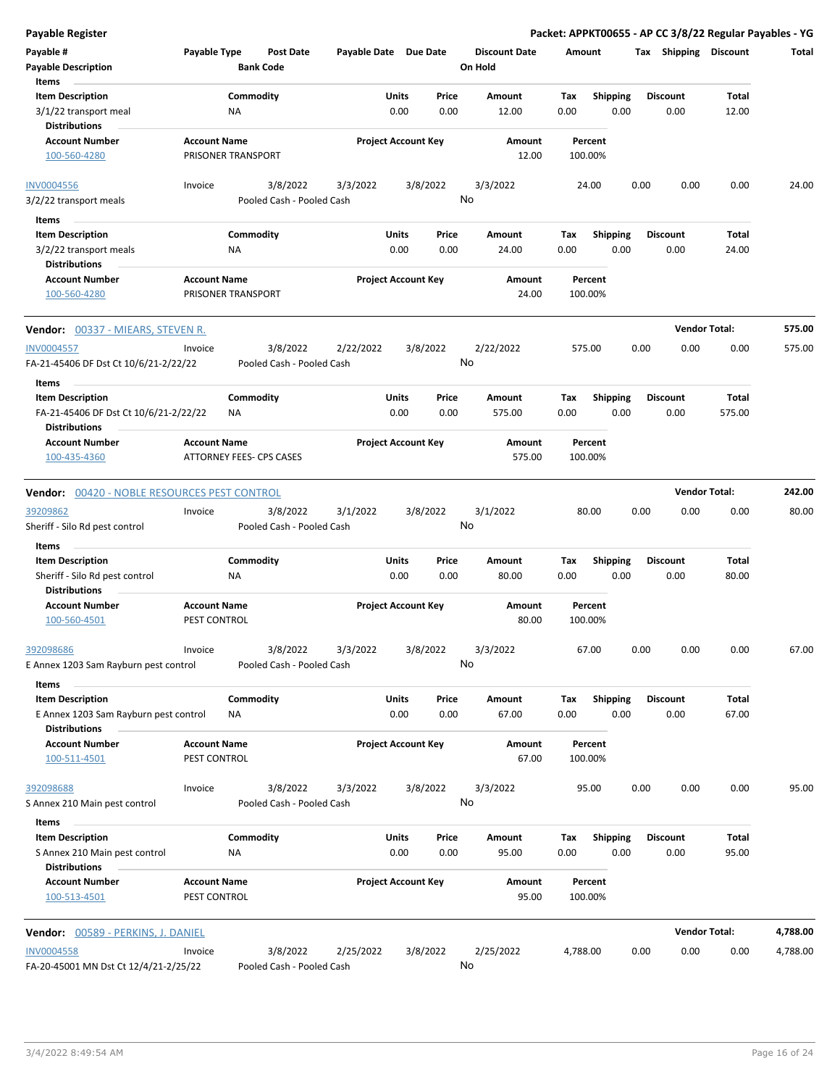| <b>Payable Register</b>                                                                  |                                     |                          |                           |                       |                            |               |                                 |             |                         |      |                         | Packet: APPKT00655 - AP CC 3/8/22 Regular Payables - YG |          |
|------------------------------------------------------------------------------------------|-------------------------------------|--------------------------|---------------------------|-----------------------|----------------------------|---------------|---------------------------------|-------------|-------------------------|------|-------------------------|---------------------------------------------------------|----------|
| Payable #<br><b>Payable Description</b>                                                  | Payable Type                        | <b>Bank Code</b>         | <b>Post Date</b>          | Payable Date Due Date |                            |               | <b>Discount Date</b><br>On Hold | Amount      |                         |      | Tax Shipping Discount   |                                                         | Total    |
| Items                                                                                    |                                     |                          |                           |                       |                            |               |                                 |             |                         |      |                         |                                                         |          |
| <b>Item Description</b><br>3/1/22 transport meal<br>Distributions                        |                                     | Commodity<br>ΝA          |                           |                       | <b>Units</b><br>0.00       | Price<br>0.00 | Amount<br>12.00                 | Tax<br>0.00 | <b>Shipping</b><br>0.00 |      | <b>Discount</b><br>0.00 | Total<br>12.00                                          |          |
| <b>Account Number</b>                                                                    | <b>Account Name</b>                 |                          |                           |                       | <b>Project Account Key</b> |               | Amount                          |             | Percent                 |      |                         |                                                         |          |
| 100-560-4280                                                                             |                                     | PRISONER TRANSPORT       |                           |                       |                            |               | 12.00                           |             | 100.00%                 |      |                         |                                                         |          |
| <b>INV0004556</b>                                                                        | Invoice                             |                          | 3/8/2022                  | 3/3/2022              |                            | 3/8/2022      | 3/3/2022                        |             | 24.00                   | 0.00 | 0.00                    | 0.00                                                    | 24.00    |
| 3/2/22 transport meals                                                                   |                                     |                          | Pooled Cash - Pooled Cash |                       |                            |               | No                              |             |                         |      |                         |                                                         |          |
| Items                                                                                    |                                     |                          |                           |                       |                            |               |                                 |             |                         |      |                         |                                                         |          |
| <b>Item Description</b>                                                                  |                                     | Commodity                |                           |                       | Units                      | Price         | Amount                          | Tax         | <b>Shipping</b>         |      | <b>Discount</b>         | Total                                                   |          |
| 3/2/22 transport meals                                                                   |                                     | ΝA                       |                           |                       | 0.00                       | 0.00          | 24.00                           | 0.00        | 0.00                    |      | 0.00                    | 24.00                                                   |          |
| <b>Distributions</b>                                                                     |                                     |                          |                           |                       |                            |               |                                 |             |                         |      |                         |                                                         |          |
| <b>Account Number</b><br>100-560-4280                                                    | <b>Account Name</b>                 | PRISONER TRANSPORT       |                           |                       | <b>Project Account Key</b> |               | Amount<br>24.00                 |             | Percent<br>100.00%      |      |                         |                                                         |          |
| <b>Vendor:</b> 00337 - MIEARS, STEVEN R.                                                 |                                     |                          |                           |                       |                            |               |                                 |             |                         |      |                         | <b>Vendor Total:</b>                                    | 575.00   |
| <b>INV0004557</b>                                                                        | Invoice                             |                          | 3/8/2022                  | 2/22/2022             |                            | 3/8/2022      | 2/22/2022                       |             | 575.00                  | 0.00 | 0.00                    | 0.00                                                    | 575.00   |
| FA-21-45406 DF Dst Ct 10/6/21-2/22/22<br>Items                                           |                                     |                          | Pooled Cash - Pooled Cash |                       |                            |               | No                              |             |                         |      |                         |                                                         |          |
| <b>Item Description</b>                                                                  |                                     | Commodity                |                           |                       | Units                      | Price         | Amount                          | Tax         | <b>Shipping</b>         |      | <b>Discount</b>         | Total                                                   |          |
| FA-21-45406 DF Dst Ct 10/6/21-2/22/22<br><b>Distributions</b>                            |                                     | NA                       |                           |                       | 0.00                       | 0.00          | 575.00                          | 0.00        | 0.00                    |      | 0.00                    | 575.00                                                  |          |
| <b>Account Number</b>                                                                    | <b>Account Name</b>                 |                          |                           |                       | <b>Project Account Key</b> |               | Amount                          |             | Percent                 |      |                         |                                                         |          |
| 100-435-4360                                                                             |                                     | ATTORNEY FEES- CPS CASES |                           |                       |                            |               | 575.00                          |             | 100.00%                 |      |                         |                                                         |          |
| <b>Vendor: 00420 - NOBLE RESOURCES PEST CONTROL</b>                                      |                                     |                          |                           |                       |                            |               |                                 |             |                         |      |                         | <b>Vendor Total:</b>                                    | 242.00   |
| 39209862                                                                                 | Invoice                             |                          | 3/8/2022                  | 3/1/2022              |                            | 3/8/2022      | 3/1/2022                        |             | 80.00                   | 0.00 | 0.00                    | 0.00                                                    | 80.00    |
| Sheriff - Silo Rd pest control                                                           |                                     |                          | Pooled Cash - Pooled Cash |                       |                            |               | No                              |             |                         |      |                         |                                                         |          |
| Items                                                                                    |                                     |                          |                           |                       |                            |               |                                 |             |                         |      |                         |                                                         |          |
| <b>Item Description</b><br>Sheriff - Silo Rd pest control                                |                                     | Commodity<br>NA          |                           |                       | Units<br>0.00              | Price<br>0.00 | Amount<br>80.00                 | Tax<br>0.00 | <b>Shipping</b><br>0.00 |      | <b>Discount</b><br>0.00 | <b>Total</b><br>80.00                                   |          |
| <b>Distributions</b><br><b>Account Number</b>                                            | <b>Account Name</b>                 |                          |                           |                       | <b>Project Account Key</b> |               | Amount                          |             | Percent                 |      |                         |                                                         |          |
| 100-560-4501                                                                             | PEST CONTROL                        |                          |                           |                       |                            |               | 80.00                           |             | 100.00%                 |      |                         |                                                         |          |
| 392098686                                                                                | Invoice                             |                          | 3/8/2022                  | 3/3/2022              |                            | 3/8/2022      | 3/3/2022<br>No                  |             | 67.00                   | 0.00 | 0.00                    | 0.00                                                    | 67.00    |
| E Annex 1203 Sam Rayburn pest control                                                    |                                     |                          | Pooled Cash - Pooled Cash |                       |                            |               |                                 |             |                         |      |                         |                                                         |          |
| Items                                                                                    |                                     |                          |                           |                       |                            |               |                                 |             |                         |      |                         | Total                                                   |          |
| <b>Item Description</b><br>E Annex 1203 Sam Rayburn pest control<br><b>Distributions</b> |                                     | Commodity<br>ΝA          |                           |                       | Units<br>0.00              | Price<br>0.00 | Amount<br>67.00                 | Tax<br>0.00 | <b>Shipping</b><br>0.00 |      | <b>Discount</b><br>0.00 | 67.00                                                   |          |
| <b>Account Number</b>                                                                    | <b>Account Name</b>                 |                          |                           |                       | <b>Project Account Key</b> |               | Amount                          |             | Percent                 |      |                         |                                                         |          |
| 100-511-4501                                                                             | PEST CONTROL                        |                          |                           |                       |                            |               | 67.00                           |             | 100.00%                 |      |                         |                                                         |          |
| 392098688                                                                                | Invoice                             |                          | 3/8/2022                  | 3/3/2022              |                            | 3/8/2022      | 3/3/2022                        |             | 95.00                   | 0.00 | 0.00                    | 0.00                                                    | 95.00    |
| S Annex 210 Main pest control                                                            |                                     |                          | Pooled Cash - Pooled Cash |                       |                            |               | No                              |             |                         |      |                         |                                                         |          |
| Items                                                                                    |                                     |                          |                           |                       |                            |               |                                 |             |                         |      |                         |                                                         |          |
| <b>Item Description</b><br>S Annex 210 Main pest control                                 |                                     | Commodity<br>ΝA          |                           |                       | Units<br>0.00              | Price<br>0.00 | Amount<br>95.00                 | Тах<br>0.00 | <b>Shipping</b><br>0.00 |      | <b>Discount</b><br>0.00 | Total<br>95.00                                          |          |
| <b>Distributions</b>                                                                     |                                     |                          |                           |                       |                            |               |                                 |             |                         |      |                         |                                                         |          |
| <b>Account Number</b><br>100-513-4501                                                    | <b>Account Name</b><br>PEST CONTROL |                          |                           |                       | <b>Project Account Key</b> |               | Amount<br>95.00                 |             | Percent<br>100.00%      |      |                         |                                                         |          |
| Vendor: 00589 - PERKINS, J. DANIEL                                                       |                                     |                          |                           |                       |                            |               |                                 |             |                         |      |                         | <b>Vendor Total:</b>                                    | 4,788.00 |
| <b>INV0004558</b>                                                                        | Invoice                             |                          | 3/8/2022                  | 2/25/2022             |                            | 3/8/2022      | 2/25/2022                       | 4,788.00    |                         | 0.00 | 0.00                    | 0.00                                                    | 4,788.00 |
| FA-20-45001 MN Dst Ct 12/4/21-2/25/22                                                    |                                     |                          | Pooled Cash - Pooled Cash |                       |                            |               | No                              |             |                         |      |                         |                                                         |          |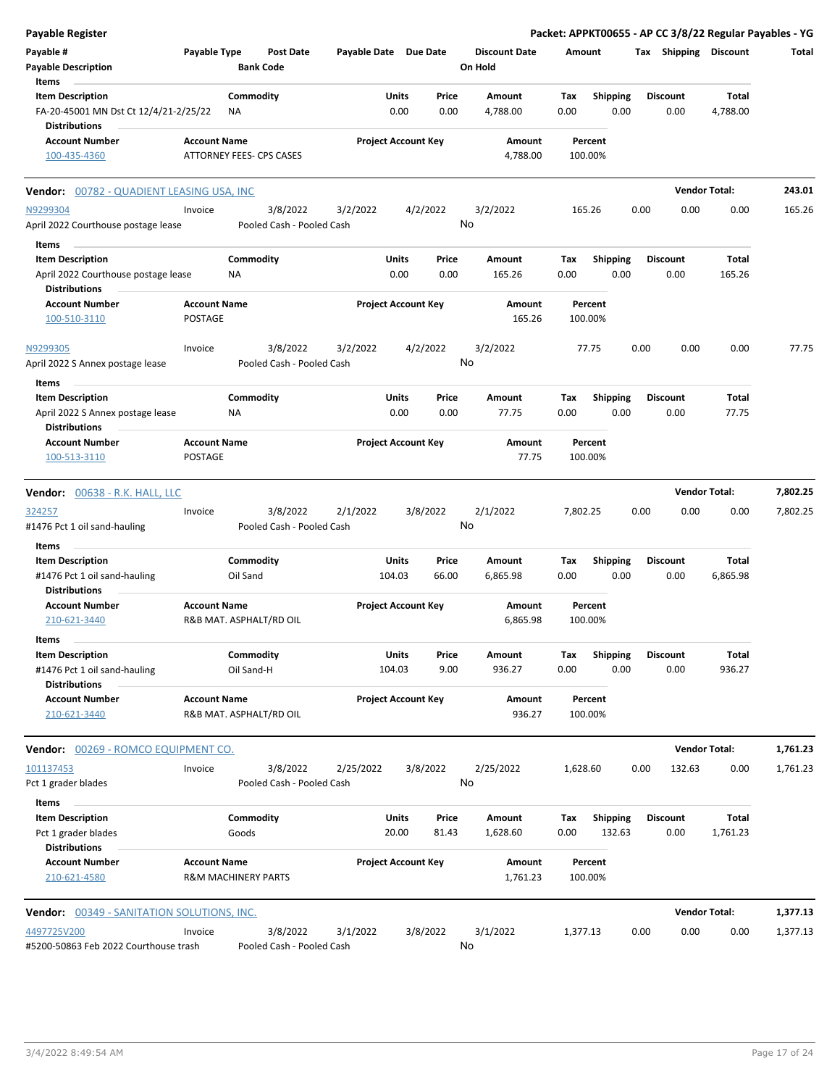| <b>Payable Register</b>                                                                |                                |                                       |                            |                 |                |                                 |                    |                         |      |                         | Packet: APPKT00655 - AP CC 3/8/22 Regular Payables - YG |          |
|----------------------------------------------------------------------------------------|--------------------------------|---------------------------------------|----------------------------|-----------------|----------------|---------------------------------|--------------------|-------------------------|------|-------------------------|---------------------------------------------------------|----------|
| Payable #<br><b>Payable Description</b>                                                | Payable Type                   | <b>Post Date</b><br><b>Bank Code</b>  | Payable Date Due Date      |                 |                | <b>Discount Date</b><br>On Hold | Amount             |                         |      | Tax Shipping Discount   |                                                         | Total    |
| Items<br><b>Item Description</b><br>FA-20-45001 MN Dst Ct 12/4/21-2/25/22              |                                | Commodity<br>ΝA                       |                            | Units<br>0.00   | Price<br>0.00  | Amount<br>4,788.00              | Tax<br>0.00        | <b>Shipping</b><br>0.00 |      | <b>Discount</b><br>0.00 | Total<br>4,788.00                                       |          |
| <b>Distributions</b><br><b>Account Number</b>                                          | <b>Account Name</b>            |                                       | <b>Project Account Key</b> |                 |                | Amount                          | Percent            |                         |      |                         |                                                         |          |
| 100-435-4360                                                                           |                                | ATTORNEY FEES- CPS CASES              |                            |                 |                | 4,788.00                        | 100.00%            |                         |      |                         |                                                         |          |
| Vendor: 00782 - QUADIENT LEASING USA, INC                                              |                                |                                       |                            |                 |                |                                 |                    |                         |      |                         | <b>Vendor Total:</b>                                    | 243.01   |
| N9299304<br>April 2022 Courthouse postage lease                                        | Invoice                        | 3/8/2022<br>Pooled Cash - Pooled Cash | 3/2/2022                   |                 | 4/2/2022<br>No | 3/2/2022                        | 165.26             |                         | 0.00 | 0.00                    | 0.00                                                    | 165.26   |
| Items                                                                                  |                                |                                       |                            |                 |                |                                 |                    |                         |      |                         |                                                         |          |
| <b>Item Description</b><br>April 2022 Courthouse postage lease<br><b>Distributions</b> |                                | Commodity<br>ΝA                       |                            | Units<br>0.00   | Price<br>0.00  | Amount<br>165.26                | Tax<br>0.00        | <b>Shipping</b><br>0.00 |      | <b>Discount</b><br>0.00 | Total<br>165.26                                         |          |
| <b>Account Number</b><br>100-510-3110                                                  | <b>Account Name</b><br>POSTAGE |                                       | <b>Project Account Key</b> |                 |                | Amount<br>165.26                | Percent<br>100.00% |                         |      |                         |                                                         |          |
| N9299305<br>April 2022 S Annex postage lease                                           | Invoice                        | 3/8/2022<br>Pooled Cash - Pooled Cash | 3/2/2022                   |                 | 4/2/2022<br>No | 3/2/2022                        | 77.75              |                         | 0.00 | 0.00                    | 0.00                                                    | 77.75    |
| Items                                                                                  |                                |                                       |                            |                 |                |                                 |                    |                         |      |                         |                                                         |          |
| <b>Item Description</b>                                                                |                                | Commodity                             |                            | Units           | Price          | Amount                          | Tax                | <b>Shipping</b>         |      | <b>Discount</b>         | Total                                                   |          |
| April 2022 S Annex postage lease<br><b>Distributions</b>                               |                                | NA                                    |                            | 0.00            | 0.00           | 77.75                           | 0.00               | 0.00                    |      | 0.00                    | 77.75                                                   |          |
| <b>Account Number</b><br>100-513-3110                                                  | <b>Account Name</b><br>POSTAGE |                                       | <b>Project Account Key</b> |                 |                | Amount<br>77.75                 | Percent<br>100.00% |                         |      |                         |                                                         |          |
| Vendor: 00638 - R.K. HALL, LLC                                                         |                                |                                       |                            |                 |                |                                 |                    |                         |      |                         | <b>Vendor Total:</b>                                    | 7,802.25 |
| 324257<br>#1476 Pct 1 oil sand-hauling                                                 | Invoice                        | 3/8/2022<br>Pooled Cash - Pooled Cash | 2/1/2022                   |                 | 3/8/2022<br>No | 2/1/2022                        | 7,802.25           |                         | 0.00 | 0.00                    | 0.00                                                    | 7,802.25 |
| Items                                                                                  |                                |                                       |                            |                 |                |                                 |                    |                         |      |                         |                                                         |          |
| <b>Item Description</b><br>#1476 Pct 1 oil sand-hauling<br><b>Distributions</b>        |                                | Commodity<br>Oil Sand                 |                            | Units<br>104.03 | Price<br>66.00 | Amount<br>6,865.98              | Tax<br>0.00        | Shipping<br>0.00        |      | <b>Discount</b><br>0.00 | Total<br>6,865.98                                       |          |
| <b>Account Number</b><br>210-621-3440                                                  | <b>Account Name</b>            | R&B MAT. ASPHALT/RD OIL               | <b>Project Account Key</b> |                 |                | Amount<br>6,865.98              | Percent<br>100.00% |                         |      |                         |                                                         |          |
| Items                                                                                  |                                |                                       |                            |                 |                |                                 |                    |                         |      |                         |                                                         |          |
| <b>Item Description</b><br>#1476 Pct 1 oil sand-hauling<br><b>Distributions</b>        |                                | Commodity<br>Oil Sand-H               |                            | Units<br>104.03 | Price<br>9.00  | Amount<br>936.27                | Тах<br>0.00        | <b>Shipping</b><br>0.00 |      | <b>Discount</b><br>0.00 | Total<br>936.27                                         |          |
| <b>Account Number</b><br>210-621-3440                                                  | <b>Account Name</b>            | R&B MAT. ASPHALT/RD OIL               | <b>Project Account Key</b> |                 |                | Amount<br>936.27                | Percent<br>100.00% |                         |      |                         |                                                         |          |
| Vendor: 00269 - ROMCO EQUIPMENT CO.                                                    |                                |                                       |                            |                 |                |                                 |                    |                         |      |                         | <b>Vendor Total:</b>                                    | 1,761.23 |
| 101137453<br>Pct 1 grader blades                                                       | Invoice                        | 3/8/2022<br>Pooled Cash - Pooled Cash | 2/25/2022                  |                 | 3/8/2022<br>No | 2/25/2022                       | 1,628.60           |                         | 0.00 | 132.63                  | 0.00                                                    | 1,761.23 |
| Items                                                                                  |                                |                                       |                            |                 |                |                                 |                    |                         |      |                         |                                                         |          |
| <b>Item Description</b>                                                                |                                | Commodity                             |                            | Units           | Price          | Amount                          | Тах                | <b>Shipping</b>         |      | <b>Discount</b>         | Total                                                   |          |
| Pct 1 grader blades<br><b>Distributions</b>                                            |                                | Goods                                 |                            | 20.00           | 81.43          | 1,628.60                        | 0.00               | 132.63                  |      | 0.00                    | 1,761.23                                                |          |
| <b>Account Number</b><br>210-621-4580                                                  | <b>Account Name</b>            | <b>R&amp;M MACHINERY PARTS</b>        | <b>Project Account Key</b> |                 |                | Amount<br>1,761.23              | Percent<br>100.00% |                         |      |                         |                                                         |          |
| <b>Vendor:</b> 00349 - SANITATION SOLUTIONS, INC.                                      |                                |                                       |                            |                 |                |                                 |                    |                         |      |                         | <b>Vendor Total:</b>                                    | 1,377.13 |
| 4497725V200<br>#5200-50863 Feb 2022 Courthouse trash                                   | Invoice                        | 3/8/2022<br>Pooled Cash - Pooled Cash | 3/1/2022                   |                 | 3/8/2022<br>No | 3/1/2022                        | 1,377.13           |                         | 0.00 | 0.00                    | 0.00                                                    | 1,377.13 |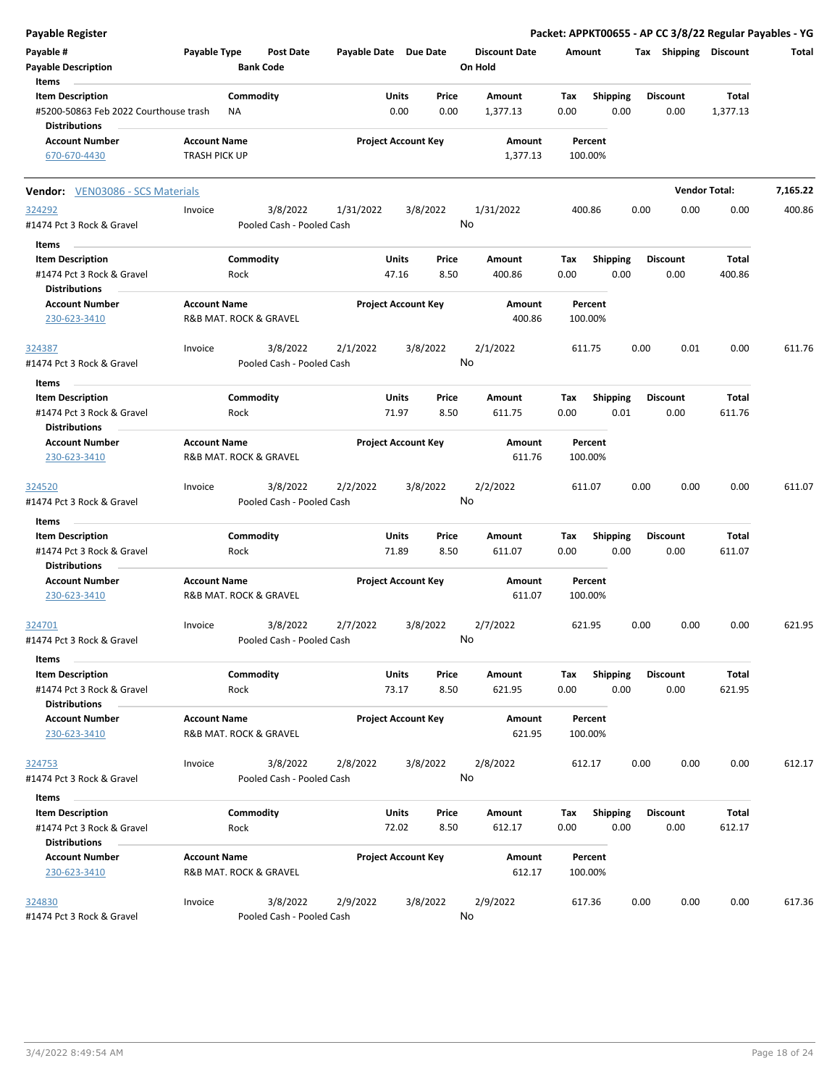| Payable Register                                                             |                                             |                                       |                       |                                 |                                 | Packet: APPKT00655 - AP CC 3/8/22 Regular Payables - YG |      |                         |                      |          |
|------------------------------------------------------------------------------|---------------------------------------------|---------------------------------------|-----------------------|---------------------------------|---------------------------------|---------------------------------------------------------|------|-------------------------|----------------------|----------|
| Payable #<br><b>Payable Description</b>                                      | Payable Type                                | <b>Post Date</b><br><b>Bank Code</b>  | Payable Date Due Date |                                 | <b>Discount Date</b><br>On Hold | Amount                                                  |      | Tax Shipping Discount   |                      | Total    |
| Items<br><b>Item Description</b><br>#5200-50863 Feb 2022 Courthouse trash    | ΝA                                          | Commodity                             |                       | Units<br>Price<br>0.00<br>0.00  | Amount<br>1,377.13              | Tax<br><b>Shipping</b><br>0.00<br>0.00                  |      | <b>Discount</b><br>0.00 | Total<br>1,377.13    |          |
| <b>Distributions</b><br><b>Account Number</b><br>670-670-4430                | <b>Account Name</b><br><b>TRASH PICK UP</b> |                                       |                       | <b>Project Account Key</b>      | Amount<br>1,377.13              | Percent<br>100.00%                                      |      |                         |                      |          |
| Vendor: VEN03086 - SCS Materials                                             |                                             |                                       |                       |                                 |                                 |                                                         |      |                         | <b>Vendor Total:</b> | 7,165.22 |
| 324292                                                                       | Invoice                                     | 3/8/2022                              | 1/31/2022             | 3/8/2022                        | 1/31/2022                       | 400.86                                                  | 0.00 | 0.00                    | 0.00                 | 400.86   |
| #1474 Pct 3 Rock & Gravel<br>Items                                           |                                             | Pooled Cash - Pooled Cash             |                       |                                 | No                              |                                                         |      |                         |                      |          |
| <b>Item Description</b><br>#1474 Pct 3 Rock & Gravel                         | Rock                                        | Commodity                             |                       | Units<br>Price<br>47.16<br>8.50 | Amount<br>400.86                | <b>Shipping</b><br>Тах<br>0.00<br>0.00                  |      | <b>Discount</b><br>0.00 | Total<br>400.86      |          |
| <b>Distributions</b><br><b>Account Number</b><br>230-623-3410                | <b>Account Name</b>                         | R&B MAT. ROCK & GRAVEL                |                       | <b>Project Account Key</b>      | Amount<br>400.86                | Percent<br>100.00%                                      |      |                         |                      |          |
| 324387<br>#1474 Pct 3 Rock & Gravel                                          | Invoice                                     | 3/8/2022<br>Pooled Cash - Pooled Cash | 2/1/2022              | 3/8/2022                        | 2/1/2022<br>No                  | 611.75                                                  | 0.00 | 0.01                    | 0.00                 | 611.76   |
| Items                                                                        |                                             |                                       |                       |                                 |                                 |                                                         |      |                         |                      |          |
| <b>Item Description</b><br>#1474 Pct 3 Rock & Gravel                         |                                             | Commodity<br>Rock                     |                       | Units<br>Price<br>71.97<br>8.50 | Amount<br>611.75                | <b>Shipping</b><br>Tax<br>0.00                          | 0.01 | <b>Discount</b><br>0.00 | Total<br>611.76      |          |
| <b>Distributions</b><br><b>Account Number</b><br>230-623-3410                | <b>Account Name</b>                         | R&B MAT. ROCK & GRAVEL                |                       | <b>Project Account Key</b>      | Amount<br>611.76                | Percent<br>100.00%                                      |      |                         |                      |          |
| 324520<br>#1474 Pct 3 Rock & Gravel                                          | Invoice                                     | 3/8/2022<br>Pooled Cash - Pooled Cash | 2/2/2022              | 3/8/2022                        | 2/2/2022<br>No                  | 611.07                                                  | 0.00 | 0.00                    | 0.00                 | 611.07   |
| Items                                                                        |                                             |                                       |                       |                                 |                                 |                                                         |      |                         |                      |          |
| <b>Item Description</b><br>#1474 Pct 3 Rock & Gravel                         |                                             | Commodity<br>Rock                     |                       | Units<br>Price<br>71.89<br>8.50 | Amount<br>611.07                | Tax<br><b>Shipping</b><br>0.00<br>0.00                  |      | <b>Discount</b><br>0.00 | Total<br>611.07      |          |
| <b>Distributions</b><br><b>Account Number</b><br>230-623-3410                | <b>Account Name</b>                         | R&B MAT. ROCK & GRAVEL                |                       | <b>Project Account Key</b>      | Amount<br>611.07                | Percent<br>100.00%                                      |      |                         |                      |          |
| 324701<br>#1474 Pct 3 Rock & Gravel                                          | Invoice                                     | 3/8/2022<br>Pooled Cash - Pooled Cash | 2/7/2022              | 3/8/2022                        | 2/7/2022<br>No                  | 621.95                                                  | 0.00 | 0.00                    | 0.00                 | 621.95   |
| Items                                                                        |                                             |                                       |                       |                                 |                                 |                                                         |      |                         |                      |          |
| <b>Item Description</b><br>#1474 Pct 3 Rock & Gravel<br><b>Distributions</b> |                                             | Commodity<br>Rock                     |                       | Units<br>Price<br>73.17<br>8.50 | Amount<br>621.95                | <b>Shipping</b><br>Tax<br>0.00                          | 0.00 | <b>Discount</b><br>0.00 | Total<br>621.95      |          |
| <b>Account Number</b><br>230-623-3410                                        | <b>Account Name</b>                         | R&B MAT. ROCK & GRAVEL                |                       | <b>Project Account Key</b>      | Amount<br>621.95                | Percent<br>100.00%                                      |      |                         |                      |          |
| 324753<br>#1474 Pct 3 Rock & Gravel                                          | Invoice                                     | 3/8/2022<br>Pooled Cash - Pooled Cash | 2/8/2022              | 3/8/2022                        | 2/8/2022<br>No                  | 612.17                                                  | 0.00 | 0.00                    | 0.00                 | 612.17   |
| Items                                                                        |                                             |                                       |                       |                                 |                                 |                                                         |      |                         |                      |          |
| <b>Item Description</b><br>#1474 Pct 3 Rock & Gravel                         |                                             | Commodity<br>Rock                     |                       | Units<br>Price<br>72.02<br>8.50 | Amount<br>612.17                | <b>Shipping</b><br>Tax<br>0.00                          | 0.00 | <b>Discount</b><br>0.00 | Total<br>612.17      |          |
| <b>Distributions</b><br><b>Account Number</b><br>230-623-3410                | <b>Account Name</b>                         | R&B MAT. ROCK & GRAVEL                |                       | <b>Project Account Key</b>      | Amount<br>612.17                | Percent<br>100.00%                                      |      |                         |                      |          |
| 324830<br>#1474 Pct 3 Rock & Gravel                                          | Invoice                                     | 3/8/2022<br>Pooled Cash - Pooled Cash | 2/9/2022              | 3/8/2022                        | 2/9/2022<br>No                  | 617.36                                                  | 0.00 | 0.00                    | 0.00                 | 617.36   |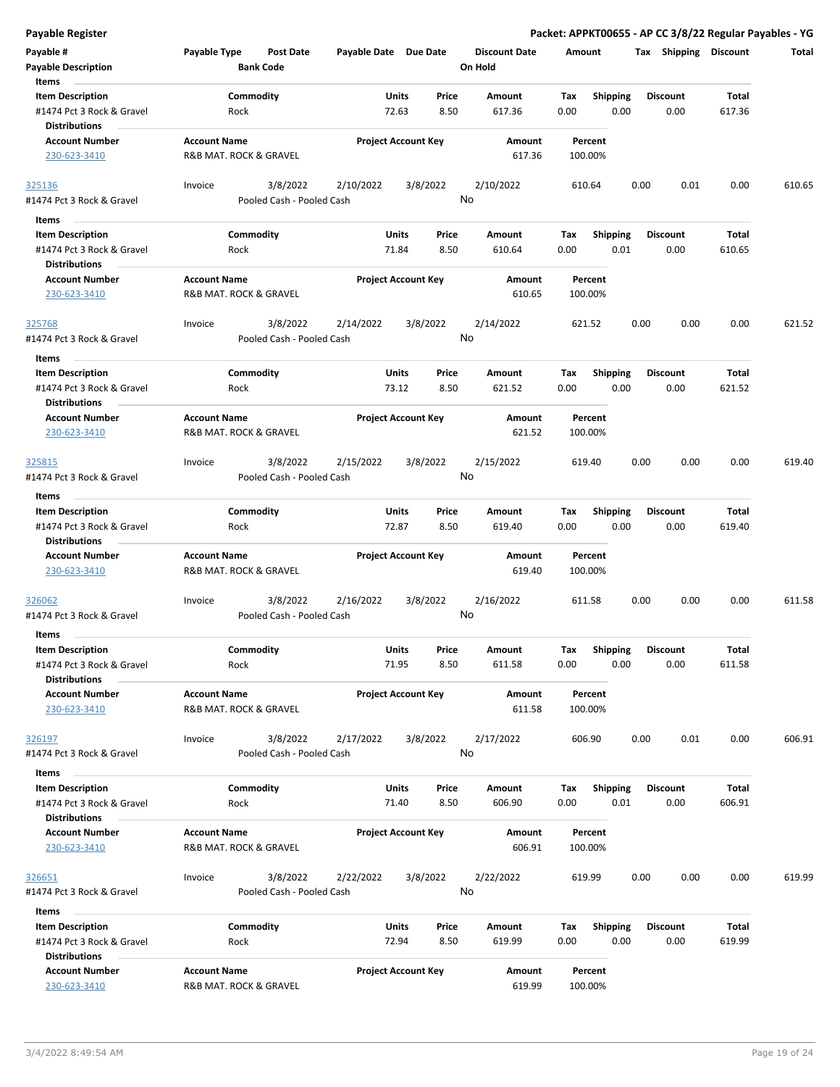| <b>Payable Register</b> |  |
|-------------------------|--|
| Payable #               |  |

| Payable #                                            | Payable Type           | <b>Post Date</b>          | Payable Date Due Date |                            |           | <b>Discount Date</b> | Amount      |                         | Тах  | Shipping        | <b>Discount</b> | Total  |
|------------------------------------------------------|------------------------|---------------------------|-----------------------|----------------------------|-----------|----------------------|-------------|-------------------------|------|-----------------|-----------------|--------|
| <b>Payable Description</b>                           |                        | <b>Bank Code</b>          |                       |                            | On Hold   |                      |             |                         |      |                 |                 |        |
| Items                                                |                        |                           |                       |                            |           |                      |             |                         |      |                 |                 |        |
| <b>Item Description</b>                              |                        | Commodity                 |                       | Units<br>Price             |           | Amount               | Tax         | <b>Shipping</b>         |      | <b>Discount</b> | Total           |        |
| #1474 Pct 3 Rock & Gravel                            | Rock                   |                           |                       | 72.63<br>8.50              |           | 617.36               | 0.00        | 0.00                    |      | 0.00            | 617.36          |        |
| <b>Distributions</b>                                 |                        |                           |                       |                            |           |                      |             |                         |      |                 |                 |        |
| <b>Account Number</b>                                | <b>Account Name</b>    |                           |                       | <b>Project Account Key</b> |           | Amount               | Percent     |                         |      |                 |                 |        |
| 230-623-3410                                         | R&B MAT. ROCK & GRAVEL |                           |                       |                            |           | 617.36               | 100.00%     |                         |      |                 |                 |        |
| 325136                                               | Invoice                | 3/8/2022                  | 2/10/2022             | 3/8/2022                   | 2/10/2022 |                      | 610.64      |                         | 0.00 | 0.01            | 0.00            | 610.65 |
| #1474 Pct 3 Rock & Gravel                            |                        | Pooled Cash - Pooled Cash |                       |                            | No        |                      |             |                         |      |                 |                 |        |
| Items                                                |                        |                           |                       |                            |           |                      |             |                         |      |                 |                 |        |
| <b>Item Description</b>                              |                        | Commodity                 |                       | Units<br>Price             |           | Amount               | Tax         | <b>Shipping</b>         |      | <b>Discount</b> | Total           |        |
| #1474 Pct 3 Rock & Gravel                            | Rock                   |                           |                       | 8.50<br>71.84              |           | 610.64               | 0.00        | 0.01                    |      | 0.00            | 610.65          |        |
| <b>Distributions</b>                                 |                        |                           |                       |                            |           |                      |             |                         |      |                 |                 |        |
| <b>Account Number</b>                                | <b>Account Name</b>    |                           |                       | <b>Project Account Key</b> |           | Amount               | Percent     |                         |      |                 |                 |        |
| 230-623-3410                                         | R&B MAT. ROCK & GRAVEL |                           |                       |                            |           | 610.65               | 100.00%     |                         |      |                 |                 |        |
| 325768                                               | Invoice                | 3/8/2022                  | 2/14/2022             | 3/8/2022                   | 2/14/2022 |                      | 621.52      |                         | 0.00 | 0.00            | 0.00            | 621.52 |
| #1474 Pct 3 Rock & Gravel                            |                        | Pooled Cash - Pooled Cash |                       |                            | No        |                      |             |                         |      |                 |                 |        |
| Items                                                |                        |                           |                       |                            |           |                      |             |                         |      |                 |                 |        |
| <b>Item Description</b>                              |                        | Commodity                 |                       | Units<br>Price             |           | Amount               | Тах         | <b>Shipping</b>         |      | <b>Discount</b> | Total           |        |
| #1474 Pct 3 Rock & Gravel                            | Rock                   |                           |                       | 73.12<br>8.50              |           | 621.52               | 0.00        | 0.00                    |      | 0.00            | 621.52          |        |
| <b>Distributions</b>                                 |                        |                           |                       |                            |           |                      |             |                         |      |                 |                 |        |
| <b>Account Number</b>                                | <b>Account Name</b>    |                           |                       | <b>Project Account Key</b> |           | Amount               | Percent     |                         |      |                 |                 |        |
| 230-623-3410                                         | R&B MAT. ROCK & GRAVEL |                           |                       |                            |           | 621.52               | 100.00%     |                         |      |                 |                 |        |
|                                                      |                        | 3/8/2022                  | 2/15/2022             | 3/8/2022                   | 2/15/2022 |                      | 619.40      |                         | 0.00 | 0.00            | 0.00            | 619.40 |
| 325815<br>#1474 Pct 3 Rock & Gravel                  | Invoice                | Pooled Cash - Pooled Cash |                       |                            | No        |                      |             |                         |      |                 |                 |        |
|                                                      |                        |                           |                       |                            |           |                      |             |                         |      |                 |                 |        |
| Items                                                |                        |                           |                       | Price                      |           |                      |             |                         |      | <b>Discount</b> |                 |        |
| <b>Item Description</b><br>#1474 Pct 3 Rock & Gravel | Rock                   | Commodity                 |                       | Units<br>72.87<br>8.50     |           | Amount<br>619.40     | Tax<br>0.00 | <b>Shipping</b><br>0.00 |      | 0.00            | Total<br>619.40 |        |
| <b>Distributions</b>                                 |                        |                           |                       |                            |           |                      |             |                         |      |                 |                 |        |
| <b>Account Number</b>                                | <b>Account Name</b>    |                           |                       | <b>Project Account Key</b> |           | Amount               | Percent     |                         |      |                 |                 |        |
| 230-623-3410                                         | R&B MAT. ROCK & GRAVEL |                           |                       |                            |           | 619.40               | 100.00%     |                         |      |                 |                 |        |
|                                                      |                        |                           |                       |                            |           |                      |             |                         |      |                 |                 |        |
| <u>326062</u>                                        | Invoice                | 3/8/2022                  | 2/16/2022             | 3/8/2022                   | 2/16/2022 |                      | 611.58      |                         | 0.00 | 0.00            | 0.00            | 611.58 |
| #1474 Pct 3 Rock & Gravel                            |                        | Pooled Cash - Pooled Cash |                       |                            | No        |                      |             |                         |      |                 |                 |        |
| <b>Items</b>                                         |                        |                           |                       |                            |           |                      |             |                         |      |                 |                 |        |
| <b>Item Description</b>                              |                        | Commodity                 |                       | Units<br>Price             |           | Amount               | Tax         | <b>Shipping</b>         |      | <b>Discount</b> | Total           |        |
| #1474 Pct 3 Rock & Gravel                            | Rock                   |                           |                       | 71.95<br>8.50              |           | 611.58               | 0.00        | 0.00                    |      | 0.00            | 611.58          |        |
| <b>Distributions</b>                                 |                        |                           |                       |                            |           |                      |             |                         |      |                 |                 |        |
| <b>Account Number</b>                                | <b>Account Name</b>    |                           |                       | <b>Project Account Key</b> |           | Amount               | Percent     |                         |      |                 |                 |        |
| 230-623-3410                                         | R&B MAT. ROCK & GRAVEL |                           |                       |                            |           | 611.58               | 100.00%     |                         |      |                 |                 |        |
| 326197                                               | Invoice                | 3/8/2022                  | 2/17/2022             | 3/8/2022                   | 2/17/2022 |                      | 606.90      |                         | 0.00 | 0.01            | 0.00            | 606.91 |
| #1474 Pct 3 Rock & Gravel                            |                        | Pooled Cash - Pooled Cash |                       |                            | No        |                      |             |                         |      |                 |                 |        |
|                                                      |                        |                           |                       |                            |           |                      |             |                         |      |                 |                 |        |
| Items<br><b>Item Description</b>                     |                        | Commodity                 |                       | Units<br>Price             |           | Amount               | Tax         | Shipping                |      | <b>Discount</b> | Total           |        |
| #1474 Pct 3 Rock & Gravel                            | Rock                   |                           |                       | 71.40<br>8.50              |           | 606.90               | 0.00        | 0.01                    |      | 0.00            | 606.91          |        |
| <b>Distributions</b>                                 |                        |                           |                       |                            |           |                      |             |                         |      |                 |                 |        |
| <b>Account Number</b>                                | <b>Account Name</b>    |                           |                       | <b>Project Account Key</b> |           | Amount               | Percent     |                         |      |                 |                 |        |
| 230-623-3410                                         | R&B MAT. ROCK & GRAVEL |                           |                       |                            |           | 606.91               | 100.00%     |                         |      |                 |                 |        |
|                                                      |                        |                           |                       |                            |           |                      |             |                         |      |                 |                 |        |
| 326651                                               | Invoice                | 3/8/2022                  | 2/22/2022             | 3/8/2022                   | 2/22/2022 |                      | 619.99      |                         | 0.00 | 0.00            | 0.00            | 619.99 |
| #1474 Pct 3 Rock & Gravel                            |                        | Pooled Cash - Pooled Cash |                       |                            | No        |                      |             |                         |      |                 |                 |        |
| Items                                                |                        |                           |                       |                            |           |                      |             |                         |      |                 |                 |        |
| <b>Item Description</b>                              |                        | Commodity                 |                       | Units<br>Price             |           | Amount               | Tax         | <b>Shipping</b>         |      | <b>Discount</b> | Total           |        |
| #1474 Pct 3 Rock & Gravel                            | Rock                   |                           |                       | 72.94<br>8.50              |           | 619.99               | 0.00        | 0.00                    |      | 0.00            | 619.99          |        |
| <b>Distributions</b>                                 |                        |                           |                       |                            |           |                      |             |                         |      |                 |                 |        |
| <b>Account Number</b>                                | <b>Account Name</b>    |                           |                       | <b>Project Account Key</b> |           | Amount               | Percent     |                         |      |                 |                 |        |
| 230-623-3410                                         | R&B MAT. ROCK & GRAVEL |                           |                       |                            |           | 619.99               | 100.00%     |                         |      |                 |                 |        |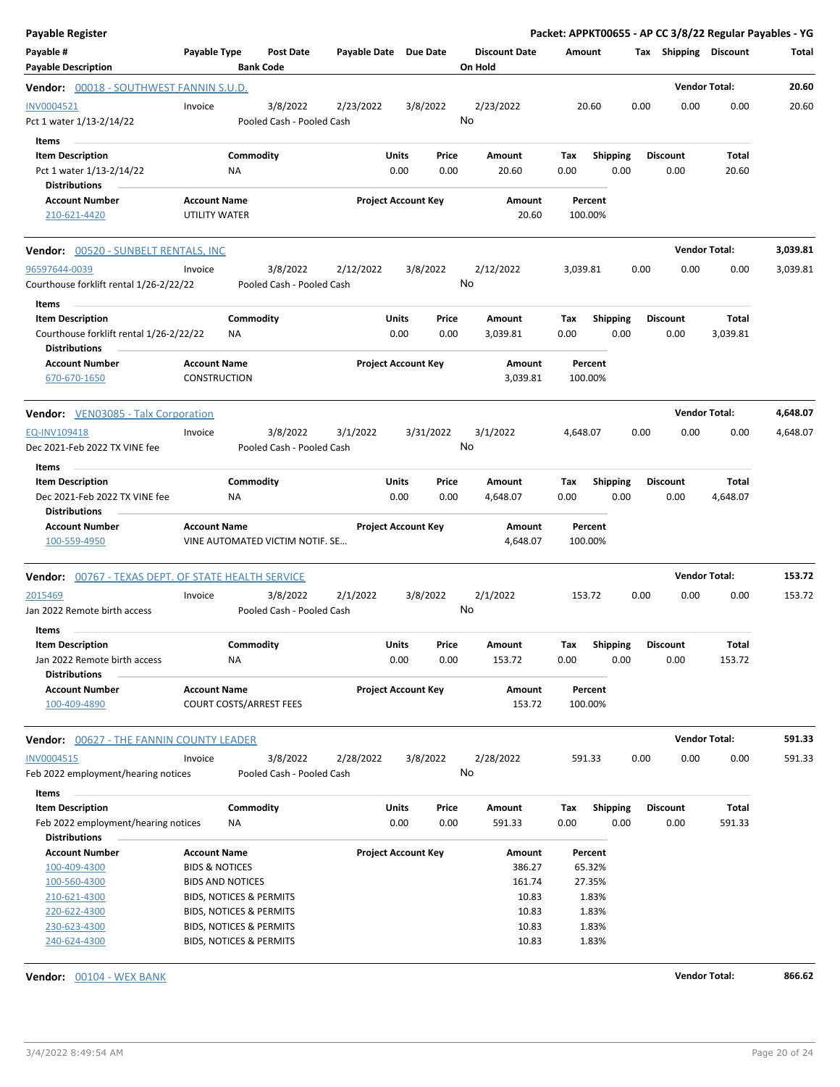| <b>Payable Register</b>                                                                         |                                                  |                                                               |                                       |                       |                            |               |                                 |                    |                    |                           |      |                         | Packet: APPKT00655 - AP CC 3/8/22 Regular Payables - YG |          |
|-------------------------------------------------------------------------------------------------|--------------------------------------------------|---------------------------------------------------------------|---------------------------------------|-----------------------|----------------------------|---------------|---------------------------------|--------------------|--------------------|---------------------------|------|-------------------------|---------------------------------------------------------|----------|
| Payable #<br><b>Payable Description</b>                                                         | Payable Type                                     | <b>Bank Code</b>                                              | <b>Post Date</b>                      | Payable Date Due Date |                            |               | <b>Discount Date</b><br>On Hold |                    | Amount             |                           |      | Tax Shipping Discount   |                                                         | Total    |
| Vendor: 00018 - SOUTHWEST FANNIN S.U.D.                                                         |                                                  |                                                               |                                       |                       |                            |               |                                 |                    |                    |                           |      |                         | <b>Vendor Total:</b>                                    | 20.60    |
| INV0004521<br>Pct 1 water 1/13-2/14/22                                                          | Invoice                                          |                                                               | 3/8/2022<br>Pooled Cash - Pooled Cash | 2/23/2022             |                            | 3/8/2022      | 2/23/2022<br>No                 |                    | 20.60              |                           | 0.00 | 0.00                    | 0.00                                                    | 20.60    |
| Items<br><b>Item Description</b><br>Pct 1 water 1/13-2/14/22                                    |                                                  | Commodity<br>ΝA                                               |                                       |                       | Units<br>0.00              | Price<br>0.00 | Amount<br>20.60                 |                    | Tax<br>0.00        | <b>Shipping</b><br>0.00   |      | <b>Discount</b><br>0.00 | Total<br>20.60                                          |          |
| <b>Distributions</b>                                                                            |                                                  |                                                               |                                       |                       |                            |               |                                 |                    |                    |                           |      |                         |                                                         |          |
| <b>Account Number</b><br>210-621-4420                                                           | <b>Account Name</b><br>UTILITY WATER             |                                                               |                                       |                       | <b>Project Account Key</b> |               |                                 | Amount<br>20.60    | Percent<br>100.00% |                           |      |                         |                                                         |          |
| <b>Vendor:</b> 00520 - SUNBELT RENTALS, INC                                                     |                                                  |                                                               |                                       |                       |                            |               |                                 |                    |                    |                           |      |                         | <b>Vendor Total:</b>                                    | 3,039.81 |
| 96597644-0039<br>Courthouse forklift rental 1/26-2/22/22                                        | Invoice                                          |                                                               | 3/8/2022<br>Pooled Cash - Pooled Cash | 2/12/2022             |                            | 3/8/2022      | 2/12/2022<br>No                 |                    | 3,039.81           |                           | 0.00 | 0.00                    | 0.00                                                    | 3,039.81 |
| Items<br><b>Item Description</b><br>Courthouse forklift rental 1/26-2/22/22                     |                                                  | Commodity<br>NA                                               |                                       |                       | Units<br>0.00              | Price<br>0.00 | Amount<br>3,039.81              |                    | Tax<br>0.00        | <b>Shipping</b><br>0.00   |      | <b>Discount</b><br>0.00 | Total<br>3,039.81                                       |          |
| <b>Distributions</b><br><b>Account Number</b><br>670-670-1650                                   | <b>Account Name</b><br><b>CONSTRUCTION</b>       |                                                               |                                       |                       | <b>Project Account Key</b> |               |                                 | Amount<br>3,039.81 | Percent<br>100.00% |                           |      |                         |                                                         |          |
| <b>Vendor:</b> VEN03085 - Talx Corporation                                                      |                                                  |                                                               |                                       |                       |                            |               |                                 |                    |                    |                           |      |                         | <b>Vendor Total:</b>                                    | 4,648.07 |
| EQ-INV109418<br>Dec 2021-Feb 2022 TX VINE fee                                                   | Invoice                                          |                                                               | 3/8/2022<br>Pooled Cash - Pooled Cash | 3/1/2022              |                            | 3/31/2022     | 3/1/2022<br>No                  |                    | 4,648.07           |                           | 0.00 | 0.00                    | 0.00                                                    | 4,648.07 |
| Items<br><b>Item Description</b><br>Dec 2021-Feb 2022 TX VINE fee<br><b>Distributions</b>       |                                                  | Commodity<br>NA                                               |                                       |                       | Units<br>0.00              | Price<br>0.00 | Amount<br>4,648.07              |                    | Тах<br>0.00        | <b>Shipping</b><br>0.00   |      | <b>Discount</b><br>0.00 | Total<br>4,648.07                                       |          |
| <b>Account Number</b><br>100-559-4950                                                           | <b>Account Name</b>                              |                                                               | VINE AUTOMATED VICTIM NOTIF. SE       |                       | <b>Project Account Key</b> |               |                                 | Amount<br>4,648.07 | Percent<br>100.00% |                           |      |                         |                                                         |          |
| <b>Vendor: 00767 - TEXAS DEPT. OF STATE HEALTH SERVICE</b>                                      |                                                  |                                                               |                                       |                       |                            |               |                                 |                    |                    |                           |      |                         | <b>Vendor Total:</b>                                    | 153.72   |
| 2015469<br>Jan 2022 Remote birth access                                                         | Invoice                                          |                                                               | 3/8/2022<br>Pooled Cash - Pooled Cash | 2/1/2022              |                            | 3/8/2022      | 2/1/2022<br>No                  |                    | 153.72             |                           | 0.00 | 0.00                    | 0.00                                                    | 153.72   |
| Items<br><b>Item Description</b><br>Jan 2022 Remote birth access                                |                                                  | Commodity<br>NA                                               |                                       |                       | Units<br>0.00              | Price<br>0.00 | Amount<br>153.72                |                    | Tax<br>0.00        | Shipping Discount<br>0.00 |      | 0.00                    | Total<br>153.72                                         |          |
| <b>Distributions</b><br><b>Account Number</b><br>100-409-4890                                   | <b>Account Name</b>                              | <b>COURT COSTS/ARREST FEES</b>                                |                                       |                       | <b>Project Account Key</b> |               |                                 | Amount<br>153.72   | Percent<br>100.00% |                           |      |                         |                                                         |          |
| Vendor: 00627 - THE FANNIN COUNTY LEADER                                                        |                                                  |                                                               |                                       |                       |                            |               |                                 |                    |                    |                           |      |                         | <b>Vendor Total:</b>                                    | 591.33   |
| INV0004515<br>Feb 2022 employment/hearing notices                                               | Invoice                                          |                                                               | 3/8/2022<br>Pooled Cash - Pooled Cash | 2/28/2022             |                            | 3/8/2022      | 2/28/2022<br>No                 |                    | 591.33             |                           | 0.00 | 0.00                    | 0.00                                                    | 591.33   |
| Items<br><b>Item Description</b><br>Feb 2022 employment/hearing notices<br><b>Distributions</b> |                                                  | Commodity<br>NA                                               |                                       |                       | Units<br>0.00              | Price<br>0.00 | Amount<br>591.33                |                    | Тах<br>0.00        | Shipping<br>0.00          |      | <b>Discount</b><br>0.00 | Total<br>591.33                                         |          |
| <b>Account Number</b><br>100-409-4300                                                           | <b>Account Name</b><br><b>BIDS &amp; NOTICES</b> |                                                               |                                       |                       | <b>Project Account Key</b> |               |                                 | Amount<br>386.27   | Percent<br>65.32%  |                           |      |                         |                                                         |          |
| 100-560-4300<br>210-621-4300                                                                    |                                                  | <b>BIDS AND NOTICES</b><br>BIDS, NOTICES & PERMITS            |                                       |                       |                            |               |                                 | 161.74<br>10.83    | 27.35%<br>1.83%    |                           |      |                         |                                                         |          |
| 220-622-4300                                                                                    |                                                  | BIDS, NOTICES & PERMITS                                       |                                       |                       |                            |               |                                 | 10.83              | 1.83%              |                           |      |                         |                                                         |          |
| 230-623-4300<br>240-624-4300                                                                    |                                                  | BIDS, NOTICES & PERMITS<br><b>BIDS, NOTICES &amp; PERMITS</b> |                                       |                       |                            |               |                                 | 10.83<br>10.83     | 1.83%<br>1.83%     |                           |      |                         |                                                         |          |
| Vendor: 00104 - WEX BANK                                                                        |                                                  |                                                               |                                       |                       |                            |               |                                 |                    |                    |                           |      |                         | <b>Vendor Total:</b>                                    | 866.62   |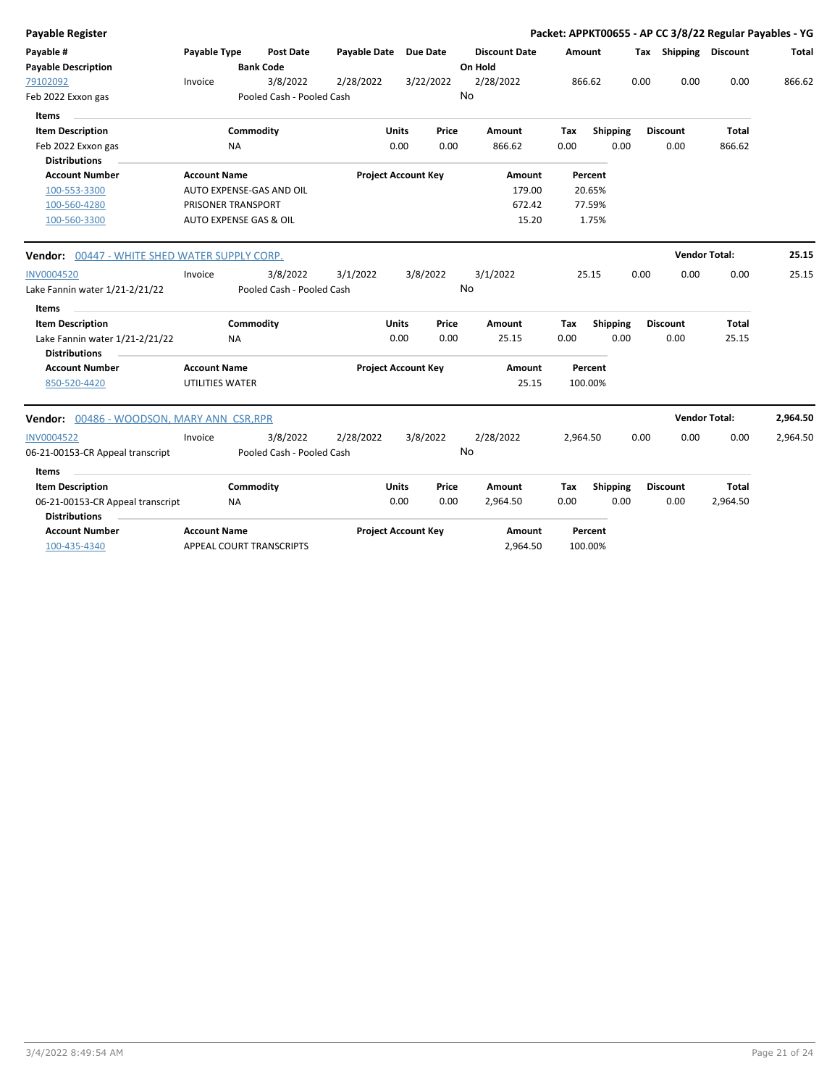| Payable Register                              |                          |           |                           |                       |              |                            |    |                      |      |          |          |      |                       | Packet: APPKT00655 - AP CC 3/8/22 Regular Payables - YG |          |
|-----------------------------------------------|--------------------------|-----------|---------------------------|-----------------------|--------------|----------------------------|----|----------------------|------|----------|----------|------|-----------------------|---------------------------------------------------------|----------|
| Payable #                                     | Payable Type             |           | Post Date                 | Payable Date Due Date |              |                            |    | <b>Discount Date</b> |      | Amount   |          |      | Tax Shipping Discount |                                                         | Total    |
| <b>Payable Description</b>                    |                          |           | <b>Bank Code</b>          |                       |              |                            |    | On Hold              |      |          |          |      |                       |                                                         |          |
| 79102092                                      | Invoice                  |           | 3/8/2022                  | 2/28/2022             |              | 3/22/2022                  |    | 2/28/2022            |      | 866.62   |          | 0.00 | 0.00                  | 0.00                                                    | 866.62   |
| Feb 2022 Exxon gas                            |                          |           | Pooled Cash - Pooled Cash |                       |              |                            | No |                      |      |          |          |      |                       |                                                         |          |
| Items                                         |                          |           |                           |                       |              |                            |    |                      |      |          |          |      |                       |                                                         |          |
| <b>Item Description</b>                       |                          | Commodity |                           |                       | <b>Units</b> | Price                      |    | Amount               | Tax  |          | Shipping |      | <b>Discount</b>       | Total                                                   |          |
| Feb 2022 Exxon gas                            |                          | NA.       |                           |                       | 0.00         | 0.00                       |    | 866.62               | 0.00 |          | 0.00     |      | 0.00                  | 866.62                                                  |          |
| <b>Distributions</b>                          |                          |           |                           |                       |              |                            |    |                      |      |          |          |      |                       |                                                         |          |
| <b>Account Number</b>                         | <b>Account Name</b>      |           |                           |                       |              | <b>Project Account Key</b> |    | Amount               |      | Percent  |          |      |                       |                                                         |          |
| 100-553-3300                                  | AUTO EXPENSE-GAS AND OIL |           |                           |                       |              |                            |    | 179.00               |      | 20.65%   |          |      |                       |                                                         |          |
| 100-560-4280                                  | PRISONER TRANSPORT       |           |                           |                       |              |                            |    | 672.42               |      | 77.59%   |          |      |                       |                                                         |          |
| 100-560-3300                                  | AUTO EXPENSE GAS & OIL   |           |                           |                       |              |                            |    | 15.20                |      | 1.75%    |          |      |                       |                                                         |          |
| Vendor: 00447 - WHITE SHED WATER SUPPLY CORP. |                          |           |                           |                       |              |                            |    |                      |      |          |          |      | <b>Vendor Total:</b>  |                                                         | 25.15    |
| <b>INV0004520</b>                             | Invoice                  |           | 3/8/2022                  | 3/1/2022              |              | 3/8/2022                   |    | 3/1/2022             |      | 25.15    |          | 0.00 | 0.00                  | 0.00                                                    | 25.15    |
| Lake Fannin water 1/21-2/21/22                |                          |           | Pooled Cash - Pooled Cash |                       |              |                            | No |                      |      |          |          |      |                       |                                                         |          |
| Items                                         |                          |           |                           |                       |              |                            |    |                      |      |          |          |      |                       |                                                         |          |
| <b>Item Description</b>                       |                          | Commodity |                           |                       | <b>Units</b> | Price                      |    | Amount               | Tax  |          | Shipping |      | <b>Discount</b>       | Total                                                   |          |
| Lake Fannin water 1/21-2/21/22                |                          | <b>NA</b> |                           |                       | 0.00         | 0.00                       |    | 25.15                | 0.00 |          | 0.00     |      | 0.00                  | 25.15                                                   |          |
| <b>Distributions</b>                          |                          |           |                           |                       |              |                            |    |                      |      |          |          |      |                       |                                                         |          |
| <b>Account Number</b>                         | <b>Account Name</b>      |           |                           |                       |              | <b>Project Account Key</b> |    | Amount               |      | Percent  |          |      |                       |                                                         |          |
| 850-520-4420                                  | <b>UTILITIES WATER</b>   |           |                           |                       |              |                            |    | 25.15                |      | 100.00%  |          |      |                       |                                                         |          |
| Vendor: 00486 - WOODSON, MARY ANN CSR, RPR    |                          |           |                           |                       |              |                            |    |                      |      |          |          |      | <b>Vendor Total:</b>  |                                                         | 2,964.50 |
| <b>INV0004522</b>                             | Invoice                  |           | 3/8/2022                  | 2/28/2022             |              | 3/8/2022                   |    | 2/28/2022            |      | 2,964.50 |          | 0.00 | 0.00                  | 0.00                                                    | 2,964.50 |
| 06-21-00153-CR Appeal transcript              |                          |           | Pooled Cash - Pooled Cash |                       |              |                            | No |                      |      |          |          |      |                       |                                                         |          |
| Items                                         |                          |           |                           |                       |              |                            |    |                      |      |          |          |      |                       |                                                         |          |
| <b>Item Description</b>                       |                          | Commodity |                           |                       | Units        | Price                      |    | Amount               | Tax  |          | Shipping |      | <b>Discount</b>       | Total                                                   |          |
| 06-21-00153-CR Appeal transcript              |                          | NA.       |                           |                       | 0.00         | 0.00                       |    | 2,964.50             | 0.00 |          | 0.00     |      | 0.00                  | 2,964.50                                                |          |
| <b>Distributions</b>                          |                          |           |                           |                       |              |                            |    |                      |      |          |          |      |                       |                                                         |          |
| <b>Account Number</b>                         | <b>Account Name</b>      |           |                           |                       |              | <b>Project Account Key</b> |    | Amount               |      | Percent  |          |      |                       |                                                         |          |
| 100-435-4340                                  | APPEAL COURT TRANSCRIPTS |           |                           |                       |              |                            |    | 2,964.50             |      | 100.00%  |          |      |                       |                                                         |          |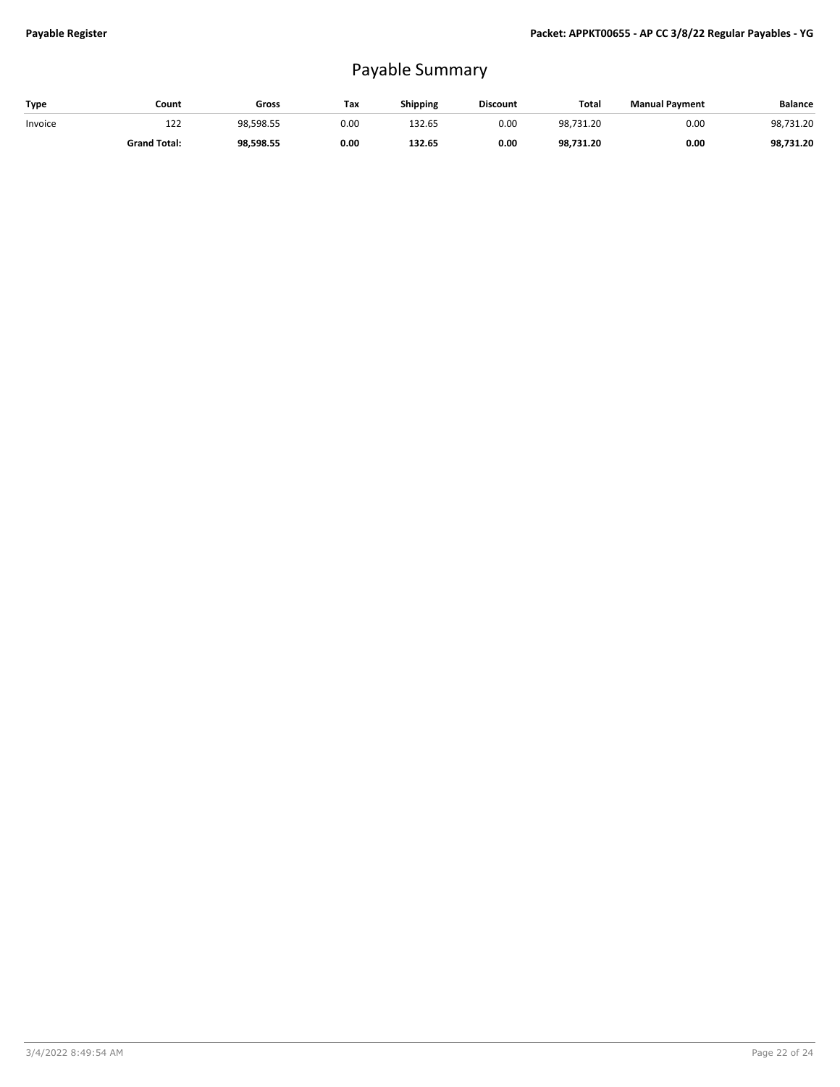## Payable Summary

| Type    | Count               | Gross     | Tax  | <b>Shipping</b> | <b>Discount</b> | <b>Total</b> | <b>Manual Payment</b> | <b>Balance</b> |
|---------|---------------------|-----------|------|-----------------|-----------------|--------------|-----------------------|----------------|
| Invoice | 122                 | 98,598.55 | 0.00 | 132.65          | 0.00            | 98.731.20    | 0.00                  | 98,731.20      |
|         | <b>Grand Total:</b> | 98,598.55 | 0.00 | 132.65          | 0.00            | 98.731.20    | 0.00                  | 98,731.20      |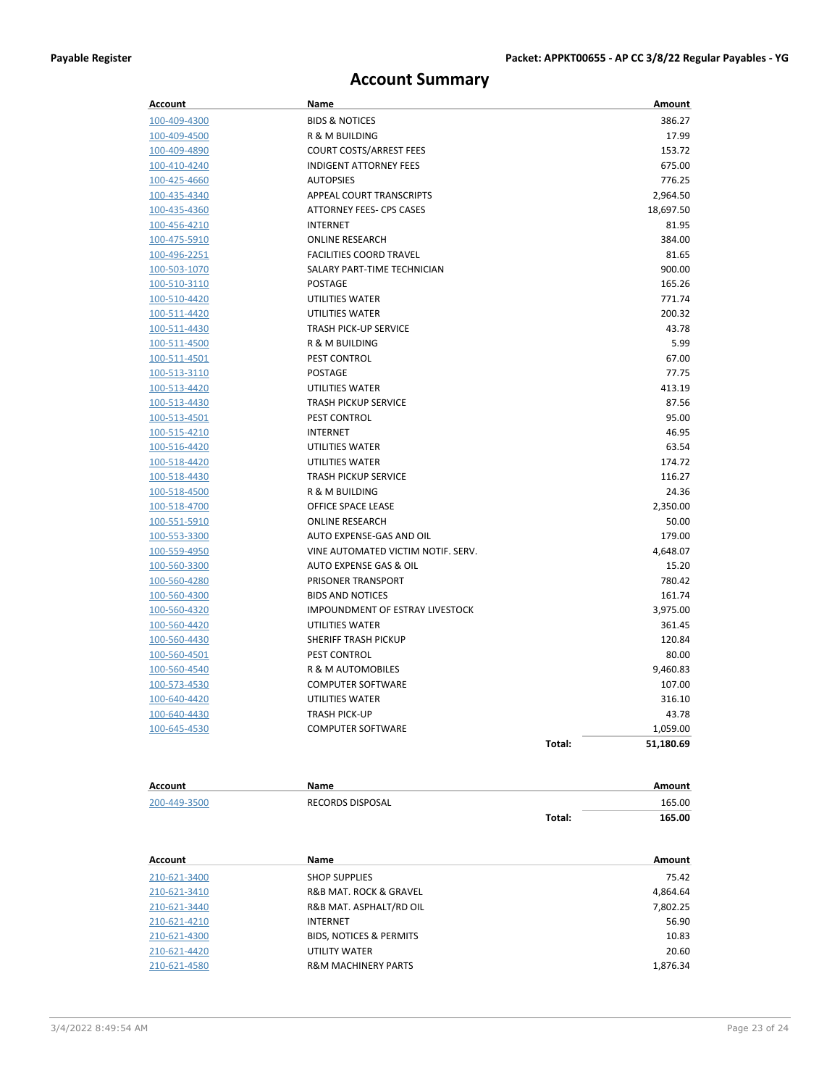### **Account Summary**

| Account                      | Name                                                |        | Amount         |
|------------------------------|-----------------------------------------------------|--------|----------------|
| 100-409-4300                 | <b>BIDS &amp; NOTICES</b>                           |        | 386.27         |
| 100-409-4500                 | R & M BUILDING                                      |        | 17.99          |
| 100-409-4890                 | <b>COURT COSTS/ARREST FEES</b>                      |        | 153.72         |
| 100-410-4240                 | <b>INDIGENT ATTORNEY FEES</b>                       |        | 675.00         |
| 100-425-4660                 | <b>AUTOPSIES</b>                                    |        | 776.25         |
| 100-435-4340                 | APPEAL COURT TRANSCRIPTS                            |        | 2,964.50       |
| 100-435-4360                 | <b>ATTORNEY FEES- CPS CASES</b>                     |        | 18,697.50      |
| 100-456-4210                 | <b>INTERNET</b>                                     |        | 81.95          |
| 100-475-5910                 | <b>ONLINE RESEARCH</b>                              |        | 384.00         |
| 100-496-2251                 | <b>FACILITIES COORD TRAVEL</b>                      |        | 81.65          |
| 100-503-1070                 | SALARY PART-TIME TECHNICIAN                         |        | 900.00         |
| 100-510-3110                 | <b>POSTAGE</b>                                      |        | 165.26         |
| 100-510-4420                 | UTILITIES WATER                                     |        | 771.74         |
| 100-511-4420                 | UTILITIES WATER                                     |        | 200.32         |
| 100-511-4430                 | <b>TRASH PICK-UP SERVICE</b>                        |        | 43.78          |
| 100-511-4500                 | R & M BUILDING                                      |        | 5.99           |
| 100-511-4501                 | PEST CONTROL                                        |        | 67.00          |
| <u>100-513-3110</u>          | <b>POSTAGE</b>                                      |        | 77.75          |
| 100-513-4420                 | UTILITIES WATER                                     |        | 413.19         |
| <u>100-513-4430</u>          | <b>TRASH PICKUP SERVICE</b>                         |        | 87.56          |
| 100-513-4501                 | PEST CONTROL                                        |        | 95.00          |
| 100-515-4210                 | <b>INTERNET</b>                                     |        | 46.95          |
| 100-516-4420                 | UTILITIES WATER                                     |        | 63.54          |
| 100-518-4420                 | UTILITIES WATER                                     |        | 174.72         |
| 100-518-4430                 | <b>TRASH PICKUP SERVICE</b>                         |        | 116.27         |
| 100-518-4500                 | <b>R &amp; M BUILDING</b>                           |        | 24.36          |
| 100-518-4700                 | OFFICE SPACE LEASE                                  |        | 2,350.00       |
| <u>100-551-5910</u>          | <b>ONLINE RESEARCH</b>                              |        | 50.00          |
| 100-553-3300                 | AUTO EXPENSE-GAS AND OIL                            |        | 179.00         |
| <u>100-559-4950</u>          | VINE AUTOMATED VICTIM NOTIF. SERV.                  |        | 4,648.07       |
| 100-560-3300                 | AUTO EXPENSE GAS & OIL                              |        | 15.20          |
| 100-560-4280                 | PRISONER TRANSPORT                                  |        | 780.42         |
| 100-560-4300                 | <b>BIDS AND NOTICES</b>                             |        | 161.74         |
| 100-560-4320                 | IMPOUNDMENT OF ESTRAY LIVESTOCK                     |        | 3,975.00       |
| 100-560-4420                 | <b>UTILITIES WATER</b>                              |        | 361.45         |
| 100-560-4430                 | <b>SHERIFF TRASH PICKUP</b>                         |        | 120.84         |
| 100-560-4501                 | PEST CONTROL                                        |        | 80.00          |
| 100-560-4540                 | R & M AUTOMOBILES                                   |        | 9.460.83       |
| 100-573-4530                 | <b>COMPUTER SOFTWARE</b>                            |        | 107.00         |
| 100-640-4420                 | UTILITIES WATER                                     |        | 316.10         |
| <u>100-640-4430</u>          | TRASH PICK-UP                                       |        | 43.78          |
| 100-645-4530                 | <b>COMPUTER SOFTWARE</b>                            |        | 1,059.00       |
|                              |                                                     | Total: | 51,180.69      |
|                              |                                                     |        |                |
| <b>Account</b>               | Name                                                |        | Amount         |
| 200-449-3500                 | RECORDS DISPOSAL                                    |        | 165.00         |
|                              |                                                     | Total: | 165.00         |
|                              |                                                     |        |                |
| Account                      | Name                                                |        | Amount         |
| 210-621-3400                 | <b>SHOP SUPPLIES</b>                                |        | 75.42          |
| 210-621-3410                 | R&B MAT. ROCK & GRAVEL                              |        | 4,864.64       |
| 210-621-3440                 | R&B MAT. ASPHALT/RD OIL                             |        | 7,802.25       |
| 210-621-4210                 | <b>INTERNET</b>                                     |        | 56.90          |
| 210-621-4300<br>210-621-4420 | <b>BIDS, NOTICES &amp; PERMITS</b><br>UTILITY WATER |        | 10.83<br>20.60 |
|                              |                                                     |        |                |

210-621-4580 **R&M MACHINERY PARTS** 1,876.34